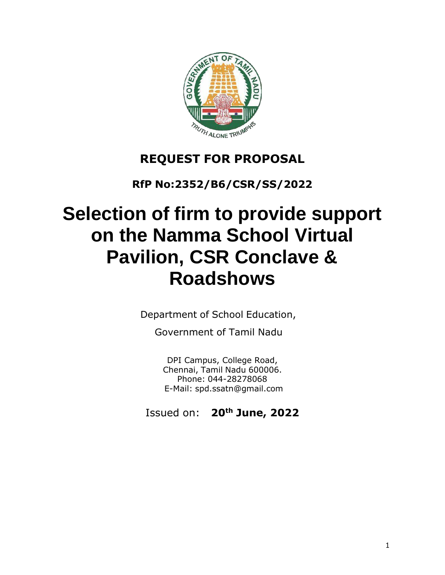

# **REQUEST FOR PROPOSAL**

**RfP No:2352/B6/CSR/SS/2022**

# **Selection of firm to provide support on the Namma School Virtual Pavilion, CSR Conclave & Roadshows**

Department of School Education,

Government of Tamil Nadu

DPI Campus, College Road, Chennai, Tamil Nadu 600006. Phone: 044-28278068 E-Mail: [spd.ssatn@gmail.com](mailto:spd.ssatn@gmail.com)

Issued on: **20th June, 2022**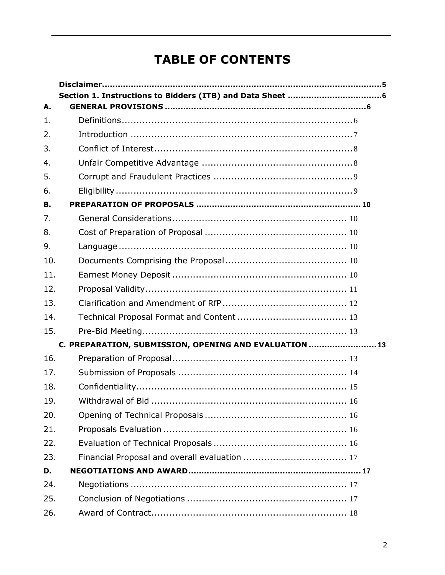# **TABLE OF CONTENTS**

| А.  |                                                        |
|-----|--------------------------------------------------------|
| 1.  |                                                        |
| 2.  |                                                        |
| 3.  |                                                        |
| 4.  |                                                        |
| 5.  |                                                        |
| 6.  |                                                        |
| В.  |                                                        |
| 7.  |                                                        |
| 8.  |                                                        |
| 9.  |                                                        |
| 10. |                                                        |
| 11. |                                                        |
| 12. |                                                        |
| 13. |                                                        |
| 14. |                                                        |
| 15. |                                                        |
|     | C. PREPARATION, SUBMISSION, OPENING AND EVALUATION  13 |
| 16. |                                                        |
| 17. |                                                        |
| 18. |                                                        |
| 19. |                                                        |
| 20. |                                                        |
| 21. |                                                        |
| 22. |                                                        |
| 23. |                                                        |
| D.  |                                                        |
| 24. |                                                        |
| 25. |                                                        |
| 26. |                                                        |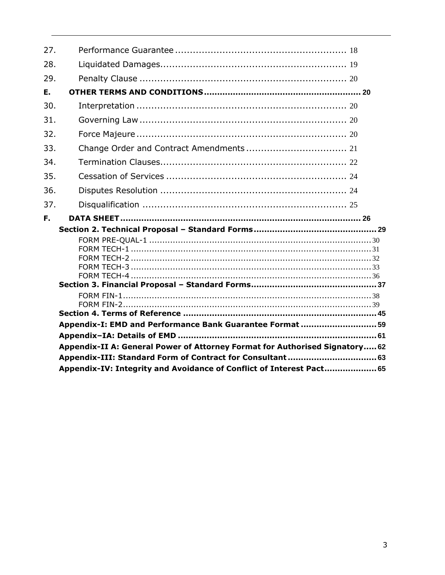| 27. |                                                                             |
|-----|-----------------------------------------------------------------------------|
| 28. |                                                                             |
| 29. |                                                                             |
| Ε.  |                                                                             |
| 30. |                                                                             |
| 31. |                                                                             |
| 32. |                                                                             |
| 33. |                                                                             |
| 34. |                                                                             |
| 35. |                                                                             |
| 36. |                                                                             |
| 37. |                                                                             |
|     |                                                                             |
|     |                                                                             |
| F.  |                                                                             |
|     |                                                                             |
|     |                                                                             |
|     |                                                                             |
|     |                                                                             |
|     |                                                                             |
|     |                                                                             |
|     |                                                                             |
|     |                                                                             |
|     |                                                                             |
|     | Appendix-I: EMD and Performance Bank Guarantee Format  59                   |
|     |                                                                             |
|     | Appendix-II A: General Power of Attorney Format for Authorised Signatory 62 |
|     | Appendix-III: Standard Form of Contract for Consultant 63                   |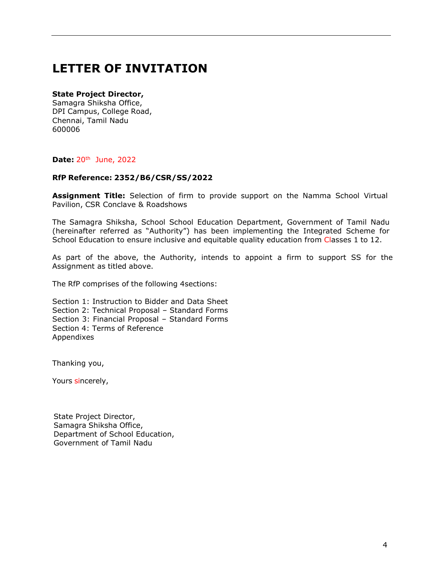# **LETTER OF INVITATION**

#### **State Project Director,**

Samagra Shiksha Office, DPI Campus, College Road, Chennai, Tamil Nadu 600006

#### **Date:** 20th June, 2022

#### **RfP Reference: 2352/B6/CSR/SS/2022**

**Assignment Title:** Selection of firm to provide support on the Namma School Virtual Pavilion, CSR Conclave & Roadshows

The Samagra Shiksha, School School Education Department, Government of Tamil Nadu (hereinafter referred as "Authority") has been implementing the Integrated Scheme for School Education to ensure inclusive and equitable quality education from Classes 1 to 12.

As part of the above, the Authority, intends to appoint a firm to support SS for the Assignment as titled above.

The RfP comprises of the following 4sections:

Section 1: Instruction to Bidder and Data Sheet Section 2: Technical Proposal – Standard Forms Section 3: Financial Proposal – Standard Forms Section 4: Terms of Reference Appendixes

Thanking you,

Yours sincerely,

State Project Director, Samagra Shiksha Office, Department of School Education, Government of Tamil Nadu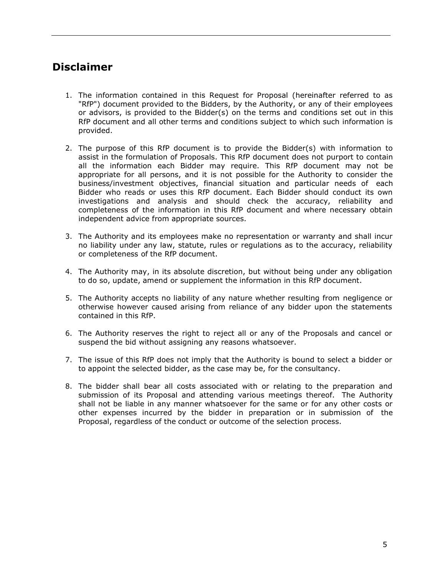# <span id="page-4-0"></span>**Disclaimer**

- 1. The information contained in this Request for Proposal (hereinafter referred to as "RfP") document provided to the Bidders, by the Authority, or any of their employees or advisors, is provided to the Bidder(s) on the terms and conditions set out in this RfP document and all other terms and conditions subject to which such information is provided.
- 2. The purpose of this RfP document is to provide the Bidder(s) with information to assist in the formulation of Proposals. This RfP document does not purport to contain all the information each Bidder may require. This RfP document may not be appropriate for all persons, and it is not possible for the Authority to consider the business/investment objectives, financial situation and particular needs of each Bidder who reads or uses this RfP document. Each Bidder should conduct its own investigations and analysis and should check the accuracy, reliability and completeness of the information in this RfP document and where necessary obtain independent advice from appropriate sources.
- 3. The Authority and its employees make no representation or warranty and shall incur no liability under any law, statute, rules or regulations as to the accuracy, reliability or completeness of the RfP document.
- 4. The Authority may, in its absolute discretion, but without being under any obligation to do so, update, amend or supplement the information in this RfP document.
- 5. The Authority accepts no liability of any nature whether resulting from negligence or otherwise however caused arising from reliance of any bidder upon the statements contained in this RfP.
- 6. The Authority reserves the right to reject all or any of the Proposals and cancel or suspend the bid without assigning any reasons whatsoever.
- 7. The issue of this RfP does not imply that the Authority is bound to select a bidder or to appoint the selected bidder, as the case may be, for the consultancy.
- 8. The bidder shall bear all costs associated with or relating to the preparation and submission of its Proposal and attending various meetings thereof. The Authority shall not be liable in any manner whatsoever for the same or for any other costs or other expenses incurred by the bidder in preparation or in submission of the Proposal, regardless of the conduct or outcome of the selection process.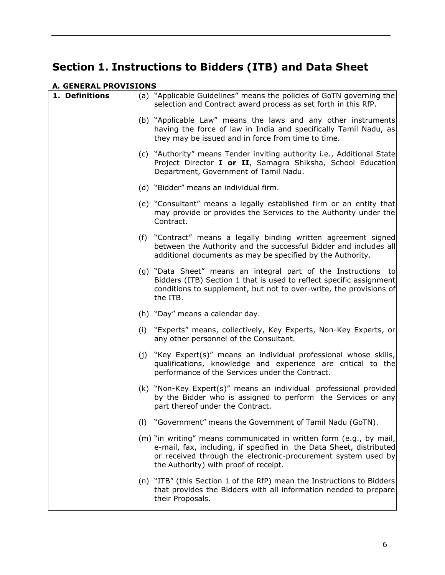# <span id="page-5-0"></span>**Section 1. Instructions to Bidders (ITB) and Data Sheet**

# <span id="page-5-1"></span>**A. GENERAL PROVISIONS**

<span id="page-5-2"></span>

| 1. Definitions |     | (a) "Applicable Guidelines" means the policies of GoTN governing the<br>selection and Contract award process as set forth in this RfP.                                                                                                               |
|----------------|-----|------------------------------------------------------------------------------------------------------------------------------------------------------------------------------------------------------------------------------------------------------|
|                |     | (b) "Applicable Law" means the laws and any other instruments<br>having the force of law in India and specifically Tamil Nadu, as<br>they may be issued and in force from time to time.                                                              |
|                |     | (c) "Authority" means Tender inviting authority i.e., Additional State<br>Project Director I or II, Samagra Shiksha, School Education<br>Department, Government of Tamil Nadu.                                                                       |
|                |     | (d) "Bidder" means an individual firm.                                                                                                                                                                                                               |
|                |     | (e) "Consultant" means a legally established firm or an entity that<br>may provide or provides the Services to the Authority under the<br>Contract.                                                                                                  |
|                |     | (f) "Contract" means a legally binding written agreement signed<br>between the Authority and the successful Bidder and includes all<br>additional documents as may be specified by the Authority.                                                    |
|                |     | (g) "Data Sheet" means an integral part of the Instructions to<br>Bidders (ITB) Section 1 that is used to reflect specific assignment<br>conditions to supplement, but not to over-write, the provisions of<br>the ITB.                              |
|                |     | (h) "Day" means a calendar day.                                                                                                                                                                                                                      |
|                |     | (i) "Experts" means, collectively, Key Experts, Non-Key Experts, or<br>any other personnel of the Consultant.                                                                                                                                        |
|                | (j) | "Key Expert(s)" means an individual professional whose skills,<br>qualifications, knowledge and experience are critical to the<br>performance of the Services under the Contract.                                                                    |
|                |     | (k) "Non-Key Expert(s)" means an individual professional provided<br>by the Bidder who is assigned to perform the Services or any<br>part thereof under the Contract.                                                                                |
|                | (1) | "Government" means the Government of Tamil Nadu (GoTN).                                                                                                                                                                                              |
|                |     | (m) "in writing" means communicated in written form (e.g., by mail,<br>e-mail, fax, including, if specified in the Data Sheet, distributed<br>or received through the electronic-procurement system used by<br>the Authority) with proof of receipt. |
|                |     | (n) "ITB" (this Section 1 of the RfP) mean the Instructions to Bidders<br>that provides the Bidders with all information needed to prepare<br>their Proposals.                                                                                       |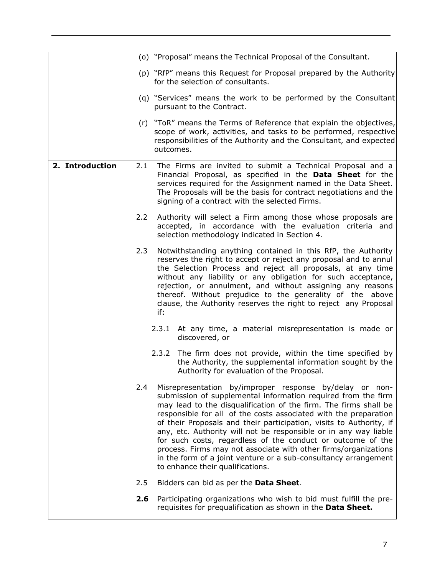<span id="page-6-0"></span>

|                 |     |           | (o) "Proposal" means the Technical Proposal of the Consultant.                                                                                                                                                                                                                                                                                                                                                                                                                                                                                                                                                                                       |
|-----------------|-----|-----------|------------------------------------------------------------------------------------------------------------------------------------------------------------------------------------------------------------------------------------------------------------------------------------------------------------------------------------------------------------------------------------------------------------------------------------------------------------------------------------------------------------------------------------------------------------------------------------------------------------------------------------------------------|
|                 |     |           | (p) "RfP" means this Request for Proposal prepared by the Authority<br>for the selection of consultants.                                                                                                                                                                                                                                                                                                                                                                                                                                                                                                                                             |
|                 |     |           | (q) "Services" means the work to be performed by the Consultant<br>pursuant to the Contract.                                                                                                                                                                                                                                                                                                                                                                                                                                                                                                                                                         |
|                 |     | outcomes. | (r) "ToR" means the Terms of Reference that explain the objectives,<br>scope of work, activities, and tasks to be performed, respective<br>responsibilities of the Authority and the Consultant, and expected                                                                                                                                                                                                                                                                                                                                                                                                                                        |
| 2. Introduction | 2.1 |           | The Firms are invited to submit a Technical Proposal and a<br>Financial Proposal, as specified in the Data Sheet for the<br>services required for the Assignment named in the Data Sheet.<br>The Proposals will be the basis for contract negotiations and the<br>signing of a contract with the selected Firms.                                                                                                                                                                                                                                                                                                                                     |
|                 | 2.2 |           | Authority will select a Firm among those whose proposals are<br>accepted, in accordance with the evaluation criteria and<br>selection methodology indicated in Section 4.                                                                                                                                                                                                                                                                                                                                                                                                                                                                            |
|                 | 2.3 | if:       | Notwithstanding anything contained in this RfP, the Authority<br>reserves the right to accept or reject any proposal and to annul<br>the Selection Process and reject all proposals, at any time<br>without any liability or any obligation for such acceptance,<br>rejection, or annulment, and without assigning any reasons<br>thereof. Without prejudice to the generality of the above<br>clause, the Authority reserves the right to reject any Proposal                                                                                                                                                                                       |
|                 |     |           | 2.3.1 At any time, a material misrepresentation is made or<br>discovered, or                                                                                                                                                                                                                                                                                                                                                                                                                                                                                                                                                                         |
|                 |     |           | 2.3.2 The firm does not provide, within the time specified by<br>the Authority, the supplemental information sought by the<br>Authority for evaluation of the Proposal.                                                                                                                                                                                                                                                                                                                                                                                                                                                                              |
|                 | 2.4 |           | Misrepresentation by/improper response by/delay or non-<br>submission of supplemental information required from the firm<br>may lead to the disqualification of the firm. The firms shall be<br>responsible for all of the costs associated with the preparation<br>of their Proposals and their participation, visits to Authority, if<br>any, etc. Authority will not be responsible or in any way liable<br>for such costs, regardless of the conduct or outcome of the<br>process. Firms may not associate with other firms/organizations<br>in the form of a joint venture or a sub-consultancy arrangement<br>to enhance their qualifications. |
|                 | 2.5 |           | Bidders can bid as per the Data Sheet.                                                                                                                                                                                                                                                                                                                                                                                                                                                                                                                                                                                                               |
|                 | 2.6 |           | Participating organizations who wish to bid must fulfill the pre-<br>requisites for prequalification as shown in the Data Sheet.                                                                                                                                                                                                                                                                                                                                                                                                                                                                                                                     |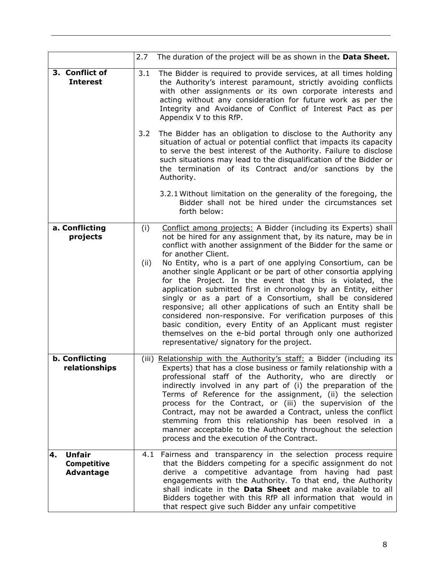<span id="page-7-1"></span><span id="page-7-0"></span>

|                                                               | 2.7         | The duration of the project will be as shown in the Data Sheet.                                                                                                                                                                                                                                                                                                                                                                                                                                                                                                                                                                                                                                                                                                                                                                                                    |
|---------------------------------------------------------------|-------------|--------------------------------------------------------------------------------------------------------------------------------------------------------------------------------------------------------------------------------------------------------------------------------------------------------------------------------------------------------------------------------------------------------------------------------------------------------------------------------------------------------------------------------------------------------------------------------------------------------------------------------------------------------------------------------------------------------------------------------------------------------------------------------------------------------------------------------------------------------------------|
| 3. Conflict of<br><b>Interest</b>                             | 3.1         | The Bidder is required to provide services, at all times holding<br>the Authority's interest paramount, strictly avoiding conflicts<br>with other assignments or its own corporate interests and<br>acting without any consideration for future work as per the<br>Integrity and Avoidance of Conflict of Interest Pact as per<br>Appendix V to this RfP.                                                                                                                                                                                                                                                                                                                                                                                                                                                                                                          |
|                                                               | 3.2         | The Bidder has an obligation to disclose to the Authority any<br>situation of actual or potential conflict that impacts its capacity<br>to serve the best interest of the Authority. Failure to disclose<br>such situations may lead to the disqualification of the Bidder or<br>the termination of its Contract and/or sanctions by the<br>Authority.                                                                                                                                                                                                                                                                                                                                                                                                                                                                                                             |
|                                                               |             | 3.2.1 Without limitation on the generality of the foregoing, the<br>Bidder shall not be hired under the circumstances set<br>forth below:                                                                                                                                                                                                                                                                                                                                                                                                                                                                                                                                                                                                                                                                                                                          |
| a. Conflicting<br>projects                                    | (i)<br>(ii) | Conflict among projects: A Bidder (including its Experts) shall<br>not be hired for any assignment that, by its nature, may be in<br>conflict with another assignment of the Bidder for the same or<br>for another Client.<br>No Entity, who is a part of one applying Consortium, can be<br>another single Applicant or be part of other consortia applying<br>for the Project. In the event that this is violated, the<br>application submitted first in chronology by an Entity, either<br>singly or as a part of a Consortium, shall be considered<br>responsive; all other applications of such an Entity shall be<br>considered non-responsive. For verification purposes of this<br>basic condition, every Entity of an Applicant must register<br>themselves on the e-bid portal through only one authorized<br>representative/ signatory for the project. |
| b. Conflicting<br>relationships                               |             | (iii) Relationship with the Authority's staff: a Bidder (including its<br>Experts) that has a close business or family relationship with a<br>professional staff of the Authority, who are directly or<br>indirectly involved in any part of (i) the preparation of the<br>Terms of Reference for the assignment, (ii) the selection<br>process for the Contract, or (iii) the supervision of the<br>Contract, may not be awarded a Contract, unless the conflict<br>stemming from this relationship has been resolved in a<br>manner acceptable to the Authority throughout the selection<br>process and the execution of the Contract.                                                                                                                                                                                                                           |
| <b>Unfair</b><br>4.<br><b>Competitive</b><br><b>Advantage</b> | 4.1         | Fairness and transparency in the selection process require<br>that the Bidders competing for a specific assignment do not<br>derive a competitive advantage from having had past<br>engagements with the Authority. To that end, the Authority<br>shall indicate in the <b>Data Sheet</b> and make available to all<br>Bidders together with this RfP all information that would in<br>that respect give such Bidder any unfair competitive                                                                                                                                                                                                                                                                                                                                                                                                                        |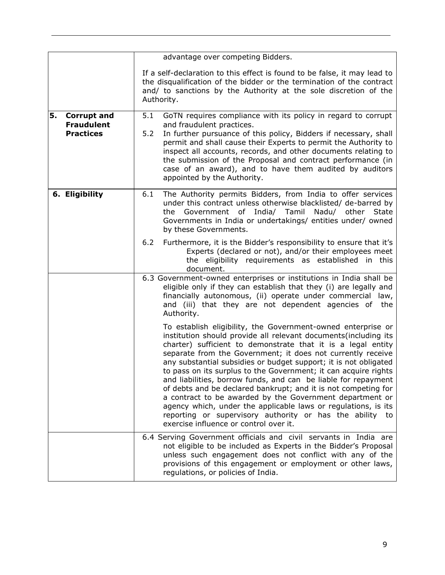<span id="page-8-1"></span><span id="page-8-0"></span>

|                                                                   | advantage over competing Bidders.                                                                                                                                                                                                                                                                                                                                                                                                                                                                                                                                                                                                                                                                                                                                             |
|-------------------------------------------------------------------|-------------------------------------------------------------------------------------------------------------------------------------------------------------------------------------------------------------------------------------------------------------------------------------------------------------------------------------------------------------------------------------------------------------------------------------------------------------------------------------------------------------------------------------------------------------------------------------------------------------------------------------------------------------------------------------------------------------------------------------------------------------------------------|
|                                                                   | If a self-declaration to this effect is found to be false, it may lead to<br>the disqualification of the bidder or the termination of the contract<br>and/ to sanctions by the Authority at the sole discretion of the<br>Authority.                                                                                                                                                                                                                                                                                                                                                                                                                                                                                                                                          |
| 5.<br><b>Corrupt and</b><br><b>Fraudulent</b><br><b>Practices</b> | GoTN requires compliance with its policy in regard to corrupt<br>5.1<br>and fraudulent practices.<br>5.2<br>In further pursuance of this policy, Bidders if necessary, shall<br>permit and shall cause their Experts to permit the Authority to<br>inspect all accounts, records, and other documents relating to<br>the submission of the Proposal and contract performance (in<br>case of an award), and to have them audited by auditors<br>appointed by the Authority.                                                                                                                                                                                                                                                                                                    |
| 6. Eligibility                                                    | The Authority permits Bidders, from India to offer services<br>6.1<br>under this contract unless otherwise blacklisted/ de-barred by<br>the Government of India/ Tamil Nadu/ other<br>State<br>Governments in India or undertakings/ entities under/ owned<br>by these Governments.                                                                                                                                                                                                                                                                                                                                                                                                                                                                                           |
|                                                                   | 6.2<br>Furthermore, it is the Bidder's responsibility to ensure that it's<br>Experts (declared or not), and/or their employees meet<br>the eligibility requirements as established in this<br>document.                                                                                                                                                                                                                                                                                                                                                                                                                                                                                                                                                                       |
|                                                                   | 6.3 Government-owned enterprises or institutions in India shall be<br>eligible only if they can establish that they (i) are legally and<br>financially autonomous, (ii) operate under commercial law,<br>and (iii) that they are not dependent agencies of the<br>Authority.                                                                                                                                                                                                                                                                                                                                                                                                                                                                                                  |
|                                                                   | To establish eligibility, the Government-owned enterprise or<br>institution should provide all relevant documents(including its<br>charter) sufficient to demonstrate that it is a legal entity<br>separate from the Government; it does not currently receive<br>any substantial subsidies or budget support; it is not obligated<br>to pass on its surplus to the Government; it can acquire rights<br>and liabilities, borrow funds, and can be liable for repayment<br>of debts and be declared bankrupt; and it is not competing for<br>a contract to be awarded by the Government department or<br>agency which, under the applicable laws or regulations, is its<br>reporting or supervisory authority or has the ability to<br>exercise influence or control over it. |
|                                                                   | 6.4 Serving Government officials and civil servants in India are<br>not eligible to be included as Experts in the Bidder's Proposal<br>unless such engagement does not conflict with any of the<br>provisions of this engagement or employment or other laws,<br>regulations, or policies of India.                                                                                                                                                                                                                                                                                                                                                                                                                                                                           |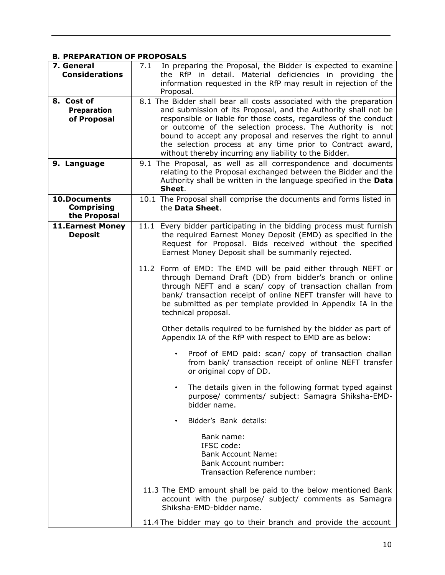# <span id="page-9-0"></span>**B. PREPARATION OF PROPOSALS**

<span id="page-9-5"></span><span id="page-9-4"></span><span id="page-9-3"></span><span id="page-9-2"></span><span id="page-9-1"></span>

| 7. General<br><b>Considerations</b>                      | In preparing the Proposal, the Bidder is expected to examine<br>7.1<br>the RfP in detail. Material deficiencies in providing the<br>information requested in the RfP may result in rejection of the<br>Proposal.                                                                                                                                                                                                                                               |
|----------------------------------------------------------|----------------------------------------------------------------------------------------------------------------------------------------------------------------------------------------------------------------------------------------------------------------------------------------------------------------------------------------------------------------------------------------------------------------------------------------------------------------|
| 8. Cost of<br><b>Preparation</b><br>of Proposal          | 8.1 The Bidder shall bear all costs associated with the preparation<br>and submission of its Proposal, and the Authority shall not be<br>responsible or liable for those costs, regardless of the conduct<br>or outcome of the selection process. The Authority is not<br>bound to accept any proposal and reserves the right to annul<br>the selection process at any time prior to Contract award,<br>without thereby incurring any liability to the Bidder. |
| 9. Language                                              | 9.1 The Proposal, as well as all correspondence and documents<br>relating to the Proposal exchanged between the Bidder and the<br>Authority shall be written in the language specified in the Data<br>Sheet.                                                                                                                                                                                                                                                   |
| <b>10.Documents</b><br><b>Comprising</b><br>the Proposal | 10.1 The Proposal shall comprise the documents and forms listed in<br>the Data Sheet.                                                                                                                                                                                                                                                                                                                                                                          |
| <b>11.Earnest Money</b><br><b>Deposit</b>                | 11.1 Every bidder participating in the bidding process must furnish<br>the required Earnest Money Deposit (EMD) as specified in the<br>Request for Proposal. Bids received without the specified<br>Earnest Money Deposit shall be summarily rejected.                                                                                                                                                                                                         |
|                                                          | 11.2 Form of EMD: The EMD will be paid either through NEFT or<br>through Demand Draft (DD) from bidder's branch or online<br>through NEFT and a scan/ copy of transaction challan from<br>bank/ transaction receipt of online NEFT transfer will have to<br>be submitted as per template provided in Appendix IA in the<br>technical proposal.                                                                                                                 |
|                                                          | Other details required to be furnished by the bidder as part of<br>Appendix IA of the RfP with respect to EMD are as below:                                                                                                                                                                                                                                                                                                                                    |
|                                                          | Proof of EMD paid: scan/ copy of transaction challan<br>$\bullet$<br>from bank/ transaction receipt of online NEFT transfer<br>or original copy of DD.                                                                                                                                                                                                                                                                                                         |
|                                                          | The details given in the following format typed against<br>purpose/ comments/ subject: Samagra Shiksha-EMD-<br>bidder name.                                                                                                                                                                                                                                                                                                                                    |
|                                                          | Bidder's Bank details:                                                                                                                                                                                                                                                                                                                                                                                                                                         |
|                                                          | Bank name:<br>IFSC code:<br><b>Bank Account Name:</b><br><b>Bank Account number:</b><br>Transaction Reference number:                                                                                                                                                                                                                                                                                                                                          |
|                                                          | 11.3 The EMD amount shall be paid to the below mentioned Bank<br>account with the purpose/ subject/ comments as Samagra<br>Shiksha-EMD-bidder name.                                                                                                                                                                                                                                                                                                            |
|                                                          | 11.4 The bidder may go to their branch and provide the account                                                                                                                                                                                                                                                                                                                                                                                                 |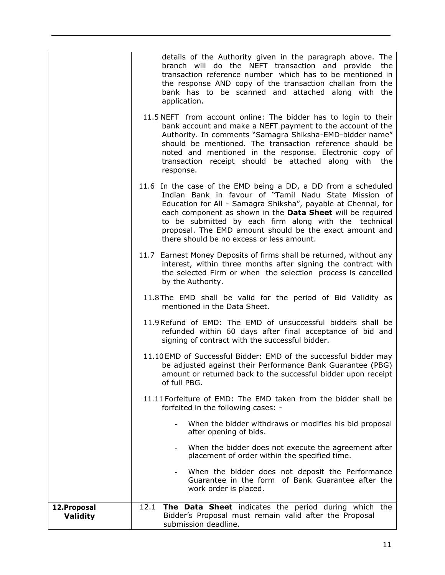<span id="page-10-0"></span>

|                                 | details of the Authority given in the paragraph above. The<br>branch will do the NEFT transaction and provide the<br>transaction reference number which has to be mentioned in<br>the response AND copy of the transaction challan from the<br>bank has to be scanned and attached along with the<br>application.                                                                                                      |
|---------------------------------|------------------------------------------------------------------------------------------------------------------------------------------------------------------------------------------------------------------------------------------------------------------------------------------------------------------------------------------------------------------------------------------------------------------------|
|                                 | 11.5 NEFT from account online: The bidder has to login to their<br>bank account and make a NEFT payment to the account of the<br>Authority. In comments "Samagra Shiksha-EMD-bidder name"<br>should be mentioned. The transaction reference should be<br>noted and mentioned in the response. Electronic copy of<br>transaction receipt should be attached along with the<br>response.                                 |
|                                 | 11.6 In the case of the EMD being a DD, a DD from a scheduled<br>Indian Bank in favour of "Tamil Nadu State Mission of<br>Education for All - Samagra Shiksha", payable at Chennai, for<br>each component as shown in the Data Sheet will be required<br>to be submitted by each firm along with the technical<br>proposal. The EMD amount should be the exact amount and<br>there should be no excess or less amount. |
|                                 | 11.7 Earnest Money Deposits of firms shall be returned, without any<br>interest, within three months after signing the contract with<br>the selected Firm or when the selection process is cancelled<br>by the Authority.                                                                                                                                                                                              |
|                                 | 11.8 The EMD shall be valid for the period of Bid Validity as<br>mentioned in the Data Sheet.                                                                                                                                                                                                                                                                                                                          |
|                                 | 11.9 Refund of EMD: The EMD of unsuccessful bidders shall be<br>refunded within 60 days after final acceptance of bid and<br>signing of contract with the successful bidder.                                                                                                                                                                                                                                           |
|                                 | 11.10 EMD of Successful Bidder: EMD of the successful bidder may<br>be adjusted against their Performance Bank Guarantee (PBG)<br>amount or returned back to the successful bidder upon receipt<br>of full PBG.                                                                                                                                                                                                        |
|                                 | 11.11 Forfeiture of EMD: The EMD taken from the bidder shall be<br>forfeited in the following cases: -                                                                                                                                                                                                                                                                                                                 |
|                                 | When the bidder withdraws or modifies his bid proposal<br>after opening of bids.                                                                                                                                                                                                                                                                                                                                       |
|                                 | When the bidder does not execute the agreement after<br>placement of order within the specified time.                                                                                                                                                                                                                                                                                                                  |
|                                 | When the bidder does not deposit the Performance<br>Guarantee in the form of Bank Guarantee after the<br>work order is placed.                                                                                                                                                                                                                                                                                         |
| 12. Proposal<br><b>Validity</b> | The Data Sheet indicates the period during which the<br>12.1<br>Bidder's Proposal must remain valid after the Proposal<br>submission deadline.                                                                                                                                                                                                                                                                         |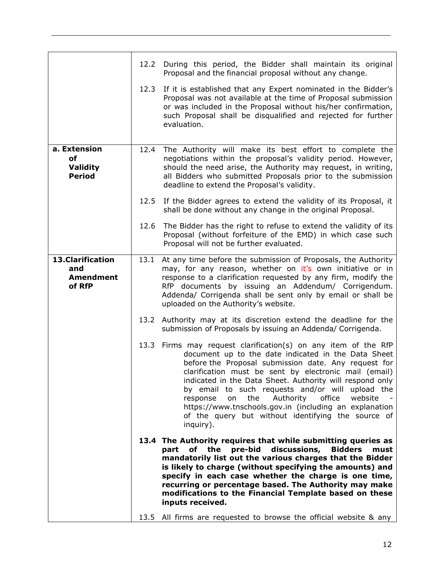<span id="page-11-0"></span>

|                                                               | 12.2 | During this period, the Bidder shall maintain its original<br>Proposal and the financial proposal without any change.                                                                                                                                                                                                                                                                                                                                                                                                                          |
|---------------------------------------------------------------|------|------------------------------------------------------------------------------------------------------------------------------------------------------------------------------------------------------------------------------------------------------------------------------------------------------------------------------------------------------------------------------------------------------------------------------------------------------------------------------------------------------------------------------------------------|
|                                                               | 12.3 | If it is established that any Expert nominated in the Bidder's<br>Proposal was not available at the time of Proposal submission<br>or was included in the Proposal without his/her confirmation,<br>such Proposal shall be disqualified and rejected for further<br>evaluation.                                                                                                                                                                                                                                                                |
| a. Extension<br><b>of</b><br><b>Validity</b><br><b>Period</b> | 12.4 | The Authority will make its best effort to complete the<br>negotiations within the proposal's validity period. However,<br>should the need arise, the Authority may request, in writing,<br>all Bidders who submitted Proposals prior to the submission<br>deadline to extend the Proposal's validity.                                                                                                                                                                                                                                         |
|                                                               | 12.5 | If the Bidder agrees to extend the validity of its Proposal, it<br>shall be done without any change in the original Proposal.                                                                                                                                                                                                                                                                                                                                                                                                                  |
|                                                               | 12.6 | The Bidder has the right to refuse to extend the validity of its<br>Proposal (without forfeiture of the EMD) in which case such<br>Proposal will not be further evaluated.                                                                                                                                                                                                                                                                                                                                                                     |
| 13.Clarification<br>and<br><b>Amendment</b><br>of RfP         |      | 13.1 At any time before the submission of Proposals, the Authority<br>may, for any reason, whether on it's own initiative or in<br>response to a clarification requested by any firm, modify the<br>RfP documents by issuing an Addendum/ Corrigendum.<br>Addenda/ Corrigenda shall be sent only by email or shall be<br>uploaded on the Authority's website.                                                                                                                                                                                  |
|                                                               |      | 13.2 Authority may at its discretion extend the deadline for the<br>submission of Proposals by issuing an Addenda/ Corrigenda.                                                                                                                                                                                                                                                                                                                                                                                                                 |
|                                                               |      | 13.3 Firms may request clarification(s) on any item of the RfP<br>document up to the date indicated in the Data Sheet<br>before the Proposal submission date. Any request for<br>clarification must be sent by electronic mail (email)<br>indicated in the Data Sheet. Authority will respond only<br>by email to such requests and/or will upload the<br>office<br>the<br>Authority<br>response<br>on<br>website<br>https://www.tnschools.gov.in (including an explanation<br>of the query but without identifying the source of<br>inguiry). |
|                                                               |      | 13.4 The Authority requires that while submitting queries as<br>discussions,<br>pre-bid<br><b>Bidders</b><br>part of the<br>must<br>mandatorily list out the various charges that the Bidder<br>is likely to charge (without specifying the amounts) and<br>specify in each case whether the charge is one time,<br>recurring or percentage based. The Authority may make<br>modifications to the Financial Template based on these<br>inputs received.                                                                                        |
|                                                               |      | 13.5 All firms are requested to browse the official website & any                                                                                                                                                                                                                                                                                                                                                                                                                                                                              |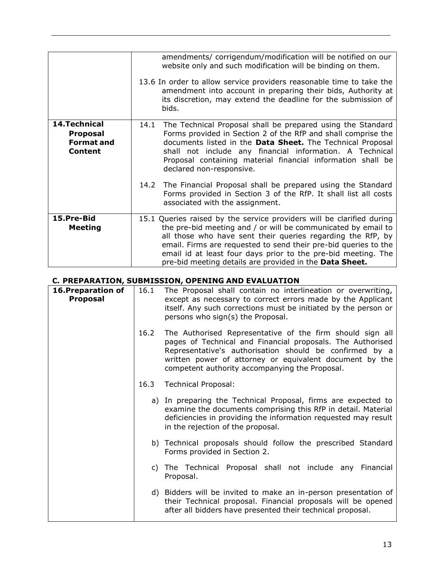<span id="page-12-0"></span>

|                                                                         | amendments/ corrigendum/modification will be notified on our<br>website only and such modification will be binding on them.<br>13.6 In order to allow service providers reasonable time to take the                                                                                                                                                                                                  |  |  |
|-------------------------------------------------------------------------|------------------------------------------------------------------------------------------------------------------------------------------------------------------------------------------------------------------------------------------------------------------------------------------------------------------------------------------------------------------------------------------------------|--|--|
|                                                                         | amendment into account in preparing their bids, Authority at<br>its discretion, may extend the deadline for the submission of<br>bids.                                                                                                                                                                                                                                                               |  |  |
| 14. Technical<br><b>Proposal</b><br><b>Format and</b><br><b>Content</b> | The Technical Proposal shall be prepared using the Standard<br>14.1<br>Forms provided in Section 2 of the RfP and shall comprise the<br>documents listed in the Data Sheet. The Technical Proposal<br>shall not include any financial information. A Technical<br>Proposal containing material financial information shall be<br>declared non-responsive.                                            |  |  |
|                                                                         | The Financial Proposal shall be prepared using the Standard<br>14.2<br>Forms provided in Section 3 of the RfP. It shall list all costs<br>associated with the assignment.                                                                                                                                                                                                                            |  |  |
| 15.Pre-Bid<br><b>Meeting</b>                                            | 15.1 Queries raised by the service providers will be clarified during<br>the pre-bid meeting and / or will be communicated by email to<br>all those who have sent their queries regarding the RfP, by<br>email. Firms are requested to send their pre-bid queries to the<br>email id at least four days prior to the pre-bid meeting. The<br>pre-bid meeting details are provided in the Data Sheet. |  |  |

#### <span id="page-12-2"></span><span id="page-12-1"></span>**C. PREPARATION, SUBMISSION, OPENING AND EVALUATION**

<span id="page-12-3"></span>

| 16. Preparation of<br><b>Proposal</b> | 16.1 | The Proposal shall contain no interlineation or overwriting,<br>except as necessary to correct errors made by the Applicant<br>itself. Any such corrections must be initiated by the person or<br>persons who sign(s) the Proposal.                                                             |
|---------------------------------------|------|-------------------------------------------------------------------------------------------------------------------------------------------------------------------------------------------------------------------------------------------------------------------------------------------------|
|                                       | 16.2 | The Authorised Representative of the firm should sign all<br>pages of Technical and Financial proposals. The Authorised<br>Representative's authorisation should be confirmed by a<br>written power of attorney or equivalent document by the<br>competent authority accompanying the Proposal. |
|                                       | 16.3 | Technical Proposal:                                                                                                                                                                                                                                                                             |
|                                       |      | a) In preparing the Technical Proposal, firms are expected to<br>examine the documents comprising this RfP in detail. Material<br>deficiencies in providing the information requested may result<br>in the rejection of the proposal.                                                           |
|                                       |      | b) Technical proposals should follow the prescribed Standard<br>Forms provided in Section 2.                                                                                                                                                                                                    |
|                                       |      | c) The Technical Proposal shall not include any<br>Financial<br>Proposal.                                                                                                                                                                                                                       |
|                                       |      | d) Bidders will be invited to make an in-person presentation of<br>their Technical proposal. Financial proposals will be opened<br>after all bidders have presented their technical proposal.                                                                                                   |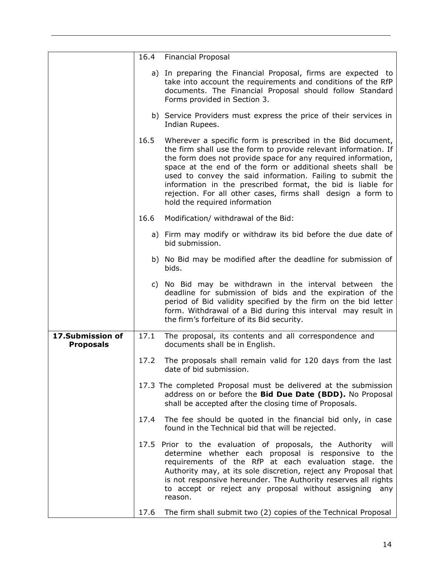<span id="page-13-0"></span>

|                                      | 16.4 | <b>Financial Proposal</b>                                                                                                                                                                                                                                                                                                                                                                                                                                                                   |
|--------------------------------------|------|---------------------------------------------------------------------------------------------------------------------------------------------------------------------------------------------------------------------------------------------------------------------------------------------------------------------------------------------------------------------------------------------------------------------------------------------------------------------------------------------|
|                                      |      | a) In preparing the Financial Proposal, firms are expected to<br>take into account the requirements and conditions of the RfP<br>documents. The Financial Proposal should follow Standard<br>Forms provided in Section 3.                                                                                                                                                                                                                                                                   |
|                                      |      | b) Service Providers must express the price of their services in<br>Indian Rupees.                                                                                                                                                                                                                                                                                                                                                                                                          |
|                                      | 16.5 | Wherever a specific form is prescribed in the Bid document,<br>the firm shall use the form to provide relevant information. If<br>the form does not provide space for any required information,<br>space at the end of the form or additional sheets shall be<br>used to convey the said information. Failing to submit the<br>information in the prescribed format, the bid is liable for<br>rejection. For all other cases, firms shall design a form to<br>hold the required information |
|                                      | 16.6 | Modification/ withdrawal of the Bid:                                                                                                                                                                                                                                                                                                                                                                                                                                                        |
|                                      |      | a) Firm may modify or withdraw its bid before the due date of<br>bid submission.                                                                                                                                                                                                                                                                                                                                                                                                            |
|                                      |      | b) No Bid may be modified after the deadline for submission of<br>bids.                                                                                                                                                                                                                                                                                                                                                                                                                     |
|                                      |      | c) No Bid may be withdrawn in the interval between the<br>deadline for submission of bids and the expiration of the<br>period of Bid validity specified by the firm on the bid letter<br>form. Withdrawal of a Bid during this interval may result in<br>the firm's forfeiture of its Bid security.                                                                                                                                                                                         |
| 17.Submission of<br><b>Proposals</b> | 17.1 | The proposal, its contents and all correspondence and<br>documents shall be in English.                                                                                                                                                                                                                                                                                                                                                                                                     |
|                                      | 17.2 | The proposals shall remain valid for 120 days from the last<br>date of bid submission.                                                                                                                                                                                                                                                                                                                                                                                                      |
|                                      |      | 17.3 The completed Proposal must be delivered at the submission<br>address on or before the Bid Due Date (BDD). No Proposal<br>shall be accepted after the closing time of Proposals.                                                                                                                                                                                                                                                                                                       |
|                                      | 17.4 | The fee should be quoted in the financial bid only, in case<br>found in the Technical bid that will be rejected.                                                                                                                                                                                                                                                                                                                                                                            |
|                                      |      | 17.5 Prior to the evaluation of proposals, the Authority<br>will<br>determine whether each proposal is responsive to the<br>requirements of the RfP at each evaluation stage. the<br>Authority may, at its sole discretion, reject any Proposal that<br>is not responsive hereunder. The Authority reserves all rights<br>to accept or reject any proposal without assigning<br>any<br>reason.                                                                                              |
|                                      | 17.6 | The firm shall submit two (2) copies of the Technical Proposal                                                                                                                                                                                                                                                                                                                                                                                                                              |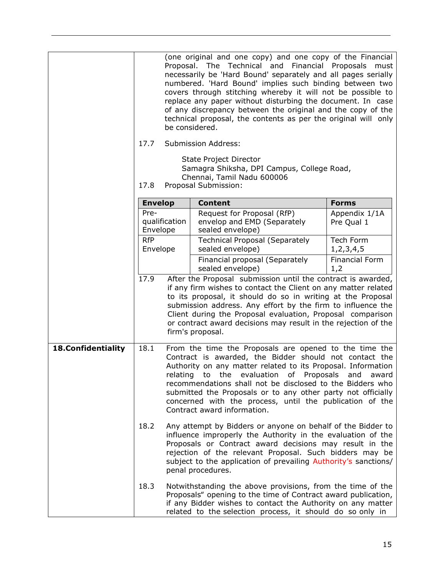<span id="page-14-0"></span>

|                           | 17.7<br>17.8                                                                                                                                                                                                                                                                                                                                                                                                                                                    |  | (one original and one copy) and one copy of the Financial<br>Proposal. The Technical and Financial Proposals<br>necessarily be 'Hard Bound' separately and all pages serially<br>numbered. 'Hard Bound' implies such binding between two<br>covers through stitching whereby it will not be possible to<br>replace any paper without disturbing the document. In case<br>of any discrepancy between the original and the copy of the<br>technical proposal, the contents as per the original will only<br>be considered.<br><b>Submission Address:</b><br>State Project Director<br>Samagra Shiksha, DPI Campus, College Road,<br>Chennai, Tamil Nadu 600006<br>Proposal Submission: | must                         |
|---------------------------|-----------------------------------------------------------------------------------------------------------------------------------------------------------------------------------------------------------------------------------------------------------------------------------------------------------------------------------------------------------------------------------------------------------------------------------------------------------------|--|--------------------------------------------------------------------------------------------------------------------------------------------------------------------------------------------------------------------------------------------------------------------------------------------------------------------------------------------------------------------------------------------------------------------------------------------------------------------------------------------------------------------------------------------------------------------------------------------------------------------------------------------------------------------------------------|------------------------------|
|                           |                                                                                                                                                                                                                                                                                                                                                                                                                                                                 |  | <b>Content</b>                                                                                                                                                                                                                                                                                                                                                                                                                                                                                                                                                                                                                                                                       | <b>Forms</b>                 |
|                           | <b>Envelop</b><br>Pre-<br>qualification<br>Envelope<br><b>RfP</b><br>Envelope                                                                                                                                                                                                                                                                                                                                                                                   |  | Request for Proposal (RfP)<br>envelop and EMD (Separately<br>sealed envelope)                                                                                                                                                                                                                                                                                                                                                                                                                                                                                                                                                                                                        | Appendix 1/1A<br>Pre Qual 1  |
|                           |                                                                                                                                                                                                                                                                                                                                                                                                                                                                 |  | <b>Technical Proposal (Separately</b><br>sealed envelope)                                                                                                                                                                                                                                                                                                                                                                                                                                                                                                                                                                                                                            | Tech Form<br>1,2,3,4,5       |
|                           |                                                                                                                                                                                                                                                                                                                                                                                                                                                                 |  | Financial proposal (Separately<br>sealed envelope)                                                                                                                                                                                                                                                                                                                                                                                                                                                                                                                                                                                                                                   | <b>Financial Form</b><br>1,2 |
|                           | 17.9                                                                                                                                                                                                                                                                                                                                                                                                                                                            |  | After the Proposal submission until the contract is awarded,<br>if any firm wishes to contact the Client on any matter related<br>to its proposal, it should do so in writing at the Proposal<br>submission address. Any effort by the firm to influence the<br>Client during the Proposal evaluation, Proposal comparison<br>or contract award decisions may result in the rejection of the<br>firm's proposal.                                                                                                                                                                                                                                                                     |                              |
| <b>18.Confidentiality</b> | 18.1<br>From the time the Proposals are opened to the time the<br>Contract is awarded, the Bidder should not contact the<br>Authority on any matter related to its Proposal. Information<br>relating to the evaluation of Proposals and<br>recommendations shall not be disclosed to the Bidders who<br>submitted the Proposals or to any other party not officially<br>concerned with the process, until the publication of the<br>Contract award information. |  |                                                                                                                                                                                                                                                                                                                                                                                                                                                                                                                                                                                                                                                                                      | award                        |
|                           | 18.2                                                                                                                                                                                                                                                                                                                                                                                                                                                            |  | Any attempt by Bidders or anyone on behalf of the Bidder to<br>influence improperly the Authority in the evaluation of the<br>Proposals or Contract award decisions may result in the<br>rejection of the relevant Proposal. Such bidders may be<br>subject to the application of prevailing Authority's sanctions/<br>penal procedures.                                                                                                                                                                                                                                                                                                                                             |                              |
|                           | 18.3                                                                                                                                                                                                                                                                                                                                                                                                                                                            |  | Notwithstanding the above provisions, from the time of the<br>Proposals" opening to the time of Contract award publication,<br>if any Bidder wishes to contact the Authority on any matter<br>related to the selection process, it should do so only in                                                                                                                                                                                                                                                                                                                                                                                                                              |                              |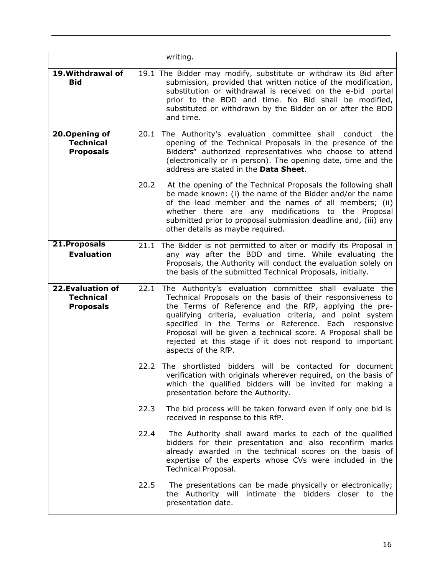<span id="page-15-3"></span><span id="page-15-2"></span><span id="page-15-1"></span><span id="page-15-0"></span>

|                                                           |      | writing.                                                                                                                                                                                                                                                                                                                                                                                                                                                    |
|-----------------------------------------------------------|------|-------------------------------------------------------------------------------------------------------------------------------------------------------------------------------------------------------------------------------------------------------------------------------------------------------------------------------------------------------------------------------------------------------------------------------------------------------------|
| 19. Withdrawal of<br><b>Bid</b>                           |      | 19.1 The Bidder may modify, substitute or withdraw its Bid after<br>submission, provided that written notice of the modification,<br>substitution or withdrawal is received on the e-bid portal<br>prior to the BDD and time. No Bid shall be modified,<br>substituted or withdrawn by the Bidder on or after the BDD<br>and time.                                                                                                                          |
| 20. Opening of<br><b>Technical</b><br><b>Proposals</b>    |      | 20.1 The Authority's evaluation committee shall conduct the<br>opening of the Technical Proposals in the presence of the<br>Bidders" authorized representatives who choose to attend<br>(electronically or in person). The opening date, time and the<br>address are stated in the Data Sheet.                                                                                                                                                              |
|                                                           | 20.2 | At the opening of the Technical Proposals the following shall<br>be made known: (i) the name of the Bidder and/or the name<br>of the lead member and the names of all members; (ii)<br>whether there are any modifications to the Proposal<br>submitted prior to proposal submission deadline and, (iii) any<br>other details as maybe required.                                                                                                            |
| 21. Proposals<br><b>Evaluation</b>                        | 21.1 | The Bidder is not permitted to alter or modify its Proposal in<br>any way after the BDD and time. While evaluating the<br>Proposals, the Authority will conduct the evaluation solely on<br>the basis of the submitted Technical Proposals, initially.                                                                                                                                                                                                      |
| 22. Evaluation of<br><b>Technical</b><br><b>Proposals</b> | 22.1 | The Authority's evaluation committee shall evaluate the<br>Technical Proposals on the basis of their responsiveness to<br>the Terms of Reference and the RfP, applying the pre-<br>qualifying criteria, evaluation criteria, and point system<br>specified in the Terms or Reference. Each responsive<br>Proposal will be given a technical score. A Proposal shall be<br>rejected at this stage if it does not respond to important<br>aspects of the RfP. |
|                                                           |      | 22.2 The shortlisted bidders will be contacted for document<br>verification with originals wherever required, on the basis of<br>which the qualified bidders will be invited for making a<br>presentation before the Authority.                                                                                                                                                                                                                             |
|                                                           | 22.3 | The bid process will be taken forward even if only one bid is<br>received in response to this RfP.                                                                                                                                                                                                                                                                                                                                                          |
|                                                           | 22.4 | The Authority shall award marks to each of the qualified<br>bidders for their presentation and also reconfirm marks<br>already awarded in the technical scores on the basis of<br>expertise of the experts whose CVs were included in the<br>Technical Proposal.                                                                                                                                                                                            |
|                                                           | 22.5 | The presentations can be made physically or electronically;<br>the Authority will intimate the bidders closer to the<br>presentation date.                                                                                                                                                                                                                                                                                                                  |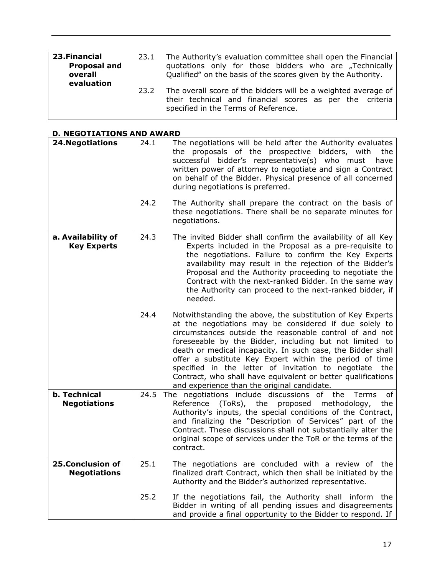<span id="page-16-0"></span>

| 23. Financial<br><b>Proposal and</b><br>overall | 23.1 | The Authority's evaluation committee shall open the Financial<br>quotations only for those bidders who are "Technically<br>Qualified" on the basis of the scores given by the Authority. |
|-------------------------------------------------|------|------------------------------------------------------------------------------------------------------------------------------------------------------------------------------------------|
| evaluation                                      | 23.2 | The overall score of the bidders will be a weighted average of<br>their technical and financial scores as per the criteria<br>specified in the Terms of Reference.                       |

# <span id="page-16-1"></span>**D. NEGOTIATIONS AND AWARD**

<span id="page-16-3"></span><span id="page-16-2"></span>

| <b>24. Negotiations</b>                    | 24.1 | The negotiations will be held after the Authority evaluates<br>the proposals of the prospective bidders, with<br>the<br>successful bidder's representative(s) who must<br>have<br>written power of attorney to negotiate and sign a Contract<br>on behalf of the Bidder. Physical presence of all concerned<br>during negotiations is preferred.                                                                                                                                                                                              |
|--------------------------------------------|------|-----------------------------------------------------------------------------------------------------------------------------------------------------------------------------------------------------------------------------------------------------------------------------------------------------------------------------------------------------------------------------------------------------------------------------------------------------------------------------------------------------------------------------------------------|
|                                            | 24.2 | The Authority shall prepare the contract on the basis of<br>these negotiations. There shall be no separate minutes for<br>negotiations.                                                                                                                                                                                                                                                                                                                                                                                                       |
| a. Availability of<br><b>Key Experts</b>   | 24.3 | The invited Bidder shall confirm the availability of all Key<br>Experts included in the Proposal as a pre-requisite to<br>the negotiations. Failure to confirm the Key Experts<br>availability may result in the rejection of the Bidder's<br>Proposal and the Authority proceeding to negotiate the<br>Contract with the next-ranked Bidder. In the same way<br>the Authority can proceed to the next-ranked bidder, if<br>needed.                                                                                                           |
|                                            | 24.4 | Notwithstanding the above, the substitution of Key Experts<br>at the negotiations may be considered if due solely to<br>circumstances outside the reasonable control of and not<br>foreseeable by the Bidder, including but not limited to<br>death or medical incapacity. In such case, the Bidder shall<br>offer a substitute Key Expert within the period of time<br>specified in the letter of invitation to negotiate the<br>Contract, who shall have equivalent or better qualifications<br>and experience than the original candidate. |
| <b>b. Technical</b><br><b>Negotiations</b> | 24.5 | The negotiations include discussions of the<br>of<br>Terms<br>(ToRs),<br>the<br>Reference<br>proposed<br>methodology,<br>the<br>Authority's inputs, the special conditions of the Contract,<br>and finalizing the "Description of Services" part of the<br>Contract. These discussions shall not substantially alter the<br>original scope of services under the ToR or the terms of the<br>contract.                                                                                                                                         |
| 25.Conclusion of<br><b>Negotiations</b>    | 25.1 | The negotiations are concluded with a review of the<br>finalized draft Contract, which then shall be initiated by the<br>Authority and the Bidder's authorized representative.                                                                                                                                                                                                                                                                                                                                                                |
|                                            | 25.2 | If the negotiations fail, the Authority shall inform the<br>Bidder in writing of all pending issues and disagreements<br>and provide a final opportunity to the Bidder to respond. If                                                                                                                                                                                                                                                                                                                                                         |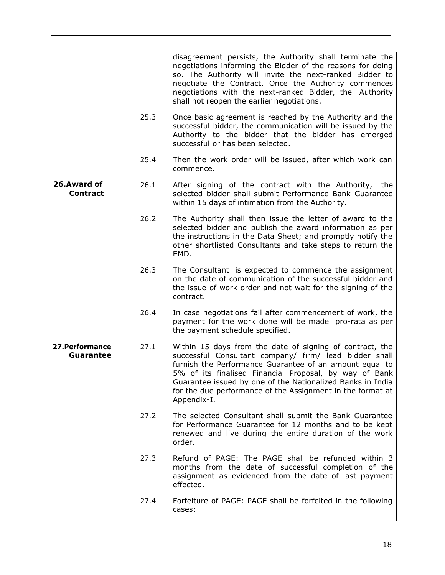<span id="page-17-1"></span><span id="page-17-0"></span>

|                                     |      | disagreement persists, the Authority shall terminate the<br>negotiations informing the Bidder of the reasons for doing<br>so. The Authority will invite the next-ranked Bidder to<br>negotiate the Contract. Once the Authority commences<br>negotiations with the next-ranked Bidder, the Authority<br>shall not reopen the earlier negotiations.                                 |
|-------------------------------------|------|------------------------------------------------------------------------------------------------------------------------------------------------------------------------------------------------------------------------------------------------------------------------------------------------------------------------------------------------------------------------------------|
|                                     | 25.3 | Once basic agreement is reached by the Authority and the<br>successful bidder, the communication will be issued by the<br>Authority to the bidder that the bidder has emerged<br>successful or has been selected.                                                                                                                                                                  |
|                                     | 25.4 | Then the work order will be issued, after which work can<br>commence.                                                                                                                                                                                                                                                                                                              |
| 26.Award of<br><b>Contract</b>      | 26.1 | After signing of the contract with the Authority, the<br>selected bidder shall submit Performance Bank Guarantee<br>within 15 days of intimation from the Authority.                                                                                                                                                                                                               |
|                                     | 26.2 | The Authority shall then issue the letter of award to the<br>selected bidder and publish the award information as per<br>the instructions in the Data Sheet; and promptly notify the<br>other shortlisted Consultants and take steps to return the<br>EMD.                                                                                                                         |
|                                     | 26.3 | The Consultant is expected to commence the assignment<br>on the date of communication of the successful bidder and<br>the issue of work order and not wait for the signing of the<br>contract.                                                                                                                                                                                     |
|                                     | 26.4 | In case negotiations fail after commencement of work, the<br>payment for the work done will be made pro-rata as per<br>the payment schedule specified.                                                                                                                                                                                                                             |
| 27. Performance<br><b>Guarantee</b> | 27.1 | Within 15 days from the date of signing of contract, the<br>successful Consultant company/ firm/ lead bidder shall<br>furnish the Performance Guarantee of an amount equal to<br>5% of its finalised Financial Proposal, by way of Bank<br>Guarantee issued by one of the Nationalized Banks in India<br>for the due performance of the Assignment in the format at<br>Appendix-I. |
|                                     | 27.2 | The selected Consultant shall submit the Bank Guarantee<br>for Performance Guarantee for 12 months and to be kept<br>renewed and live during the entire duration of the work<br>order.                                                                                                                                                                                             |
|                                     | 27.3 | Refund of PAGE: The PAGE shall be refunded within 3<br>months from the date of successful completion of the<br>assignment as evidenced from the date of last payment<br>effected.                                                                                                                                                                                                  |
|                                     | 27.4 | Forfeiture of PAGE: PAGE shall be forfeited in the following<br>cases:                                                                                                                                                                                                                                                                                                             |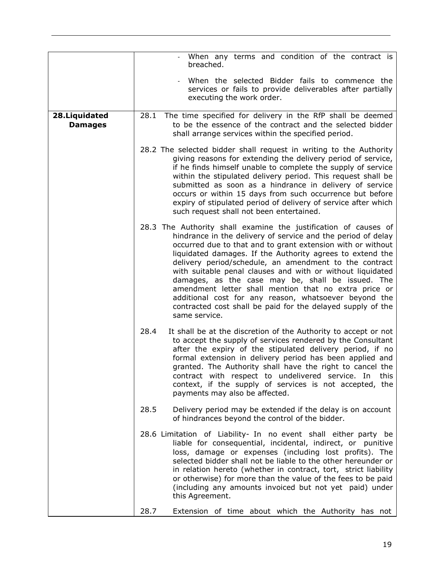<span id="page-18-0"></span>

|                                  | When any terms and condition of the contract is<br>breached.                                                                                                                                                                                                                                                                                                                                                                                                                                                                                                                                                                               |
|----------------------------------|--------------------------------------------------------------------------------------------------------------------------------------------------------------------------------------------------------------------------------------------------------------------------------------------------------------------------------------------------------------------------------------------------------------------------------------------------------------------------------------------------------------------------------------------------------------------------------------------------------------------------------------------|
|                                  | When the selected Bidder fails to commence the<br>services or fails to provide deliverables after partially<br>executing the work order.                                                                                                                                                                                                                                                                                                                                                                                                                                                                                                   |
| 28. Liquidated<br><b>Damages</b> | 28.1<br>The time specified for delivery in the RfP shall be deemed<br>to be the essence of the contract and the selected bidder<br>shall arrange services within the specified period.                                                                                                                                                                                                                                                                                                                                                                                                                                                     |
|                                  | 28.2 The selected bidder shall request in writing to the Authority<br>giving reasons for extending the delivery period of service,<br>if he finds himself unable to complete the supply of service<br>within the stipulated delivery period. This request shall be<br>submitted as soon as a hindrance in delivery of service<br>occurs or within 15 days from such occurrence but before<br>expiry of stipulated period of delivery of service after which<br>such request shall not been entertained.                                                                                                                                    |
|                                  | 28.3 The Authority shall examine the justification of causes of<br>hindrance in the delivery of service and the period of delay<br>occurred due to that and to grant extension with or without<br>liquidated damages. If the Authority agrees to extend the<br>delivery period/schedule, an amendment to the contract<br>with suitable penal clauses and with or without liquidated<br>damages, as the case may be, shall be issued. The<br>amendment letter shall mention that no extra price or<br>additional cost for any reason, whatsoever beyond the<br>contracted cost shall be paid for the delayed supply of the<br>same service. |
|                                  | 28.4<br>It shall be at the discretion of the Authority to accept or not<br>to accept the supply of services rendered by the Consultant<br>after the expiry of the stipulated delivery period, if no<br>formal extension in delivery period has been applied and<br>granted. The Authority shall have the right to cancel the<br>contract with respect to undelivered service. In this<br>context, if the supply of services is not accepted, the<br>payments may also be affected.                                                                                                                                                         |
|                                  | 28.5<br>Delivery period may be extended if the delay is on account<br>of hindrances beyond the control of the bidder.                                                                                                                                                                                                                                                                                                                                                                                                                                                                                                                      |
|                                  | 28.6 Limitation of Liability- In no event shall either party be<br>liable for consequential, incidental, indirect, or punitive<br>loss, damage or expenses (including lost profits). The<br>selected bidder shall not be liable to the other hereunder or<br>in relation hereto (whether in contract, tort, strict liability<br>or otherwise) for more than the value of the fees to be paid<br>(including any amounts invoiced but not yet paid) under<br>this Agreement.                                                                                                                                                                 |
|                                  | 28.7<br>Extension of time about which the Authority has not                                                                                                                                                                                                                                                                                                                                                                                                                                                                                                                                                                                |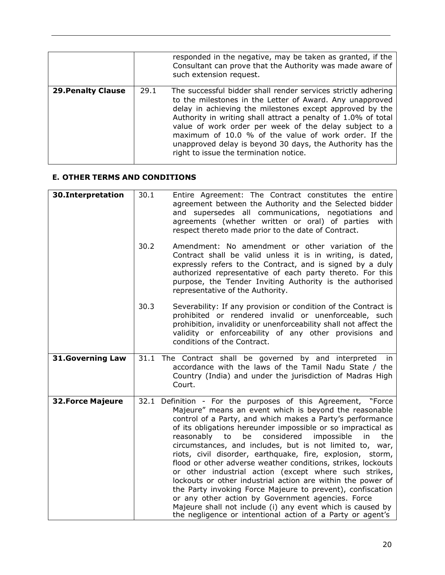<span id="page-19-0"></span>

|                           |      | responded in the negative, may be taken as granted, if the<br>Consultant can prove that the Authority was made aware of<br>such extension request.                                                                                                                                                                                                                                                                                                                              |
|---------------------------|------|---------------------------------------------------------------------------------------------------------------------------------------------------------------------------------------------------------------------------------------------------------------------------------------------------------------------------------------------------------------------------------------------------------------------------------------------------------------------------------|
| <b>29. Penalty Clause</b> | 29.1 | The successful bidder shall render services strictly adhering<br>to the milestones in the Letter of Award. Any unapproved<br>delay in achieving the milestones except approved by the<br>Authority in writing shall attract a penalty of 1.0% of total<br>value of work order per week of the delay subject to a<br>maximum of 10.0 % of the value of work order. If the<br>unapproved delay is beyond 30 days, the Authority has the<br>right to issue the termination notice. |

# <span id="page-19-1"></span>**E. OTHER TERMS AND CONDITIONS**

<span id="page-19-4"></span><span id="page-19-3"></span><span id="page-19-2"></span>

| 30.Interpretation       | 30.1<br>30.2 | Entire Agreement: The Contract constitutes the entire<br>agreement between the Authority and the Selected bidder<br>and supersedes all communications, negotiations<br>and<br>agreements (whether written or oral) of parties<br>with<br>respect thereto made prior to the date of Contract.<br>Amendment: No amendment or other variation of the                                                                                                                                                                                                                                                                                                                                                                                                                                                                                                                                        |
|-------------------------|--------------|------------------------------------------------------------------------------------------------------------------------------------------------------------------------------------------------------------------------------------------------------------------------------------------------------------------------------------------------------------------------------------------------------------------------------------------------------------------------------------------------------------------------------------------------------------------------------------------------------------------------------------------------------------------------------------------------------------------------------------------------------------------------------------------------------------------------------------------------------------------------------------------|
|                         |              | Contract shall be valid unless it is in writing, is dated,<br>expressly refers to the Contract, and is signed by a duly<br>authorized representative of each party thereto. For this<br>purpose, the Tender Inviting Authority is the authorised<br>representative of the Authority.                                                                                                                                                                                                                                                                                                                                                                                                                                                                                                                                                                                                     |
|                         | 30.3         | Severability: If any provision or condition of the Contract is<br>prohibited or rendered invalid or unenforceable, such<br>prohibition, invalidity or unenforceability shall not affect the<br>validity or enforceability of any other provisions and<br>conditions of the Contract.                                                                                                                                                                                                                                                                                                                                                                                                                                                                                                                                                                                                     |
| <b>31.Governing Law</b> |              | 31.1 The Contract shall be governed by and interpreted<br>in<br>accordance with the laws of the Tamil Nadu State / the<br>Country (India) and under the jurisdiction of Madras High<br>Court.                                                                                                                                                                                                                                                                                                                                                                                                                                                                                                                                                                                                                                                                                            |
| <b>32.Force Majeure</b> |              | 32.1 Definition - For the purposes of this Agreement, "Force<br>Majeure" means an event which is beyond the reasonable<br>control of a Party, and which makes a Party's performance<br>of its obligations hereunder impossible or so impractical as<br>considered<br>reasonably<br>impossible<br>to<br>be<br>in<br>the<br>circumstances, and includes, but is not limited to, war,<br>riots, civil disorder, earthquake, fire, explosion, storm,<br>flood or other adverse weather conditions, strikes, lockouts<br>or other industrial action (except where such strikes,<br>lockouts or other industrial action are within the power of<br>the Party invoking Force Majeure to prevent), confiscation<br>or any other action by Government agencies. Force<br>Majeure shall not include (i) any event which is caused by<br>the negligence or intentional action of a Party or agent's |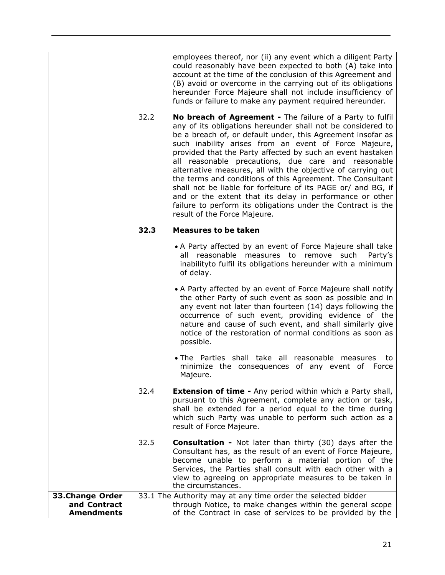<span id="page-20-0"></span>

|                                                      | 32.2 | employees thereof, nor (ii) any event which a diligent Party<br>could reasonably have been expected to both (A) take into<br>account at the time of the conclusion of this Agreement and<br>(B) avoid or overcome in the carrying out of its obligations<br>hereunder Force Majeure shall not include insufficiency of<br>funds or failure to make any payment required hereunder.<br>No breach of Agreement - The failure of a Party to fulfil<br>any of its obligations hereunder shall not be considered to<br>be a breach of, or default under, this Agreement insofar as<br>such inability arises from an event of Force Majeure,<br>provided that the Party affected by such an event hastaken<br>all reasonable precautions, due care and reasonable |
|------------------------------------------------------|------|-------------------------------------------------------------------------------------------------------------------------------------------------------------------------------------------------------------------------------------------------------------------------------------------------------------------------------------------------------------------------------------------------------------------------------------------------------------------------------------------------------------------------------------------------------------------------------------------------------------------------------------------------------------------------------------------------------------------------------------------------------------|
|                                                      |      | alternative measures, all with the objective of carrying out<br>the terms and conditions of this Agreement. The Consultant<br>shall not be liable for forfeiture of its PAGE or/ and BG, if<br>and or the extent that its delay in performance or other<br>failure to perform its obligations under the Contract is the<br>result of the Force Majeure.                                                                                                                                                                                                                                                                                                                                                                                                     |
|                                                      | 32.3 | <b>Measures to be taken</b>                                                                                                                                                                                                                                                                                                                                                                                                                                                                                                                                                                                                                                                                                                                                 |
|                                                      |      | • A Party affected by an event of Force Majeure shall take<br>all reasonable measures to remove such<br>Party's<br>inabilityto fulfil its obligations hereunder with a minimum<br>of delay.                                                                                                                                                                                                                                                                                                                                                                                                                                                                                                                                                                 |
|                                                      |      | • A Party affected by an event of Force Majeure shall notify<br>the other Party of such event as soon as possible and in<br>any event not later than fourteen (14) days following the<br>occurrence of such event, providing evidence of the<br>nature and cause of such event, and shall similarly give<br>notice of the restoration of normal conditions as soon as<br>possible.                                                                                                                                                                                                                                                                                                                                                                          |
|                                                      |      | • The Parties shall take all reasonable measures<br>to<br>minimize the consequences of any event of Force<br>Majeure.                                                                                                                                                                                                                                                                                                                                                                                                                                                                                                                                                                                                                                       |
|                                                      | 32.4 | <b>Extension of time -</b> Any period within which a Party shall,<br>pursuant to this Agreement, complete any action or task,<br>shall be extended for a period equal to the time during<br>which such Party was unable to perform such action as a<br>result of Force Majeure.                                                                                                                                                                                                                                                                                                                                                                                                                                                                             |
|                                                      | 32.5 | <b>Consultation -</b> Not later than thirty (30) days after the<br>Consultant has, as the result of an event of Force Majeure,<br>become unable to perform a material portion of the<br>Services, the Parties shall consult with each other with a<br>view to agreeing on appropriate measures to be taken in<br>the circumstances.                                                                                                                                                                                                                                                                                                                                                                                                                         |
| 33.Change Order<br>and Contract<br><b>Amendments</b> |      | 33.1 The Authority may at any time order the selected bidder<br>through Notice, to make changes within the general scope<br>of the Contract in case of services to be provided by the                                                                                                                                                                                                                                                                                                                                                                                                                                                                                                                                                                       |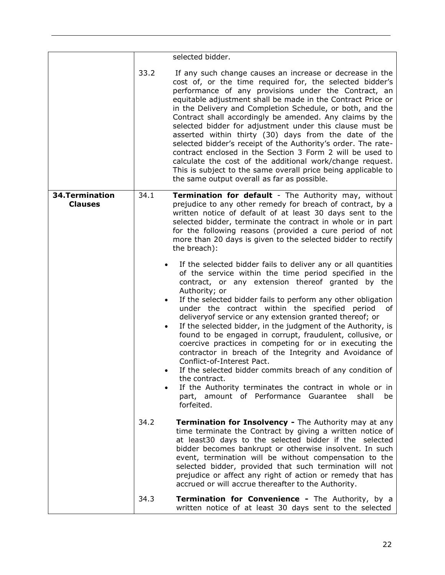<span id="page-21-0"></span>

|                                   |                        | selected bidder.                                                                                                                                                                                                                                                                                                                                                                                                                                                                                                                                                                                                                                                                                                                                                                                                                                                                 |
|-----------------------------------|------------------------|----------------------------------------------------------------------------------------------------------------------------------------------------------------------------------------------------------------------------------------------------------------------------------------------------------------------------------------------------------------------------------------------------------------------------------------------------------------------------------------------------------------------------------------------------------------------------------------------------------------------------------------------------------------------------------------------------------------------------------------------------------------------------------------------------------------------------------------------------------------------------------|
|                                   |                        |                                                                                                                                                                                                                                                                                                                                                                                                                                                                                                                                                                                                                                                                                                                                                                                                                                                                                  |
|                                   | 33.2                   | If any such change causes an increase or decrease in the<br>cost of, or the time required for, the selected bidder's<br>performance of any provisions under the Contract, an<br>equitable adjustment shall be made in the Contract Price or<br>in the Delivery and Completion Schedule, or both, and the<br>Contract shall accordingly be amended. Any claims by the<br>selected bidder for adjustment under this clause must be<br>asserted within thirty (30) days from the date of the<br>selected bidder's receipt of the Authority's order. The rate-<br>contract enclosed in the Section 3 Form 2 will be used to<br>calculate the cost of the additional work/change request.<br>This is subject to the same overall price being applicable to<br>the same output overall as far as possible.                                                                             |
| 34. Termination<br><b>Clauses</b> | 34.1                   | Termination for default - The Authority may, without<br>prejudice to any other remedy for breach of contract, by a<br>written notice of default of at least 30 days sent to the<br>selected bidder, terminate the contract in whole or in part<br>for the following reasons (provided a cure period of not<br>more than 20 days is given to the selected bidder to rectify<br>the breach):                                                                                                                                                                                                                                                                                                                                                                                                                                                                                       |
|                                   | $\bullet$<br>$\bullet$ | If the selected bidder fails to deliver any or all quantities<br>of the service within the time period specified in the<br>contract, or any extension thereof granted by the<br>Authority; or<br>If the selected bidder fails to perform any other obligation<br>under the contract within the specified period<br>0f<br>delivery of service or any extension granted thereof; or<br>If the selected bidder, in the judgment of the Authority, is<br>found to be engaged in corrupt, fraudulent, collusive, or<br>coercive practices in competing for or in executing the<br>contractor in breach of the Integrity and Avoidance of<br>Conflict-of-Interest Pact.<br>If the selected bidder commits breach of any condition of<br>the contract.<br>If the Authority terminates the contract in whole or in<br>part, amount of Performance Guarantee<br>shall<br>be<br>forfeited. |
|                                   | 34.2                   | <b>Termination for Insolvency -</b> The Authority may at any<br>time terminate the Contract by giving a written notice of<br>at least30 days to the selected bidder if the selected<br>bidder becomes bankrupt or otherwise insolvent. In such<br>event, termination will be without compensation to the<br>selected bidder, provided that such termination will not<br>prejudice or affect any right of action or remedy that has<br>accrued or will accrue thereafter to the Authority.                                                                                                                                                                                                                                                                                                                                                                                        |
|                                   | 34.3                   | <b>Termination for Convenience - The Authority, by a</b><br>written notice of at least 30 days sent to the selected                                                                                                                                                                                                                                                                                                                                                                                                                                                                                                                                                                                                                                                                                                                                                              |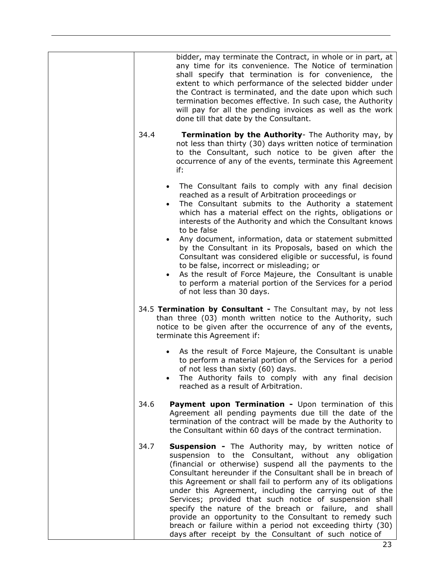|                        | bidder, may terminate the Contract, in whole or in part, at<br>any time for its convenience. The Notice of termination<br>shall specify that termination is for convenience, the<br>extent to which performance of the selected bidder under<br>the Contract is terminated, and the date upon which such<br>termination becomes effective. In such case, the Authority<br>will pay for all the pending invoices as well as the work<br>done till that date by the Consultant.                                                                                                                                                                                                     |
|------------------------|-----------------------------------------------------------------------------------------------------------------------------------------------------------------------------------------------------------------------------------------------------------------------------------------------------------------------------------------------------------------------------------------------------------------------------------------------------------------------------------------------------------------------------------------------------------------------------------------------------------------------------------------------------------------------------------|
| 34.4                   | Termination by the Authority- The Authority may, by<br>not less than thirty (30) days written notice of termination<br>to the Consultant, such notice to be given after the<br>occurrence of any of the events, terminate this Agreement<br>if:                                                                                                                                                                                                                                                                                                                                                                                                                                   |
| $\bullet$<br>$\bullet$ | The Consultant fails to comply with any final decision<br>reached as a result of Arbitration proceedings or<br>The Consultant submits to the Authority a statement<br>which has a material effect on the rights, obligations or<br>interests of the Authority and which the Consultant knows<br>to be false                                                                                                                                                                                                                                                                                                                                                                       |
| $\bullet$<br>$\bullet$ | Any document, information, data or statement submitted<br>by the Consultant in its Proposals, based on which the<br>Consultant was considered eligible or successful, is found<br>to be false, incorrect or misleading; or<br>As the result of Force Majeure, the Consultant is unable<br>to perform a material portion of the Services for a period<br>of not less than 30 days.                                                                                                                                                                                                                                                                                                 |
|                        | 34.5 Termination by Consultant - The Consultant may, by not less<br>than three (03) month written notice to the Authority, such<br>notice to be given after the occurrence of any of the events,<br>terminate this Agreement if:                                                                                                                                                                                                                                                                                                                                                                                                                                                  |
| $\bullet$              | As the result of Force Majeure, the Consultant is unable<br>to perform a material portion of the Services for a period<br>of not less than sixty (60) days.<br>The Authority fails to comply with any final decision<br>reached as a result of Arbitration.                                                                                                                                                                                                                                                                                                                                                                                                                       |
| 34.6                   | Payment upon Termination - Upon termination of this<br>Agreement all pending payments due till the date of the<br>termination of the contract will be made by the Authority to<br>the Consultant within 60 days of the contract termination.                                                                                                                                                                                                                                                                                                                                                                                                                                      |
| 34.7                   | Suspension - The Authority may, by written notice of<br>suspension to the Consultant, without any obligation<br>(financial or otherwise) suspend all the payments to the<br>Consultant hereunder if the Consultant shall be in breach of<br>this Agreement or shall fail to perform any of its obligations<br>under this Agreement, including the carrying out of the<br>Services; provided that such notice of suspension shall<br>specify the nature of the breach or failure, and<br>shall<br>provide an opportunity to the Consultant to remedy such<br>breach or failure within a period not exceeding thirty (30)<br>days after receipt by the Consultant of such notice of |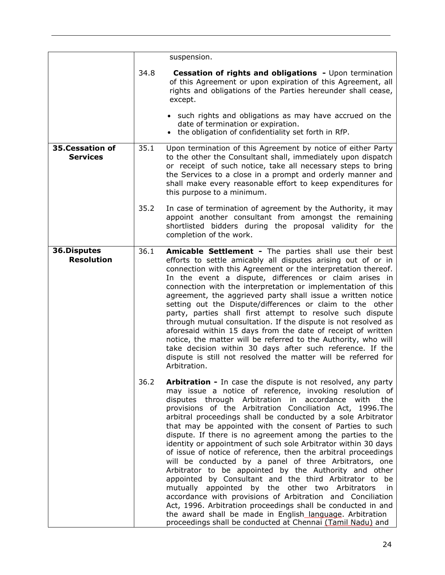<span id="page-23-1"></span><span id="page-23-0"></span>

|                                    |      | suspension.                                                                                                                                                                                                                                                                                                                                                                                                                                                                                                                                                                                                                                                                                                                                                                                                                                                                                                                                                                                                                                                                          |
|------------------------------------|------|--------------------------------------------------------------------------------------------------------------------------------------------------------------------------------------------------------------------------------------------------------------------------------------------------------------------------------------------------------------------------------------------------------------------------------------------------------------------------------------------------------------------------------------------------------------------------------------------------------------------------------------------------------------------------------------------------------------------------------------------------------------------------------------------------------------------------------------------------------------------------------------------------------------------------------------------------------------------------------------------------------------------------------------------------------------------------------------|
|                                    | 34.8 | <b>Cessation of rights and obligations - Upon termination</b><br>of this Agreement or upon expiration of this Agreement, all<br>rights and obligations of the Parties hereunder shall cease,<br>except.                                                                                                                                                                                                                                                                                                                                                                                                                                                                                                                                                                                                                                                                                                                                                                                                                                                                              |
|                                    |      | • such rights and obligations as may have accrued on the<br>date of termination or expiration.<br>the obligation of confidentiality set forth in RfP.                                                                                                                                                                                                                                                                                                                                                                                                                                                                                                                                                                                                                                                                                                                                                                                                                                                                                                                                |
| 35.Cessation of<br><b>Services</b> | 35.1 | Upon termination of this Agreement by notice of either Party<br>to the other the Consultant shall, immediately upon dispatch<br>or receipt of such notice, take all necessary steps to bring<br>the Services to a close in a prompt and orderly manner and<br>shall make every reasonable effort to keep expenditures for<br>this purpose to a minimum.                                                                                                                                                                                                                                                                                                                                                                                                                                                                                                                                                                                                                                                                                                                              |
|                                    | 35.2 | In case of termination of agreement by the Authority, it may<br>appoint another consultant from amongst the remaining<br>shortlisted bidders during the proposal validity for the<br>completion of the work.                                                                                                                                                                                                                                                                                                                                                                                                                                                                                                                                                                                                                                                                                                                                                                                                                                                                         |
| 36.Disputes<br><b>Resolution</b>   | 36.1 | Amicable Settlement - The parties shall use their best<br>efforts to settle amicably all disputes arising out of or in<br>connection with this Agreement or the interpretation thereof.<br>In the event a dispute, differences or claim arises in<br>connection with the interpretation or implementation of this<br>agreement, the aggrieved party shall issue a written notice<br>setting out the Dispute/differences or claim to the other<br>party, parties shall first attempt to resolve such dispute<br>through mutual consultation. If the dispute is not resolved as<br>aforesaid within 15 days from the date of receipt of written<br>notice, the matter will be referred to the Authority, who will<br>take decision within 30 days after such reference. If the<br>dispute is still not resolved the matter will be referred for<br>Arbitration.                                                                                                                                                                                                                        |
|                                    | 36.2 | Arbitration - In case the dispute is not resolved, any party<br>may issue a notice of reference, invoking resolution of<br>disputes through Arbitration<br>in<br>accordance<br>with<br>the<br>provisions of the Arbitration Conciliation Act, 1996. The<br>arbitral proceedings shall be conducted by a sole Arbitrator<br>that may be appointed with the consent of Parties to such<br>dispute. If there is no agreement among the parties to the<br>identity or appointment of such sole Arbitrator within 30 days<br>of issue of notice of reference, then the arbitral proceedings<br>will be conducted by a panel of three Arbitrators, one<br>Arbitrator to be appointed by the Authority and other<br>appointed by Consultant and the third Arbitrator to be<br>mutually appointed by the other two Arbitrators<br>in<br>accordance with provisions of Arbitration and Conciliation<br>Act, 1996. Arbitration proceedings shall be conducted in and<br>the award shall be made in English language. Arbitration<br>proceedings shall be conducted at Chennai (Tamil Nadu) and |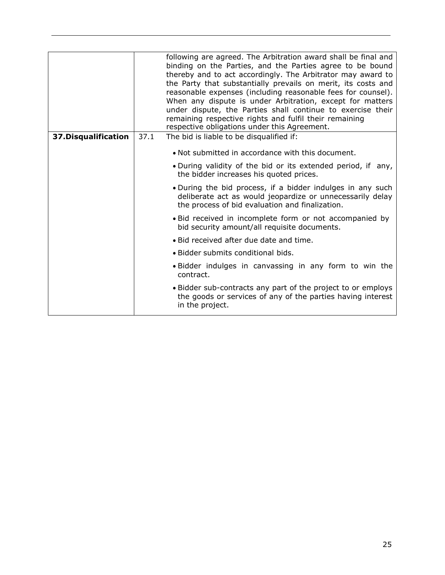<span id="page-24-0"></span>

|                      |      | following are agreed. The Arbitration award shall be final and<br>binding on the Parties, and the Parties agree to be bound<br>thereby and to act accordingly. The Arbitrator may award to<br>the Party that substantially prevails on merit, its costs and<br>reasonable expenses (including reasonable fees for counsel).<br>When any dispute is under Arbitration, except for matters<br>under dispute, the Parties shall continue to exercise their<br>remaining respective rights and fulfil their remaining<br>respective obligations under this Agreement. |
|----------------------|------|-------------------------------------------------------------------------------------------------------------------------------------------------------------------------------------------------------------------------------------------------------------------------------------------------------------------------------------------------------------------------------------------------------------------------------------------------------------------------------------------------------------------------------------------------------------------|
| 37. Disqualification | 37.1 | The bid is liable to be disqualified if:                                                                                                                                                                                                                                                                                                                                                                                                                                                                                                                          |
|                      |      | • Not submitted in accordance with this document.                                                                                                                                                                                                                                                                                                                                                                                                                                                                                                                 |
|                      |      | • During validity of the bid or its extended period, if any,<br>the bidder increases his quoted prices.                                                                                                                                                                                                                                                                                                                                                                                                                                                           |
|                      |      | . During the bid process, if a bidder indulges in any such<br>deliberate act as would jeopardize or unnecessarily delay<br>the process of bid evaluation and finalization.                                                                                                                                                                                                                                                                                                                                                                                        |
|                      |      | • Bid received in incomplete form or not accompanied by<br>bid security amount/all requisite documents.                                                                                                                                                                                                                                                                                                                                                                                                                                                           |
|                      |      | • Bid received after due date and time.                                                                                                                                                                                                                                                                                                                                                                                                                                                                                                                           |
|                      |      | • Bidder submits conditional bids.                                                                                                                                                                                                                                                                                                                                                                                                                                                                                                                                |
|                      |      | • Bidder indulges in canvassing in any form to win the<br>contract.                                                                                                                                                                                                                                                                                                                                                                                                                                                                                               |
|                      |      | • Bidder sub-contracts any part of the project to or employs<br>the goods or services of any of the parties having interest<br>in the project.                                                                                                                                                                                                                                                                                                                                                                                                                    |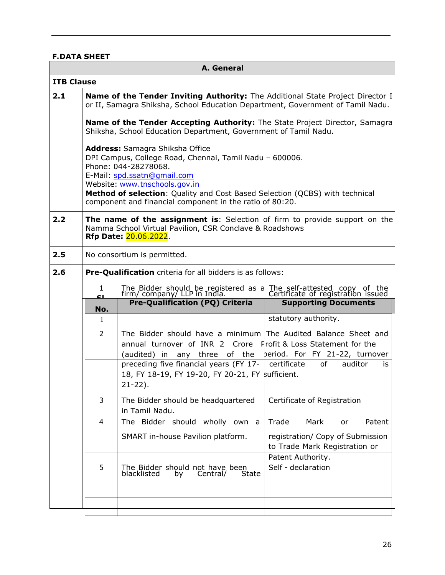# <span id="page-25-0"></span>**F.DATA SHEET**

| A. General        |                                                                                                                                                                                                                                     |                                                                                                                                                                                                                                                                                                                               |                                 |  |  |  |  |
|-------------------|-------------------------------------------------------------------------------------------------------------------------------------------------------------------------------------------------------------------------------------|-------------------------------------------------------------------------------------------------------------------------------------------------------------------------------------------------------------------------------------------------------------------------------------------------------------------------------|---------------------------------|--|--|--|--|
| <b>ITB Clause</b> |                                                                                                                                                                                                                                     |                                                                                                                                                                                                                                                                                                                               |                                 |  |  |  |  |
| 2.1               | Name of the Tender Inviting Authority: The Additional State Project Director I<br>or II, Samagra Shiksha, School Education Department, Government of Tamil Nadu.                                                                    |                                                                                                                                                                                                                                                                                                                               |                                 |  |  |  |  |
|                   | Name of the Tender Accepting Authority: The State Project Director, Samagra<br>Shiksha, School Education Department, Government of Tamil Nadu.                                                                                      |                                                                                                                                                                                                                                                                                                                               |                                 |  |  |  |  |
|                   |                                                                                                                                                                                                                                     | Address: Samagra Shiksha Office<br>DPI Campus, College Road, Chennai, Tamil Nadu - 600006.<br>Phone: 044-28278068.<br>E-Mail: spd.ssatn@gmail.com<br>Website: www.tnschools.gov.in<br>Method of selection: Quality and Cost Based Selection (QCBS) with technical<br>component and financial component in the ratio of 80:20. |                                 |  |  |  |  |
| 2.2               | The name of the assignment is: Selection of firm to provide support on the<br>Namma School Virtual Pavilion, CSR Conclave & Roadshows<br>Rfp Date: 20.06.2022.                                                                      |                                                                                                                                                                                                                                                                                                                               |                                 |  |  |  |  |
| 2.5               |                                                                                                                                                                                                                                     | No consortium is permitted.                                                                                                                                                                                                                                                                                                   |                                 |  |  |  |  |
| 2.6               |                                                                                                                                                                                                                                     | Pre-Qualification criteria for all bidders is as follows:                                                                                                                                                                                                                                                                     |                                 |  |  |  |  |
|                   | $\mathbf{1}$<br>CL.                                                                                                                                                                                                                 | The Bidder should be registered as a The self-attested copy of the firm/company/ LLP in India.<br>Certificate of registration issued                                                                                                                                                                                          |                                 |  |  |  |  |
|                   | No.                                                                                                                                                                                                                                 | <b>Pre-Qualification (PQ) Criteria</b>                                                                                                                                                                                                                                                                                        | <b>Supporting Documents</b>     |  |  |  |  |
|                   | 1                                                                                                                                                                                                                                   |                                                                                                                                                                                                                                                                                                                               | statutory authority.            |  |  |  |  |
|                   | 2                                                                                                                                                                                                                                   | The Bidder should have a minimum The Audited Balance Sheet and<br>annual turnover of INR 2 Crore                                                                                                                                                                                                                              | Frofit & Loss Statement for the |  |  |  |  |
|                   |                                                                                                                                                                                                                                     | (audited) in any three of the                                                                                                                                                                                                                                                                                                 | beriod. For FY 21-22, turnover  |  |  |  |  |
|                   |                                                                                                                                                                                                                                     | preceding five financial years (FY 17- $\vert$ certificate<br>18, FY 18-19, FY 19-20, FY 20-21, FY sufficient.<br>$21 - 22$ ).                                                                                                                                                                                                | of<br>auditor<br>is.            |  |  |  |  |
|                   | 3<br>The Bidder should be headquartered<br>Certificate of Registration<br>in Tamil Nadu.                                                                                                                                            |                                                                                                                                                                                                                                                                                                                               |                                 |  |  |  |  |
|                   | 4                                                                                                                                                                                                                                   | The Bidder should wholly<br>own a                                                                                                                                                                                                                                                                                             | Trade<br>Mark<br>Patent<br>or   |  |  |  |  |
|                   | SMART in-house Pavilion platform.<br>registration/ Copy of Submission<br>to Trade Mark Registration or<br>Patent Authority.<br>Self - declaration<br>5<br>The Bidder should not have been<br>blacklisted<br>State<br>Central/<br>by |                                                                                                                                                                                                                                                                                                                               |                                 |  |  |  |  |
|                   |                                                                                                                                                                                                                                     |                                                                                                                                                                                                                                                                                                                               |                                 |  |  |  |  |
|                   |                                                                                                                                                                                                                                     |                                                                                                                                                                                                                                                                                                                               |                                 |  |  |  |  |
|                   |                                                                                                                                                                                                                                     |                                                                                                                                                                                                                                                                                                                               |                                 |  |  |  |  |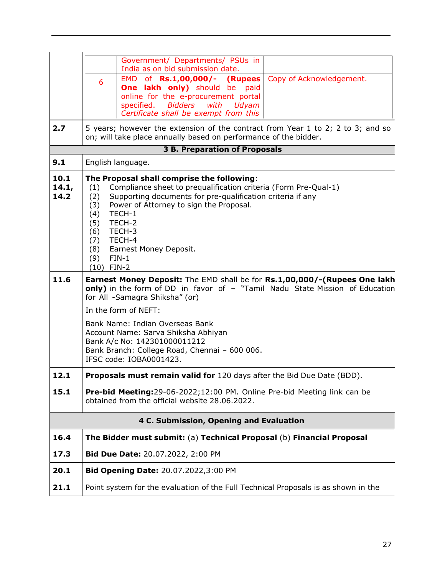|                       |                                                                                        | Government/ Departments/ PSUs in<br>India as on bid submission date.                                                                                                                                                                                                                            |  |
|-----------------------|----------------------------------------------------------------------------------------|-------------------------------------------------------------------------------------------------------------------------------------------------------------------------------------------------------------------------------------------------------------------------------------------------|--|
|                       | 6                                                                                      | EMD of Rs.1,00,000/- (Rupees<br>Copy of Acknowledgement.<br>One lakh only) should be<br>paid<br>online for the e-procurement portal<br>specified. Bidders<br>with<br>Udyam<br>Certificate shall be exempt from this                                                                             |  |
| 2.7                   |                                                                                        | 5 years; however the extension of the contract from Year 1 to 2; 2 to 3; and so<br>on; will take place annually based on performance of the bidder.                                                                                                                                             |  |
|                       |                                                                                        | <b>3 B. Preparation of Proposals</b>                                                                                                                                                                                                                                                            |  |
| 9.1                   | English language.                                                                      |                                                                                                                                                                                                                                                                                                 |  |
| 10.1<br>14.1,<br>14.2 | (1)<br>(2)<br>(3)<br>(4)<br>(5)<br>(6)<br>(7)<br>(8)<br>$FIN-1$<br>(9)<br>$(10)$ FIN-2 | The Proposal shall comprise the following:<br>Compliance sheet to prequalification criteria (Form Pre-Qual-1)<br>Supporting documents for pre-qualification criteria if any<br>Power of Attorney to sign the Proposal.<br>TECH-1<br>TECH-2<br>TECH-3<br>TECH-4<br><b>Earnest Money Deposit.</b> |  |
| 11.6                  |                                                                                        | Earnest Money Deposit: The EMD shall be for Rs.1,00,000/-(Rupees One lakh<br>only) in the form of DD in favor of - "Tamil Nadu State Mission of Education<br>for All -Samagra Shiksha" (or)                                                                                                     |  |
|                       |                                                                                        |                                                                                                                                                                                                                                                                                                 |  |
|                       |                                                                                        | In the form of NEFT:                                                                                                                                                                                                                                                                            |  |
|                       |                                                                                        | Bank Name: Indian Overseas Bank<br>Account Name: Sarva Shiksha Abhiyan<br>Bank A/c No: 142301000011212<br>Bank Branch: College Road, Chennai - 600 006.<br>IFSC code: IOBA0001423.                                                                                                              |  |
| 12.1                  |                                                                                        | Proposals must remain valid for 120 days after the Bid Due Date (BDD).                                                                                                                                                                                                                          |  |
| 15.1                  |                                                                                        | Pre-bid Meeting:29-06-2022;12:00 PM. Online Pre-bid Meeting link can be<br>obtained from the official website 28.06.2022.                                                                                                                                                                       |  |
|                       |                                                                                        | 4 C. Submission, Opening and Evaluation                                                                                                                                                                                                                                                         |  |
| 16.4                  |                                                                                        | The Bidder must submit: (a) Technical Proposal (b) Financial Proposal                                                                                                                                                                                                                           |  |
| 17.3                  |                                                                                        | Bid Due Date: 20.07.2022, 2:00 PM                                                                                                                                                                                                                                                               |  |
| 20.1                  |                                                                                        | Bid Opening Date: 20.07.2022,3:00 PM                                                                                                                                                                                                                                                            |  |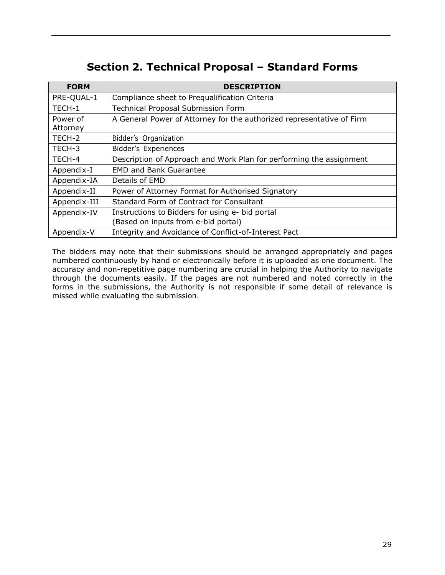# **Section 2. Technical Proposal – Standard Forms**

<span id="page-28-0"></span>

| <b>FORM</b>  | <b>DESCRIPTION</b>                                                    |
|--------------|-----------------------------------------------------------------------|
| PRE-QUAL-1   | Compliance sheet to Prequalification Criteria                         |
| TECH-1       | <b>Technical Proposal Submission Form</b>                             |
| Power of     | A General Power of Attorney for the authorized representative of Firm |
| Attorney     |                                                                       |
| TECH-2       | Bidder's Organization                                                 |
| TECH-3       | Bidder's Experiences                                                  |
| TECH-4       | Description of Approach and Work Plan for performing the assignment   |
| Appendix-I   | <b>EMD and Bank Guarantee</b>                                         |
| Appendix-IA  | Details of EMD                                                        |
| Appendix-II  | Power of Attorney Format for Authorised Signatory                     |
| Appendix-III | Standard Form of Contract for Consultant                              |
| Appendix-IV  | Instructions to Bidders for using e- bid portal                       |
|              | (Based on inputs from e-bid portal)                                   |
| Appendix-V   | Integrity and Avoidance of Conflict-of-Interest Pact                  |

The bidders may note that their submissions should be arranged appropriately and pages numbered continuously by hand or electronically before it is uploaded as one document. The accuracy and non-repetitive page numbering are crucial in helping the Authority to navigate through the documents easily. If the pages are not numbered and noted correctly in the forms in the submissions, the Authority is not responsible if some detail of relevance is missed while evaluating the submission.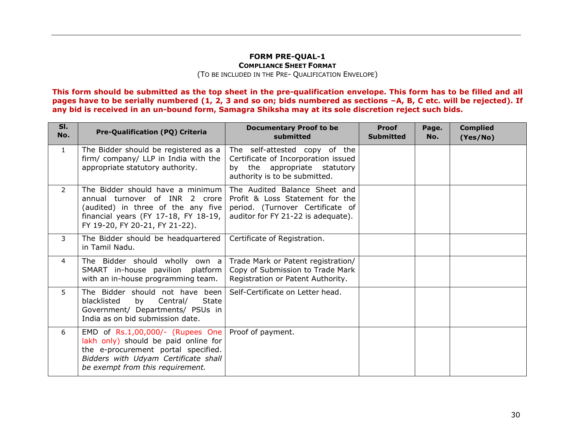#### **FORM PRE-QUAL-1 COMPLIANCE SHEET FORMAT** (TO BE INCLUDED IN THE PRE- QUALIFICATION ENVELOPE)

**This form should be submitted as the top sheet in the pre-qualification envelope. This form has to be filled and all pages have to be serially numbered (1, 2, 3 and so on; bids numbered as sections –A, B, C etc. will be rejected). If any bid is received in an un-bound form, Samagra Shiksha may at its sole discretion reject such bids.**

<span id="page-29-0"></span>

| SI.<br>No.     | Pre-Qualification (PQ) Criteria                                                                                                                                                                | <b>Documentary Proof to be</b><br>submitted                                                                                                | <b>Proof</b><br><b>Submitted</b> | Page.<br>No. | <b>Complied</b><br>(Yes/No) |
|----------------|------------------------------------------------------------------------------------------------------------------------------------------------------------------------------------------------|--------------------------------------------------------------------------------------------------------------------------------------------|----------------------------------|--------------|-----------------------------|
| $\mathbf{1}$   | The Bidder should be registered as a<br>firm/ company/ LLP in India with the<br>appropriate statutory authority.                                                                               | The self-attested copy of the<br>Certificate of Incorporation issued<br>by the appropriate statutory<br>authority is to be submitted.      |                                  |              |                             |
| $\overline{2}$ | The Bidder should have a minimum<br>annual turnover of INR 2 crore<br>(audited) in three of the any five<br>financial years (FY 17-18, FY 18-19,<br>FY 19-20, FY 20-21, FY 21-22).             | The Audited Balance Sheet and<br>Profit & Loss Statement for the<br>period. (Turnover Certificate of<br>auditor for FY 21-22 is adequate). |                                  |              |                             |
| 3              | The Bidder should be headquartered<br>in Tamil Nadu.                                                                                                                                           | Certificate of Registration.                                                                                                               |                                  |              |                             |
| 4              | The Bidder should wholly own a<br>SMART in-house pavilion platform<br>with an in-house programming team.                                                                                       | Trade Mark or Patent registration/<br>Copy of Submission to Trade Mark<br>Registration or Patent Authority.                                |                                  |              |                             |
| 5              | The Bidder should not have been<br>blacklisted<br><b>State</b><br>by<br>Central/<br>Government/ Departments/ PSUs in<br>India as on bid submission date.                                       | Self-Certificate on Letter head.                                                                                                           |                                  |              |                             |
| 6              | EMD of $Rs.1,00,000/$ - (Rupees One<br>lakh only) should be paid online for<br>the e-procurement portal specified.<br>Bidders with Udyam Certificate shall<br>be exempt from this requirement. | Proof of payment.                                                                                                                          |                                  |              |                             |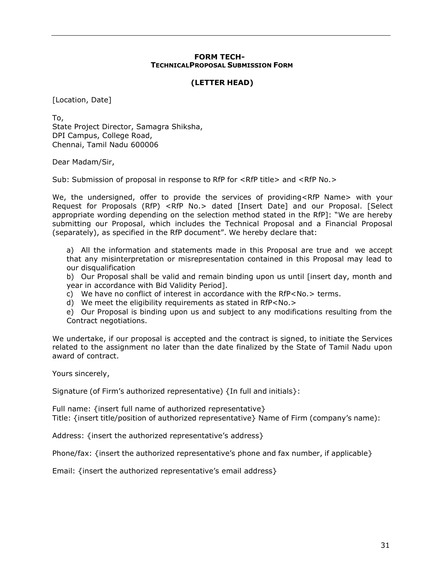#### **FORM TECH-TECHNICALPROPOSAL SUBMISSION FORM**

#### **(LETTER HEAD)**

<span id="page-30-0"></span>[Location, Date]

To, State Project Director, Samagra Shiksha, DPI Campus, College Road, Chennai, Tamil Nadu 600006

Dear Madam/Sir,

Sub: Submission of proposal in response to RfP for <RfP title> and <RfP No.>

We, the undersigned, offer to provide the services of providing<RfP Name> with your Request for Proposals (RfP) <RfP No.> dated [Insert Date] and our Proposal. [Select appropriate wording depending on the selection method stated in the RfP]: "We are hereby submitting our Proposal, which includes the Technical Proposal and a Financial Proposal (separately), as specified in the RfP document". We hereby declare that:

a) All the information and statements made in this Proposal are true and we accept that any misinterpretation or misrepresentation contained in this Proposal may lead to our disqualification

b) Our Proposal shall be valid and remain binding upon us until [insert day, month and year in accordance with Bid Validity Period].

c) We have no conflict of interest in accordance with the RfP<No.> terms.

d) We meet the eligibility requirements as stated in RfP<No.>

e) Our Proposal is binding upon us and subject to any modifications resulting from the Contract negotiations.

We undertake, if our proposal is accepted and the contract is signed, to initiate the Services related to the assignment no later than the date finalized by the State of Tamil Nadu upon award of contract.

Yours sincerely,

Signature (of Firm's authorized representative) {In full and initials}:

Full name: {insert full name of authorized representative} Title: {insert title/position of authorized representative} Name of Firm (company's name):

Address: {insert the authorized representative's address}

Phone/fax: {insert the authorized representative's phone and fax number, if applicable}

Email: {insert the authorized representative's email address}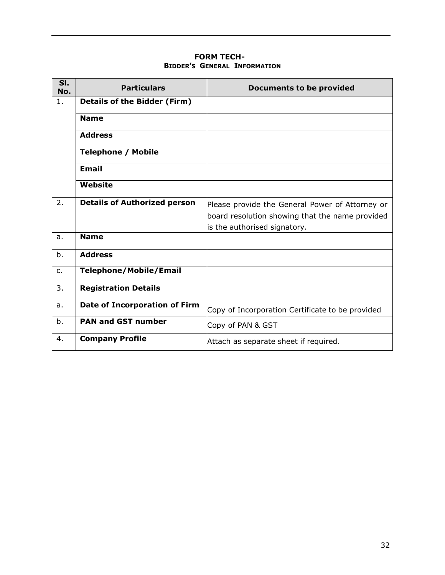#### **FORM TECH-BIDDER'S GENERAL INFORMATION**

<span id="page-31-0"></span>

| SI.<br>No. | <b>Particulars</b>                   | <b>Documents to be provided</b>                  |
|------------|--------------------------------------|--------------------------------------------------|
| 1.         | <b>Details of the Bidder (Firm)</b>  |                                                  |
|            | <b>Name</b>                          |                                                  |
|            | <b>Address</b>                       |                                                  |
|            | <b>Telephone / Mobile</b>            |                                                  |
|            | <b>Email</b>                         |                                                  |
|            | <b>Website</b>                       |                                                  |
| 2.         | <b>Details of Authorized person</b>  | Please provide the General Power of Attorney or  |
|            |                                      | board resolution showing that the name provided  |
|            |                                      | is the authorised signatory.                     |
| a.         | <b>Name</b>                          |                                                  |
| b.         | <b>Address</b>                       |                                                  |
| c.         | <b>Telephone/Mobile/Email</b>        |                                                  |
| 3.         | <b>Registration Details</b>          |                                                  |
| a.         | <b>Date of Incorporation of Firm</b> | Copy of Incorporation Certificate to be provided |
| b.         | <b>PAN and GST number</b>            | Copy of PAN & GST                                |
| 4.         | <b>Company Profile</b>               | Attach as separate sheet if required.            |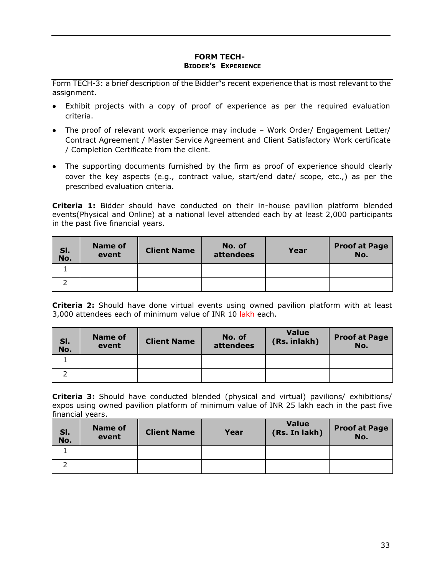#### **FORM TECH-BIDDER'S EXPERIENCE**

<span id="page-32-0"></span>Form TECH-3: a brief description of the Bidder"s recent experience that is most relevant to the assignment.

- Exhibit projects with a copy of proof of experience as per the required evaluation criteria.
- The proof of relevant work experience may include Work Order/ Engagement Letter/ Contract Agreement / Master Service Agreement and Client Satisfactory Work certificate / Completion Certificate from the client.
- The supporting documents furnished by the firm as proof of experience should clearly cover the key aspects (e.g., contract value, start/end date/ scope, etc.,) as per the prescribed evaluation criteria.

**Criteria 1:** Bidder should have conducted on their in-house pavilion platform blended events(Physical and Online) at a national level attended each by at least 2,000 participants in the past five financial years.

| SI.<br>No. | <b>Name of</b><br>event | <b>Client Name</b> | No. of<br>attendees | Year | <b>Proof at Page</b><br>No. |
|------------|-------------------------|--------------------|---------------------|------|-----------------------------|
|            |                         |                    |                     |      |                             |
|            |                         |                    |                     |      |                             |

**Criteria 2:** Should have done virtual events using owned pavilion platform with at least 3,000 attendees each of minimum value of INR 10 lakh each.

| SI.<br>No. | <b>Name of</b><br>event | <b>Client Name</b> | No. of<br>attendees | <b>Value</b><br>(Rs. inlakh) | <b>Proof at Page</b><br>No. |
|------------|-------------------------|--------------------|---------------------|------------------------------|-----------------------------|
|            |                         |                    |                     |                              |                             |
|            |                         |                    |                     |                              |                             |

**Criteria 3:** Should have conducted blended (physical and virtual) pavilions/ exhibitions/ expos using owned pavilion platform of minimum value of INR 25 lakh each in the past five financial years.

| SI.<br>No. | <b>Name of</b><br>event | <b>Client Name</b> | Year | <b>Value</b><br>(Rs. In lakh) | <b>Proof at Page</b><br>No. |
|------------|-------------------------|--------------------|------|-------------------------------|-----------------------------|
|            |                         |                    |      |                               |                             |
|            |                         |                    |      |                               |                             |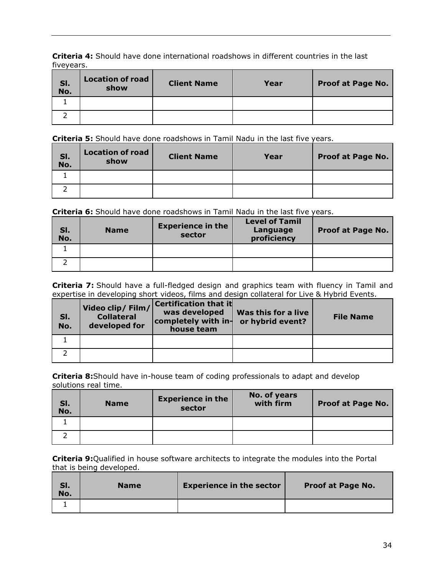**Criteria 4:** Should have done international roadshows in different countries in the last fiveyears.

| SI.<br>No. | <b>Location of road</b><br>show | <b>Client Name</b> | Year | <b>Proof at Page No.</b> |
|------------|---------------------------------|--------------------|------|--------------------------|
|            |                                 |                    |      |                          |
|            |                                 |                    |      |                          |

**Criteria 5:** Should have done roadshows in Tamil Nadu in the last five years.

| SI.<br>No. | <b>Location of road</b><br>show | <b>Client Name</b> | Year | <b>Proof at Page No.</b> |
|------------|---------------------------------|--------------------|------|--------------------------|
|            |                                 |                    |      |                          |
|            |                                 |                    |      |                          |

**Criteria 6:** Should have done roadshows in Tamil Nadu in the last five years.

| SI.<br>No. | <b>Name</b> | <b>Experience in the</b><br>sector | <b>Level of Tamil</b><br>Language<br>proficiency | <b>Proof at Page No.</b> |
|------------|-------------|------------------------------------|--------------------------------------------------|--------------------------|
|            |             |                                    |                                                  |                          |
|            |             |                                    |                                                  |                          |

**Criteria 7:** Should have a full-fledged design and graphics team with fluency in Tamil and expertise in developing short videos, films and design collateral for Live & Hybrid Events.

| SI.<br>No. | Video clip/ Film/<br><b>Collateral</b><br>developed for | Certification that it<br>was developed<br>completely with in-<br>house team | Was this for a live<br>or hybrid event? | <b>File Name</b> |
|------------|---------------------------------------------------------|-----------------------------------------------------------------------------|-----------------------------------------|------------------|
|            |                                                         |                                                                             |                                         |                  |
|            |                                                         |                                                                             |                                         |                  |

**Criteria 8:**Should have in-house team of coding professionals to adapt and develop solutions real time.

| SI.<br>No. | <b>Name</b> | <b>Experience in the</b><br>sector | No. of years<br>with firm | <b>Proof at Page No.</b> |
|------------|-------------|------------------------------------|---------------------------|--------------------------|
|            |             |                                    |                           |                          |
|            |             |                                    |                           |                          |

**Criteria 9:**Qualified in house software architects to integrate the modules into the Portal that is being developed.

| SI.<br>No. | <b>Name</b> | <b>Experience in the sector</b> | <b>Proof at Page No.</b> |
|------------|-------------|---------------------------------|--------------------------|
|            |             |                                 |                          |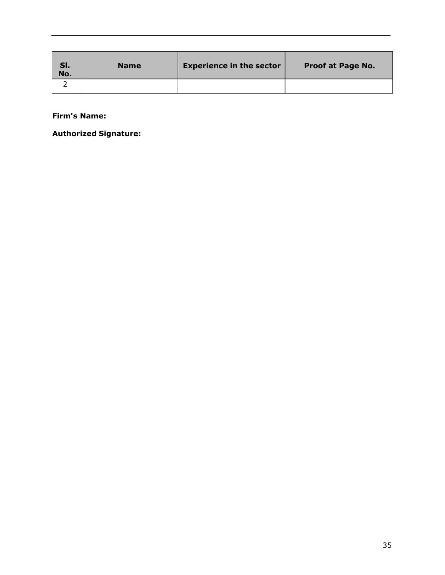| SI.<br>No. | <b>Name</b> | <b>Experience in the sector</b> | <b>Proof at Page No.</b> |
|------------|-------------|---------------------------------|--------------------------|
|            |             |                                 |                          |

**Firm's Name:**

**Authorized Signature:**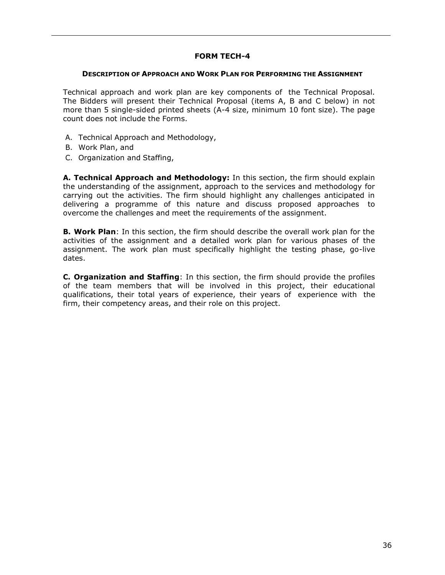#### **FORM TECH-4**

#### **DESCRIPTION OF APPROACH AND WORK PLAN FOR PERFORMING THE ASSIGNMENT**

<span id="page-35-0"></span>Technical approach and work plan are key components of the Technical Proposal. The Bidders will present their Technical Proposal (items A, B and C below) in not more than 5 single-sided printed sheets (A-4 size, minimum 10 font size). The page count does not include the Forms.

- A. Technical Approach and Methodology,
- B. Work Plan, and
- C. Organization and Staffing,

**A. Technical Approach and Methodology:** In this section, the firm should explain the understanding of the assignment, approach to the services and methodology for carrying out the activities. The firm should highlight any challenges anticipated in delivering a programme of this nature and discuss proposed approaches to overcome the challenges and meet the requirements of the assignment.

**B. Work Plan**: In this section, the firm should describe the overall work plan for the activities of the assignment and a detailed work plan for various phases of the assignment. The work plan must specifically highlight the testing phase, go-live dates.

**C. Organization and Staffing**: In this section, the firm should provide the profiles of the team members that will be involved in this project, their educational qualifications, their total years of experience, their years of experience with the firm, their competency areas, and their role on this project.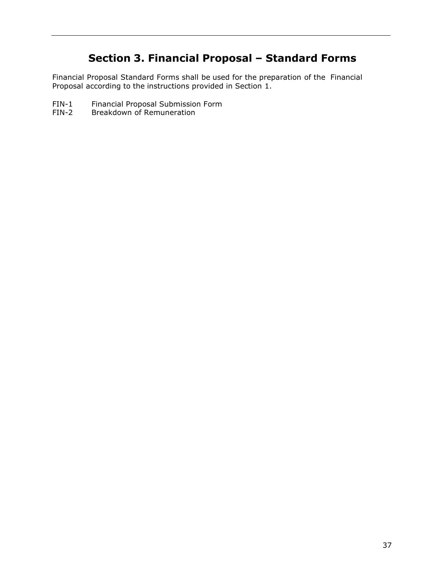# **Section 3. Financial Proposal – Standard Forms**

<span id="page-36-0"></span>Financial Proposal Standard Forms shall be used for the preparation of the Financial Proposal according to the instructions provided in Section 1.

- FIN-1 Financial Proposal Submission Form<br>FIN-2 Breakdown of Remuneration
- Breakdown of Remuneration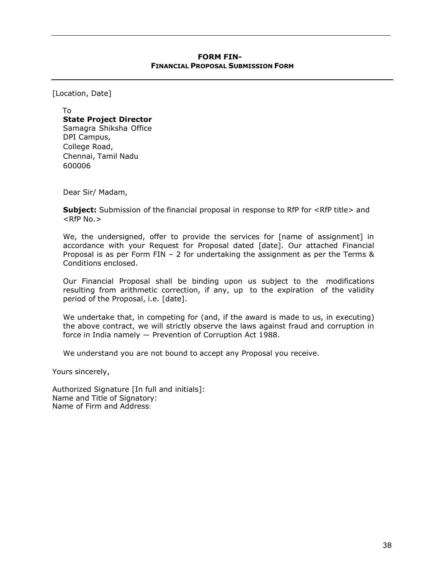#### **FORM FIN-FINANCIAL PROPOSAL SUBMISSION FORM**

<span id="page-37-0"></span>[Location, Date]

To **State Project Director** Samagra Shiksha Office DPI Campus, College Road, Chennai, Tamil Nadu 600006

Dear Sir/ Madam,

**Subject:** Submission of the financial proposal in response to RfP for <RfP title> and  $RFP No.$ 

We, the undersigned, offer to provide the services for [name of assignment] in accordance with your Request for Proposal dated [date]. Our attached Financial Proposal is as per Form FIN – 2 for undertaking the assignment as per the Terms & Conditions enclosed.

Our Financial Proposal shall be binding upon us subject to the modifications resulting from arithmetic correction, if any, up to the expiration of the validity period of the Proposal, i.e. [date].

We undertake that, in competing for (and, if the award is made to us, in executing) the above contract, we will strictly observe the laws against fraud and corruption in force in India namely ― Prevention of Corruption Act 1988.

We understand you are not bound to accept any Proposal you receive.

Yours sincerely,

Authorized Signature [In full and initials]: Name and Title of Signatory: Name of Firm and Address: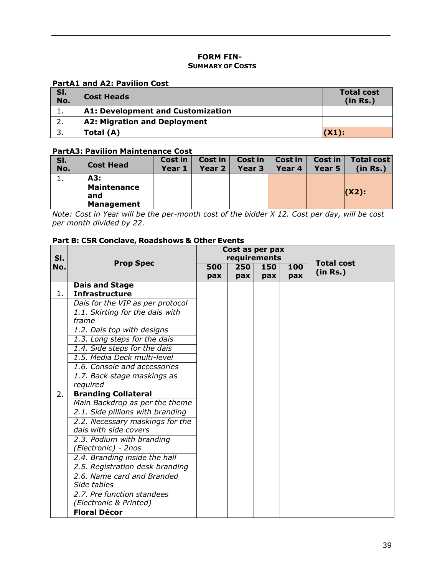### **FORM FIN-SUMMARY OF COSTS**

#### <span id="page-38-0"></span>**PartA1 and A2: Pavilion Cost**

| SI.<br>No. | Cost Heads                               | <b>Total cost</b><br>(in Rs.) |
|------------|------------------------------------------|-------------------------------|
|            | <b>A1: Development and Customization</b> |                               |
|            | A2: Migration and Deployment             |                               |
|            | Total (A)                                | (X1):                         |

#### **PartA3: Pavilion Maintenance Cost**

| SI.<br>No. | <b>Cost Head</b>                                      | Cost in<br>Year 1 | Cost in<br>Year 2 | Cost in $ $<br>Year $3$ | Cost in<br>Year 4 | <b>Cost in</b><br>Year 5 | Total cost  <br>(in Rs.) |
|------------|-------------------------------------------------------|-------------------|-------------------|-------------------------|-------------------|--------------------------|--------------------------|
|            | A3:<br><b>Maintenance</b><br>and<br><b>Management</b> |                   |                   |                         |                   |                          | $(X2)$ :                 |

*Note: Cost in Year will be the per-month cost of the bidder X 12. Cost per day, will be cost per month divided by 22.*

#### **Part B: CSR Conclave, Roadshows & Other Events**

|     | SI.<br><b>Prop Spec</b>                        |     |     | Cost as per pax<br>requirements |     |                               |
|-----|------------------------------------------------|-----|-----|---------------------------------|-----|-------------------------------|
| No. |                                                |     | 250 | 150                             | 100 | <b>Total cost</b><br>(in Rs.) |
|     |                                                | pax | pax | pax                             | pax |                               |
| 1.  | <b>Dais and Stage</b><br><b>Infrastructure</b> |     |     |                                 |     |                               |
|     | Dais for the VIP as per protocol               |     |     |                                 |     |                               |
|     | 1.1. Skirting for the dais with                |     |     |                                 |     |                               |
|     | frame                                          |     |     |                                 |     |                               |
|     | 1.2. Dais top with designs                     |     |     |                                 |     |                               |
|     | 1.3. Long steps for the dais                   |     |     |                                 |     |                               |
|     | 1.4. Side steps for the dais                   |     |     |                                 |     |                               |
|     | 1.5. Media Deck multi-level                    |     |     |                                 |     |                               |
|     | 1.6. Console and accessories                   |     |     |                                 |     |                               |
|     | 1.7. Back stage maskings as                    |     |     |                                 |     |                               |
|     | required                                       |     |     |                                 |     |                               |
| 2.  | <b>Branding Collateral</b>                     |     |     |                                 |     |                               |
|     | Main Backdrop as per the theme                 |     |     |                                 |     |                               |
|     | 2.1. Side pillions with branding               |     |     |                                 |     |                               |
|     | 2.2. Necessary maskings for the                |     |     |                                 |     |                               |
|     | dais with side covers                          |     |     |                                 |     |                               |
|     | 2.3. Podium with branding                      |     |     |                                 |     |                               |
|     | (Electronic) - 2nos                            |     |     |                                 |     |                               |
|     | 2.4. Branding inside the hall                  |     |     |                                 |     |                               |
|     | 2.5. Registration desk branding                |     |     |                                 |     |                               |
|     | 2.6. Name card and Branded                     |     |     |                                 |     |                               |
|     | Side tables                                    |     |     |                                 |     |                               |
|     | 2.7. Pre function standees                     |     |     |                                 |     |                               |
|     | (Electronic & Printed)                         |     |     |                                 |     |                               |
|     | <b>Floral Décor</b>                            |     |     |                                 |     |                               |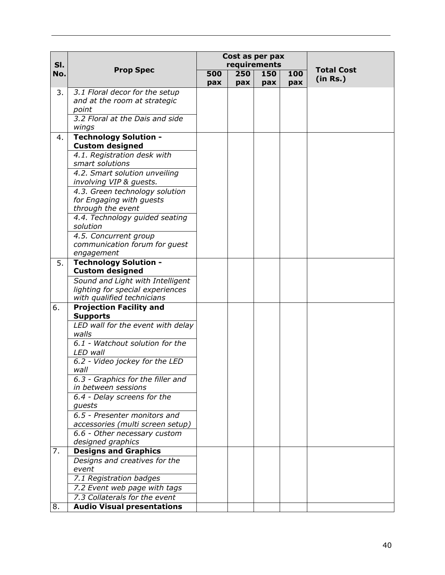|     |                                                        |     |     | Cost as per pax |     |                   |
|-----|--------------------------------------------------------|-----|-----|-----------------|-----|-------------------|
| SI. |                                                        |     |     | requirements    |     | <b>Total Cost</b> |
| No. | <b>Prop Spec</b>                                       | 500 | 250 | 150             | 100 | (in Rs.)          |
|     |                                                        | pax | pax | pax             | pax |                   |
| 3.  | 3.1 Floral decor for the setup                         |     |     |                 |     |                   |
|     | and at the room at strategic                           |     |     |                 |     |                   |
|     | point                                                  |     |     |                 |     |                   |
|     | 3.2 Floral at the Dais and side                        |     |     |                 |     |                   |
|     | wings                                                  |     |     |                 |     |                   |
| 4.  | <b>Technology Solution -</b><br><b>Custom designed</b> |     |     |                 |     |                   |
|     | 4.1. Registration desk with                            |     |     |                 |     |                   |
|     | smart solutions                                        |     |     |                 |     |                   |
|     | 4.2. Smart solution unveiling                          |     |     |                 |     |                   |
|     | involving VIP & guests.                                |     |     |                 |     |                   |
|     | 4.3. Green technology solution                         |     |     |                 |     |                   |
|     | for Engaging with guests                               |     |     |                 |     |                   |
|     | through the event                                      |     |     |                 |     |                   |
|     | 4.4. Technology guided seating                         |     |     |                 |     |                   |
|     | solution                                               |     |     |                 |     |                   |
|     | 4.5. Concurrent group                                  |     |     |                 |     |                   |
|     | communication forum for guest                          |     |     |                 |     |                   |
|     | engagement<br><b>Technology Solution -</b>             |     |     |                 |     |                   |
| 5.  | <b>Custom designed</b>                                 |     |     |                 |     |                   |
|     | Sound and Light with Intelligent                       |     |     |                 |     |                   |
|     | lighting for special experiences                       |     |     |                 |     |                   |
|     | with qualified technicians                             |     |     |                 |     |                   |
| 6.  | <b>Projection Facility and</b>                         |     |     |                 |     |                   |
|     | <b>Supports</b>                                        |     |     |                 |     |                   |
|     | LED wall for the event with delay                      |     |     |                 |     |                   |
|     | walls                                                  |     |     |                 |     |                   |
|     | 6.1 - Watchout solution for the<br>LED wall            |     |     |                 |     |                   |
|     | 6.2 - Video jockey for the LED                         |     |     |                 |     |                   |
|     | wall                                                   |     |     |                 |     |                   |
|     | 6.3 - Graphics for the filler and                      |     |     |                 |     |                   |
|     | in between sessions                                    |     |     |                 |     |                   |
|     | 6.4 - Delay screens for the                            |     |     |                 |     |                   |
|     | guests                                                 |     |     |                 |     |                   |
|     | 6.5 - Presenter monitors and                           |     |     |                 |     |                   |
|     | accessories (multi screen setup)                       |     |     |                 |     |                   |
|     | 6.6 - Other necessary custom                           |     |     |                 |     |                   |
|     | designed graphics                                      |     |     |                 |     |                   |
| 7.  | <b>Designs and Graphics</b>                            |     |     |                 |     |                   |
|     | Designs and creatives for the                          |     |     |                 |     |                   |
|     | event                                                  |     |     |                 |     |                   |
|     | 7.1 Registration badges                                |     |     |                 |     |                   |
|     | 7.2 Event web page with tags                           |     |     |                 |     |                   |
|     | 7.3 Collaterals for the event                          |     |     |                 |     |                   |
| 8.  | <b>Audio Visual presentations</b>                      |     |     |                 |     |                   |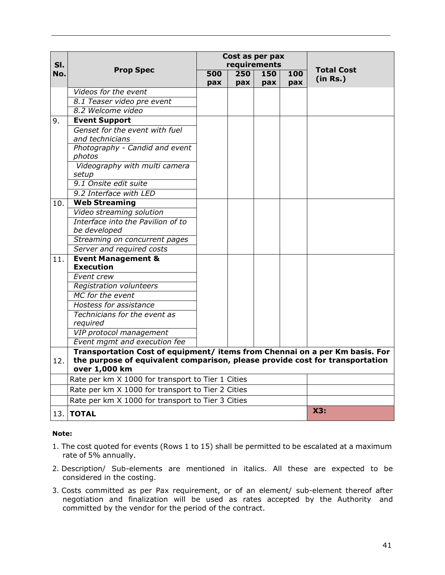|            |                                                                                               |     | Cost as per pax     |            |     |                   |
|------------|-----------------------------------------------------------------------------------------------|-----|---------------------|------------|-----|-------------------|
| SI.<br>No. | <b>Prop Spec</b>                                                                              | 500 | requirements<br>250 | 150        | 100 | <b>Total Cost</b> |
|            |                                                                                               | pax | pax                 | <b>pax</b> | pax | (in Rs.)          |
|            | Videos for the event                                                                          |     |                     |            |     |                   |
|            | 8.1 Teaser video pre event                                                                    |     |                     |            |     |                   |
|            | 8.2 Welcome video                                                                             |     |                     |            |     |                   |
| 9.         | <b>Event Support</b>                                                                          |     |                     |            |     |                   |
|            | Genset for the event with fuel                                                                |     |                     |            |     |                   |
|            | and technicians                                                                               |     |                     |            |     |                   |
|            | Photography - Candid and event<br>photos                                                      |     |                     |            |     |                   |
|            | Videography with multi camera                                                                 |     |                     |            |     |                   |
|            | setup                                                                                         |     |                     |            |     |                   |
|            | 9.1 Onsite edit suite                                                                         |     |                     |            |     |                   |
|            | 9.2 Interface with LED                                                                        |     |                     |            |     |                   |
| 10.        | <b>Web Streaming</b>                                                                          |     |                     |            |     |                   |
|            | Video streaming solution                                                                      |     |                     |            |     |                   |
|            | Interface into the Pavilion of to                                                             |     |                     |            |     |                   |
|            | be developed                                                                                  |     |                     |            |     |                   |
|            | Streaming on concurrent pages                                                                 |     |                     |            |     |                   |
|            | Server and required costs                                                                     |     |                     |            |     |                   |
| 11.        | <b>Event Management &amp;</b>                                                                 |     |                     |            |     |                   |
|            | <b>Execution</b>                                                                              |     |                     |            |     |                   |
|            | Event crew                                                                                    |     |                     |            |     |                   |
|            | Registration volunteers                                                                       |     |                     |            |     |                   |
|            | MC for the event                                                                              |     |                     |            |     |                   |
|            | Hostess for assistance                                                                        |     |                     |            |     |                   |
|            | Technicians for the event as<br>required                                                      |     |                     |            |     |                   |
|            | VIP protocol management                                                                       |     |                     |            |     |                   |
|            | Event mgmt and execution fee                                                                  |     |                     |            |     |                   |
|            | Transportation Cost of equipment/ items from Chennai on a per Km basis. For                   |     |                     |            |     |                   |
| 12.        | the purpose of equivalent comparison, please provide cost for transportation<br>over 1,000 km |     |                     |            |     |                   |
|            | Rate per km X 1000 for transport to Tier 1 Cities                                             |     |                     |            |     |                   |
|            | Rate per km X 1000 for transport to Tier 2 Cities                                             |     |                     |            |     |                   |
|            | Rate per km X 1000 for transport to Tier 3 Cities                                             |     |                     |            |     |                   |
|            | <b>13. ITOTAL</b>                                                                             |     |                     |            |     | X3:               |

#### **Note:**

- 1. The cost quoted for events (Rows 1 to 15) shall be permitted to be escalated at a maximum rate of 5% annually.
- 2. Description/ Sub-elements are mentioned in italics. All these are expected to be considered in the costing.
- 3. Costs committed as per Pax requirement, or of an element/ sub-element thereof after negotiation and finalization will be used as rates accepted by the Authority and committed by the vendor for the period of the contract.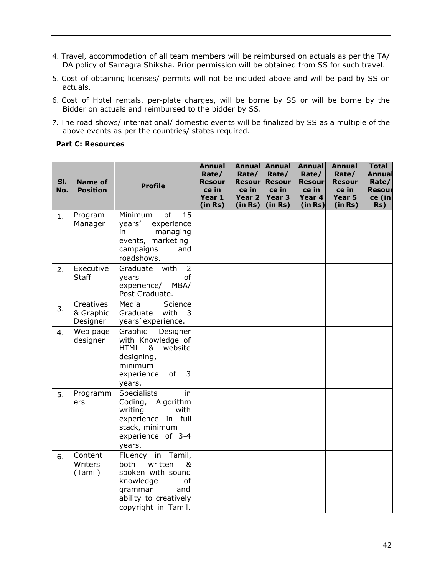- 4. Travel, accommodation of all team members will be reimbursed on actuals as per the TA/ DA policy of Samagra Shiksha. Prior permission will be obtained from SS for such travel.
- 5. Cost of obtaining licenses/ permits will not be included above and will be paid by SS on actuals.
- 6. Cost of Hotel rentals, per-plate charges, will be borne by SS or will be borne by the Bidder on actuals and reimbursed to the bidder by SS.
- 7. The road shows/ international/ domestic events will be finalized by SS as a multiple of the above events as per the countries/ states required.

#### **Part C: Resources**

| SI.<br>No. | <b>Name of</b><br><b>Position</b>  | <b>Profile</b>                                                                                                                                    | <b>Annual</b><br>Rate/<br><b>Resour</b><br>ce in<br>Year 1<br>(in Rs) | <b>Annual</b><br>Rate/<br><b>Resour</b><br>ce in<br>Year 2<br>(in Rs) | Annual<br>Rate/<br><b>Resour</b><br>ce in<br>Year <sub>3</sub><br>(in Rs) | <b>Annual</b><br>Rate/<br>Resour<br>ce in<br>Year 4<br>(in Rs) | <b>Annual</b><br>Rate/<br><b>Resour</b><br>ce in<br>Year 5<br>(in Rs) | <b>Total</b><br>Annual<br>Rate/<br>Resour<br>ce (in<br>Rs) |
|------------|------------------------------------|---------------------------------------------------------------------------------------------------------------------------------------------------|-----------------------------------------------------------------------|-----------------------------------------------------------------------|---------------------------------------------------------------------------|----------------------------------------------------------------|-----------------------------------------------------------------------|------------------------------------------------------------|
| 1.         | Program<br>Manager                 | of<br>15<br>Minimum<br>years'<br>experience<br>managing<br>in<br>events, marketing<br>campaigns<br>and<br>roadshows.                              |                                                                       |                                                                       |                                                                           |                                                                |                                                                       |                                                            |
| 2.         | Executive<br><b>Staff</b>          | with<br>Graduate<br>$\overline{a}$<br>years<br>оf<br>experience/<br>MBA/<br>Post Graduate.                                                        |                                                                       |                                                                       |                                                                           |                                                                |                                                                       |                                                            |
| 3.         | Creatives<br>& Graphic<br>Designer | Media<br>Science<br>Graduate<br>with<br>years' experience.                                                                                        |                                                                       |                                                                       |                                                                           |                                                                |                                                                       |                                                            |
| 4.         | Web page<br>designer               | Graphic<br>Designer<br>with Knowledge of<br>HTML<br>&<br>website<br>designing,<br>minimum<br>of<br>3<br>experience<br>years.                      |                                                                       |                                                                       |                                                                           |                                                                |                                                                       |                                                            |
| 5.         | Programm<br>ers                    | <b>Specialists</b><br>in<br>Algorithm<br>Coding,<br>writing<br>with<br>experience in full<br>stack, minimum<br>experience of 3-4<br>years.        |                                                                       |                                                                       |                                                                           |                                                                |                                                                       |                                                            |
| 6.         | Content<br>Writers<br>(Tamil)      | Tamil,<br>Fluency in<br>both<br>written<br>spoken with sound<br>knowledge<br>оf<br>grammar<br>and<br>ability to creatively<br>copyright in Tamil. |                                                                       |                                                                       |                                                                           |                                                                |                                                                       |                                                            |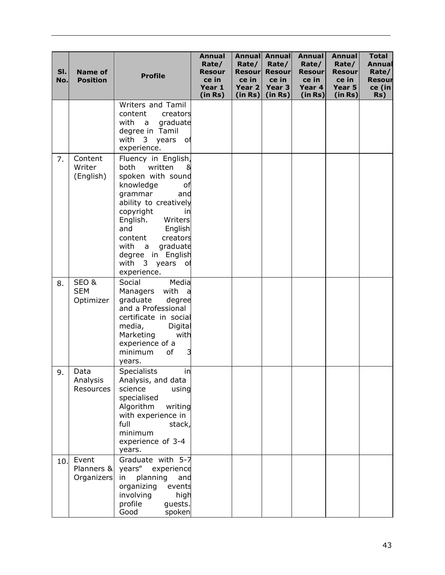| SI.<br>No. | <b>Name of</b><br><b>Position</b> | <b>Profile</b>                                                                                                                                                                                                                                                                                 | <b>Annual</b><br>Rate/<br><b>Resour</b><br>ce in<br>Year 1<br>(in Rs) | Rate/<br><b>Resour</b><br>ce in<br>Year 2<br>(in Rs) | <b>Annual Annual</b><br>Rate/<br><b>Resour</b><br>ce in<br>Year 3<br>(in Rs) | <b>Annual</b><br>Rate/<br><b>Resour</b><br>ce in<br>Year 4<br>(in Rs) | <b>Annual</b><br>Rate/<br><b>Resour</b><br>ce in<br>Year 5<br>(in Rs) | <b>Total</b><br>Annual<br>Rate/<br><b>Resour</b><br>ce (in<br>Rs) |
|------------|-----------------------------------|------------------------------------------------------------------------------------------------------------------------------------------------------------------------------------------------------------------------------------------------------------------------------------------------|-----------------------------------------------------------------------|------------------------------------------------------|------------------------------------------------------------------------------|-----------------------------------------------------------------------|-----------------------------------------------------------------------|-------------------------------------------------------------------|
|            |                                   | Writers and Tamil<br>content<br>creators<br>with<br>graduate<br>a a<br>degree in Tamil<br>with 3 years<br>оf<br>experience.                                                                                                                                                                    |                                                                       |                                                      |                                                                              |                                                                       |                                                                       |                                                                   |
| 7.         | Content<br>Writer<br>(English)    | Fluency in English,<br>both<br>written<br>8<br>spoken with sound<br>knowledge<br>оf<br>grammar<br>and<br>ability to creatively<br>copyright<br>in<br>English.<br>Writers<br>English<br>and<br>creators<br>content<br>graduate<br>with a<br>degree in English<br>with 3 years of<br>experience. |                                                                       |                                                      |                                                                              |                                                                       |                                                                       |                                                                   |
| 8.         | SEO&<br><b>SEM</b><br>Optimizer   | Social<br>Media<br>with<br>Managers<br>a<br>graduate<br>degree<br>and a Professional<br>certificate in social<br>media,<br>Digital<br>Marketing<br>with<br>experience of a<br>minimum<br>of<br>3<br>years.                                                                                     |                                                                       |                                                      |                                                                              |                                                                       |                                                                       |                                                                   |
| 9.         | Data<br>Analysis<br>Resources     | in<br><b>Specialists</b><br>Analysis, and data<br>science<br>using<br>specialised<br>Algorithm<br>writing<br>with experience in<br>full<br>stack,<br>minimum<br>experience of 3-4<br>years.                                                                                                    |                                                                       |                                                      |                                                                              |                                                                       |                                                                       |                                                                   |
| 10.        | Event<br>Planners &<br>Organizers | Graduate with 5-7<br>years"<br>experience<br>planning<br>in<br>and<br>organizing<br>events<br>involving<br>high<br>profile<br>guests.<br>Good<br>spoken                                                                                                                                        |                                                                       |                                                      |                                                                              |                                                                       |                                                                       |                                                                   |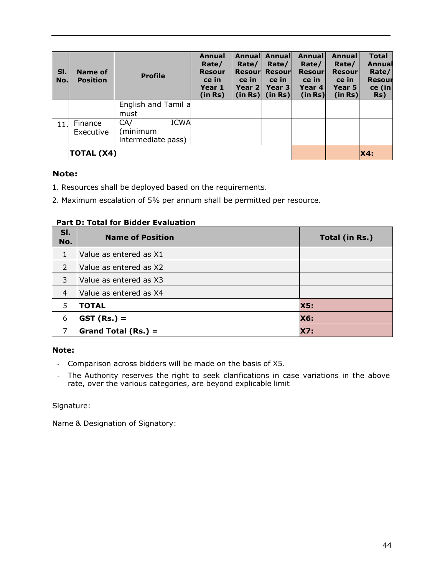| SI.<br>No. | Name of<br><b>Position</b> | <b>Profile</b>      | <b>Annual</b><br>Rate/<br><b>Resour</b><br>ce in<br>Year 1<br>(in Rs) | Annuall<br>Rate/<br>Resourl<br>ce in<br>Year 2 l<br>(in Rs) | Annuall<br>Rate/<br><b>Resourl</b><br>ce in<br>Year 3<br>(in Rs) | <b>Annual</b><br>Rate/<br><b>Resour</b><br>ce in<br>Year 4<br>(in Rs) | Annual<br>Rate/<br><b>Resour</b><br>ce in<br>Year 5<br>(in Rs) | <b>Total</b><br>Annual<br>Rate/<br><b>Resour</b><br>ce (in<br>Rs) |
|------------|----------------------------|---------------------|-----------------------------------------------------------------------|-------------------------------------------------------------|------------------------------------------------------------------|-----------------------------------------------------------------------|----------------------------------------------------------------|-------------------------------------------------------------------|
|            |                            | English and Tamil a |                                                                       |                                                             |                                                                  |                                                                       |                                                                |                                                                   |
|            |                            | must                |                                                                       |                                                             |                                                                  |                                                                       |                                                                |                                                                   |
| 11.        | Finance                    | <b>ICWA</b><br>CA/  |                                                                       |                                                             |                                                                  |                                                                       |                                                                |                                                                   |
|            | Executive                  | minimum             |                                                                       |                                                             |                                                                  |                                                                       |                                                                |                                                                   |
|            |                            | intermediate pass)  |                                                                       |                                                             |                                                                  |                                                                       |                                                                |                                                                   |
|            | TOTAL (X4)                 |                     |                                                                       |                                                             |                                                                  |                                                                       |                                                                | <b>X4:</b>                                                        |

# **Note:**

- 1. Resources shall be deployed based on the requirements.
- 2. Maximum escalation of 5% per annum shall be permitted per resource.

# **Part D: Total for Bidder Evaluation**

| SI.<br>No.     | <b>Name of Position</b> | Total (in Rs.) |
|----------------|-------------------------|----------------|
| $\mathbf{1}$   | Value as entered as X1  |                |
| $\overline{2}$ | Value as entered as X2  |                |
| 3              | Value as entered as X3  |                |
| $\overline{4}$ | Value as entered as X4  |                |
| 5              | <b>TOTAL</b>            | <b>X5:</b>     |
| 6              | $GST (Rs.) =$           | <b>X6:</b>     |
|                | Grand Total $(Rs.) =$   | <b>X7:</b>     |

### **Note:**

- Comparison across bidders will be made on the basis of X5.
- The Authority reserves the right to seek clarifications in case variations in the above rate, over the various categories, are beyond explicable limit

Signature:

Name & Designation of Signatory: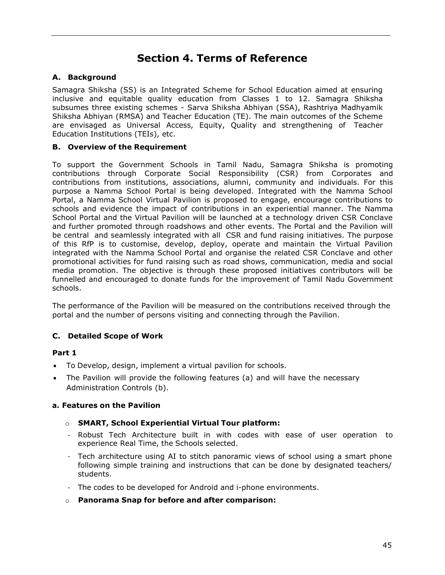# **Section 4. Terms of Reference**

# <span id="page-44-0"></span>**A. Background**

Samagra Shiksha (SS) is an Integrated Scheme for School Education aimed at ensuring inclusive and equitable quality education from Classes 1 to 12. Samagra Shiksha subsumes three existing schemes - Sarva Shiksha Abhiyan (SSA), Rashtriya Madhyamik Shiksha Abhiyan (RMSA) and Teacher Education (TE). The main outcomes of the Scheme are envisaged as Universal Access, Equity, Quality and strengthening of Teacher Education Institutions (TEIs), etc.

## **B. Overview of the Requirement**

To support the Government Schools in Tamil Nadu, Samagra Shiksha is promoting contributions through Corporate Social Responsibility (CSR) from Corporates and contributions from institutions, associations, alumni, community and individuals. For this purpose a Namma School Portal is being developed. Integrated with the Namma School Portal, a Namma School Virtual Pavilion is proposed to engage, encourage contributions to schools and evidence the impact of contributions in an experiential manner. The Namma School Portal and the Virtual Pavilion will be launched at a technology driven CSR Conclave and further promoted through roadshows and other events. The Portal and the Pavilion will be central and seamlessly integrated with all CSR and fund raising initiatives. The purpose of this RfP is to customise, develop, deploy, operate and maintain the Virtual Pavilion integrated with the Namma School Portal and organise the related CSR Conclave and other promotional activities for fund raising such as road shows, communication, media and social media promotion. The objective is through these proposed initiatives contributors will be funnelled and encouraged to donate funds for the improvement of Tamil Nadu Government schools.

The performance of the Pavilion will be measured on the contributions received through the portal and the number of persons visiting and connecting through the Pavilion.

# **C. Detailed Scope of Work**

## **Part 1**

- To Develop, design, implement a virtual pavilion for schools.
- The Pavilion will provide the following features (a) and will have the necessary Administration Controls (b).

## **a. Features on the Pavilion**

#### o **SMART, School Experiential Virtual Tour platform:**

- Robust Tech Architecture built in with codes with ease of user operation to experience Real Time, the Schools selected.
- Tech architecture using AI to stitch panoramic views of school using a smart phone following simple training and instructions that can be done by designated teachers/ students.
- The codes to be developed for Android and i-phone environments.
- o **Panorama Snap for before and after comparison:**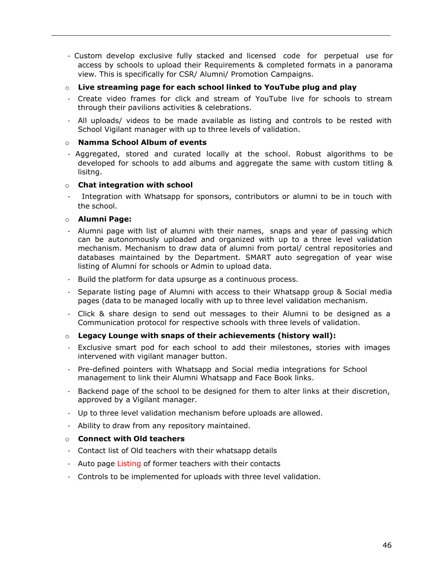- Custom develop exclusive fully stacked and licensed code for perpetual use for access by schools to upload their Requirements & completed formats in a panorama view. This is specifically for CSR/ Alumni/ Promotion Campaigns.
- o **Live streaming page for each school linked to YouTube plug and play**
- Create video frames for click and stream of YouTube live for schools to stream through their pavilions activities & celebrations.
- All uploads/ videos to be made available as listing and controls to be rested with School Vigilant manager with up to three levels of validation.

#### o **Namma School Album of events**

- Aggregated, stored and curated locally at the school. Robust algorithms to be developed for schools to add albums and aggregate the same with custom titling & lisitng.

#### o **Chat integration with school**

Integration with Whatsapp for sponsors, contributors or alumni to be in touch with the school.

#### o **Alumni Page:**

- Alumni page with list of alumni with their names, snaps and year of passing which can be autonomously uploaded and organized with up to a three level validation mechanism. Mechanism to draw data of alumni from portal/ central repositories and databases maintained by the Department. SMART auto segregation of year wise listing of Alumni for schools or Admin to upload data.
- Build the platform for data upsurge as a continuous process.
- Separate listing page of Alumni with access to their Whatsapp group & Social media pages (data to be managed locally with up to three level validation mechanism.
- Click & share design to send out messages to their Alumni to be designed as a Communication protocol for respective schools with three levels of validation.

#### o **Legacy Lounge with snaps of their achievements (history wall):**

- Exclusive smart pod for each school to add their milestones, stories with images intervened with vigilant manager button.
- Pre-defined pointers with Whatsapp and Social media integrations for School management to link their Alumni Whatsapp and Face Book links.
- Backend page of the school to be designed for them to alter links at their discretion, approved by a Vigilant manager.
- Up to three level validation mechanism before uploads are allowed.
- Ability to draw from any repository maintained.

#### o **Connect with Old teachers**

- Contact list of Old teachers with their whatsapp details
- Auto page Listing of former teachers with their contacts
- Controls to be implemented for uploads with three level validation.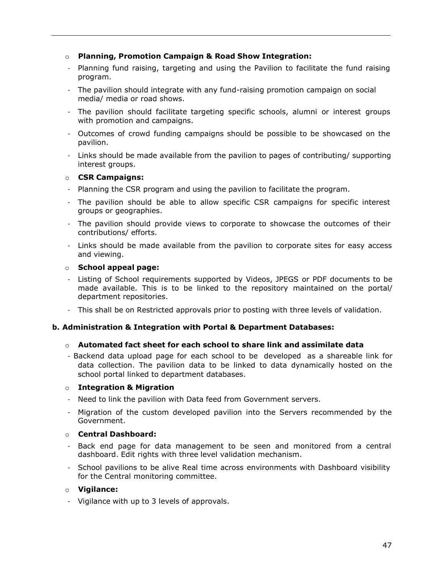### o **Planning, Promotion Campaign & Road Show Integration:**

- Planning fund raising, targeting and using the Pavilion to facilitate the fund raising program.
- The pavilion should integrate with any fund-raising promotion campaign on social media/ media or road shows.
- The pavilion should facilitate targeting specific schools, alumni or interest groups with promotion and campaigns.
- Outcomes of crowd funding campaigns should be possible to be showcased on the pavilion.
- Links should be made available from the pavilion to pages of contributing/ supporting interest groups.

## o **CSR Campaigns:**

- Planning the CSR program and using the pavilion to facilitate the program.
- The pavilion should be able to allow specific CSR campaigns for specific interest groups or geographies.
- The pavilion should provide views to corporate to showcase the outcomes of their contributions/ efforts.
- Links should be made available from the pavilion to corporate sites for easy access and viewing.

#### o **School appeal page:**

- Listing of School requirements supported by Videos, JPEGS or PDF documents to be made available. This is to be linked to the repository maintained on the portal/ department repositories.
- This shall be on Restricted approvals prior to posting with three levels of validation.

#### **b. Administration & Integration with Portal & Department Databases:**

#### o **Automated fact sheet for each school to share link and assimilate data**

- Backend data upload page for each school to be developed as a shareable link for data collection. The pavilion data to be linked to data dynamically hosted on the school portal linked to department databases.

#### o **Integration & Migration**

- Need to link the pavilion with Data feed from Government servers.
- Migration of the custom developed pavilion into the Servers recommended by the Government.

#### o **Central Dashboard:**

- Back end page for data management to be seen and monitored from a central dashboard. Edit rights with three level validation mechanism.
- School pavilions to be alive Real time across environments with Dashboard visibility for the Central monitoring committee.

#### o **Vigilance:**

- Vigilance with up to 3 levels of approvals.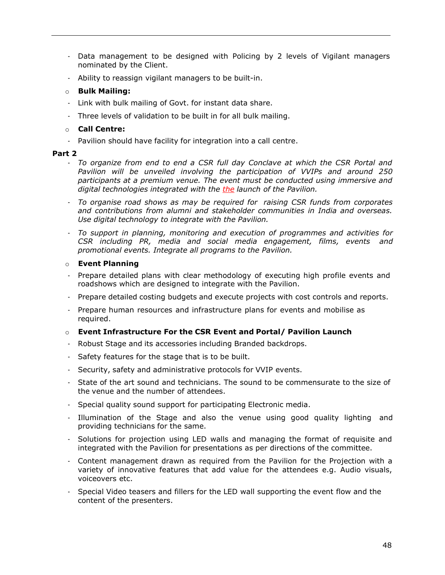- Data management to be designed with Policing by 2 levels of Vigilant managers nominated by the Client.
- Ability to reassign vigilant managers to be built-in.

#### o **Bulk Mailing:**

- Link with bulk mailing of Govt. for instant data share.
- Three levels of validation to be built in for all bulk mailing.

#### o **Call Centre:**

- Pavilion should have facility for integration into a call centre.

#### **Part 2**

- *To organize from end to end a CSR full day Conclave at which the CSR Portal and Pavilion will be unveiled involving the participation of VVIPs and around 250 participants at a premium venue. The event must be conducted using immersive and digital technologies integrated with the the launch of the Pavilion.*
- *To organise road shows as may be required for raising CSR funds from corporates and contributions from alumni and stakeholder communities in India and overseas. Use digital technology to integrate with the Pavilion.*
- *To support in planning, monitoring and execution of programmes and activities for CSR including PR, media and social media engagement, films, events and promotional events. Integrate all programs to the Pavilion.*

#### o **Event Planning**

- Prepare detailed plans with clear methodology of executing high profile events and roadshows which are designed to integrate with the Pavilion.
- Prepare detailed costing budgets and execute projects with cost controls and reports.
- Prepare human resources and infrastructure plans for events and mobilise as required.

#### o **Event Infrastructure For the CSR Event and Portal/ Pavilion Launch**

- Robust Stage and its accessories including Branded backdrops.
- Safety features for the stage that is to be built.
- Security, safety and administrative protocols for VVIP events.
- State of the art sound and technicians. The sound to be commensurate to the size of the venue and the number of attendees.
- Special quality sound support for participating Electronic media.
- Illumination of the Stage and also the venue using good quality lighting and providing technicians for the same.
- Solutions for projection using LED walls and managing the format of requisite and integrated with the Pavilion for presentations as per directions of the committee.
- Content management drawn as required from the Pavilion for the Projection with a variety of innovative features that add value for the attendees e.g. Audio visuals, voiceovers etc.
- Special Video teasers and fillers for the LED wall supporting the event flow and the content of the presenters.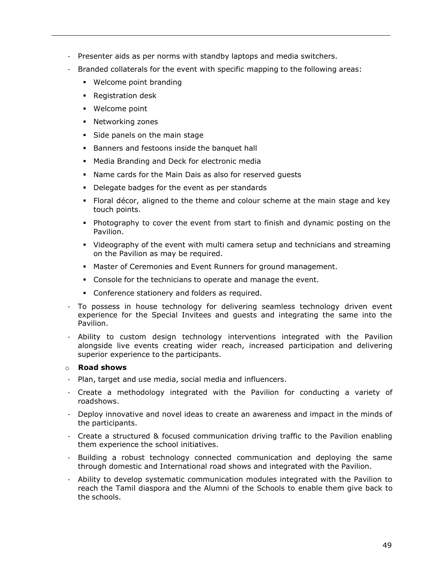- Presenter aids as per norms with standby laptops and media switchers.
- Branded collaterals for the event with specific mapping to the following areas:
	- Welcome point branding
	- Registration desk
	- Welcome point
	- Networking zones
	- Side panels on the main stage
	- Banners and festoons inside the banquet hall
	- Media Branding and Deck for electronic media
	- Name cards for the Main Dais as also for reserved guests
	- Delegate badges for the event as per standards
	- Floral décor, aligned to the theme and colour scheme at the main stage and key touch points.
	- Photography to cover the event from start to finish and dynamic posting on the Pavilion.
	- Videography of the event with multi camera setup and technicians and streaming on the Pavilion as may be required.
	- Master of Ceremonies and Event Runners for ground management.
	- Console for the technicians to operate and manage the event.
	- Conference stationery and folders as required.
- To possess in house technology for delivering seamless technology driven event experience for the Special Invitees and guests and integrating the same into the Pavilion.
- Ability to custom design technology interventions integrated with the Pavilion alongside live events creating wider reach, increased participation and delivering superior experience to the participants.

#### o **Road shows**

- Plan, target and use media, social media and influencers.
- Create a methodology integrated with the Pavilion for conducting a variety of roadshows.
- Deploy innovative and novel ideas to create an awareness and impact in the minds of the participants.
- Create a structured & focused communication driving traffic to the Pavilion enabling them experience the school initiatives.
- Building a robust technology connected communication and deploying the same through domestic and International road shows and integrated with the Pavilion.
- Ability to develop systematic communication modules integrated with the Pavilion to reach the Tamil diaspora and the Alumni of the Schools to enable them give back to the schools.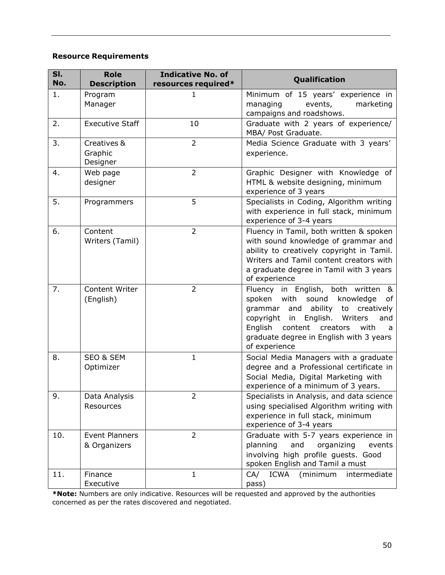# **Resource Requirements**

| SI.<br>No. | <b>Role</b><br><b>Description</b>     | <b>Indicative No. of</b><br>resources required* | Qualification                                                                                                                                                                                                                                                                              |
|------------|---------------------------------------|-------------------------------------------------|--------------------------------------------------------------------------------------------------------------------------------------------------------------------------------------------------------------------------------------------------------------------------------------------|
| 1.         | Program<br>Manager                    | $\mathbf{1}$                                    | Minimum of 15 years' experience in<br>managing<br>events,<br>marketing<br>campaigns and roadshows.                                                                                                                                                                                         |
| 2.         | <b>Executive Staff</b>                | 10                                              | Graduate with 2 years of experience/<br>MBA/ Post Graduate.                                                                                                                                                                                                                                |
| 3.         | Creatives &<br>Graphic<br>Designer    | $\overline{2}$                                  | Media Science Graduate with 3 years'<br>experience.                                                                                                                                                                                                                                        |
| 4.         | Web page<br>designer                  | $\overline{2}$                                  | Graphic Designer with Knowledge of<br>HTML & website designing, minimum<br>experience of 3 years                                                                                                                                                                                           |
| 5.         | Programmers                           | 5                                               | Specialists in Coding, Algorithm writing<br>with experience in full stack, minimum<br>experience of 3-4 years                                                                                                                                                                              |
| 6.         | Content<br>Writers (Tamil)            | $\overline{2}$                                  | Fluency in Tamil, both written & spoken<br>with sound knowledge of grammar and<br>ability to creatively copyright in Tamil.<br>Writers and Tamil content creators with<br>a graduate degree in Tamil with 3 years<br>of experience                                                         |
| 7.         | Content Writer<br>(English)           | $\overline{2}$                                  | Fluency in English, both written &<br>spoken with<br>sound<br>knowledge<br>of<br>ability<br>creatively<br>grammar<br>and<br>to<br>English.<br>Writers<br>copyright<br>in<br>and<br>English<br>content<br>creators<br>with<br>a<br>graduate degree in English with 3 years<br>of experience |
| 8.         | <b>SEO &amp; SEM</b><br>Optimizer     | $\mathbf{1}$                                    | Social Media Managers with a graduate<br>degree and a Professional certificate in<br>Social Media, Digital Marketing with<br>experience of a minimum of 3 years.                                                                                                                           |
| 9.         | Data Analysis<br>Resources            | 2                                               | Specialists in Analysis, and data science<br>using specialised Algorithm writing with<br>experience in full stack, minimum<br>experience of 3-4 years                                                                                                                                      |
| 10.        | <b>Event Planners</b><br>& Organizers | $\overline{2}$                                  | Graduate with 5-7 years experience in<br>planning<br>organizing<br>and<br>events<br>involving high profile guests. Good<br>spoken English and Tamil a must                                                                                                                                 |
| 11.        | Finance<br>Executive                  | $\mathbf{1}$                                    | <b>ICWA</b><br>CA/<br>(minimum<br>intermediate<br>pass)                                                                                                                                                                                                                                    |

**\*Note:** Numbers are only indicative. Resources will be requested and approved by the authorities concerned as per the rates discovered and negotiated.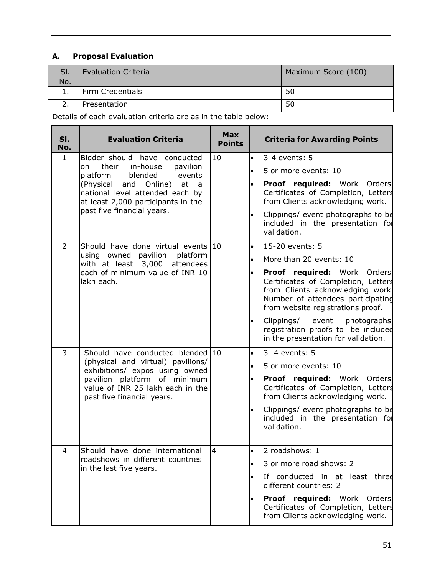# **A. Proposal Evaluation**

| SI.<br>No. | <b>Evaluation Criteria</b> | Maximum Score (100) |
|------------|----------------------------|---------------------|
| <b>.</b>   | Firm Credentials           | 50                  |
|            | Presentation               | 50                  |

Details of each evaluation criteria are as in the table below:

| SI.<br>No.     | <b>Evaluation Criteria</b>                                                                                                                                            | <b>Max</b><br><b>Points</b> | <b>Criteria for Awarding Points</b>                                                                                                                                                           |
|----------------|-----------------------------------------------------------------------------------------------------------------------------------------------------------------------|-----------------------------|-----------------------------------------------------------------------------------------------------------------------------------------------------------------------------------------------|
| $\mathbf{1}$   | Bidder should have conducted                                                                                                                                          | 10                          | 3-4 events: 5<br>$\bullet$                                                                                                                                                                    |
|                | their<br>in-house<br>pavilion<br>on<br>blended<br>platform<br>events                                                                                                  |                             | $\bullet$<br>5 or more events: 10                                                                                                                                                             |
|                | (Physical and Online)<br>at<br>$\overline{a}$<br>national level attended each by<br>at least 2,000 participants in the                                                |                             | Proof required: Work Orders<br>Certificates of Completion, Letters<br>from Clients acknowledging work.                                                                                        |
|                | past five financial years.                                                                                                                                            |                             | Clippings/ event photographs to be<br>$\bullet$<br>included in the presentation for<br>validation.                                                                                            |
| $\overline{2}$ | Should have done virtual events 10                                                                                                                                    |                             | $\bullet$<br>15-20 events: 5                                                                                                                                                                  |
|                | using owned pavilion platform<br>with at least 3,000 attendees                                                                                                        |                             | More than 20 events: 10<br>$\bullet$                                                                                                                                                          |
| lakh each.     | each of minimum value of INR 10                                                                                                                                       |                             | Proof required: Work Orders<br>$\bullet$<br>Certificates of Completion, Letters<br>from Clients acknowledging work.<br>Number of attendees participating<br>from website registrations proof. |
|                |                                                                                                                                                                       |                             | Clippings/ event photographs<br>$\bullet$<br>registration proofs to be included<br>in the presentation for validation.                                                                        |
| 3              | Should have conducted blended 10                                                                                                                                      |                             | 3-4 events: 5<br>$\bullet$                                                                                                                                                                    |
|                | (physical and virtual) pavilions/<br>exhibitions/ expos using owned<br>pavilion platform of minimum<br>value of INR 25 lakh each in the<br>past five financial years. |                             | 5 or more events: 10                                                                                                                                                                          |
|                |                                                                                                                                                                       |                             | Proof required: Work Orders<br>Certificates of Completion, Letters<br>from Clients acknowledging work.                                                                                        |
|                |                                                                                                                                                                       |                             | Clippings/ event photographs to be<br>included in the presentation for<br>validation.                                                                                                         |
| 4              | Should have done international                                                                                                                                        | $\overline{4}$              | 2 roadshows: 1<br>$\bullet$                                                                                                                                                                   |
|                | roadshows in different countries                                                                                                                                      |                             | 3 or more road shows: 2                                                                                                                                                                       |
|                | in the last five years.                                                                                                                                               |                             | If conducted in at least three<br>different countries: 2                                                                                                                                      |
|                |                                                                                                                                                                       |                             | <b>Proof required:</b> Work Orders<br>Certificates of Completion, Letters<br>from Clients acknowledging work.                                                                                 |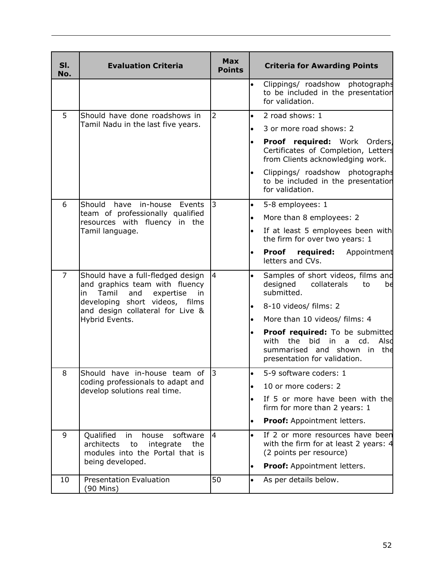| SI.<br>No.     | <b>Evaluation Criteria</b>                                                                                      | <b>Max</b><br><b>Points</b> | <b>Criteria for Awarding Points</b>                                                                                                                  |
|----------------|-----------------------------------------------------------------------------------------------------------------|-----------------------------|------------------------------------------------------------------------------------------------------------------------------------------------------|
|                |                                                                                                                 |                             | Clippings/ roadshow photographs<br>$\bullet$<br>to be included in the presentation<br>for validation.                                                |
| 5              | Should have done roadshows in                                                                                   | $\overline{2}$              | 2 road shows: 1<br>$\bullet$                                                                                                                         |
|                | Tamil Nadu in the last five years.                                                                              |                             | 3 or more road shows: 2                                                                                                                              |
|                |                                                                                                                 |                             | Proof required: Work Orders<br>$\bullet$<br>Certificates of Completion, Letters<br>from Clients acknowledging work.                                  |
|                |                                                                                                                 |                             | Clippings/ roadshow photographs<br>$\bullet$<br>to be included in the presentation<br>for validation.                                                |
| 6              | Should<br>have in-house<br>Events                                                                               | $\overline{3}$              | 5-8 employees: 1<br>$\bullet$                                                                                                                        |
|                | team of professionally qualified<br>resources with fluency in the                                               |                             | More than 8 employees: 2<br>$\bullet$                                                                                                                |
|                | Tamil language.                                                                                                 |                             | If at least 5 employees been with<br>$\bullet$<br>the firm for over two years: 1                                                                     |
|                |                                                                                                                 |                             | <b>Proof</b><br>required:<br>Appointment<br>$\bullet$<br>letters and CVs.                                                                            |
| $\overline{7}$ | Should have a full-fledged design<br>and graphics team with fluency<br>Tamil<br>and<br>expertise<br>in<br>in    | $\overline{4}$              | Samples of short videos, films and<br>designed<br>collaterals<br>to<br>bđ<br>submitted.                                                              |
|                | developing short videos, films<br>and design collateral for Live &<br>Hybrid Events.                            |                             | 8-10 videos/ films: 2<br>$\bullet$                                                                                                                   |
|                |                                                                                                                 |                             | More than 10 videos/ films: 4<br>$\bullet$                                                                                                           |
|                |                                                                                                                 |                             | <b>Proof required:</b> To be submitted<br>with the<br>bid<br>a cd.<br>Alsd<br>in l<br>summarised and shown in<br>the<br>presentation for validation. |
| 8              | Should<br>have in-house team of                                                                                 | 3                           | 5-9 software coders: 1<br>$\bullet$                                                                                                                  |
|                | coding professionals to adapt and<br>develop solutions real time.                                               |                             | 10 or more coders: 2<br>$\bullet$                                                                                                                    |
|                |                                                                                                                 |                             | If 5 or more have been with the<br>firm for more than 2 years: 1                                                                                     |
|                |                                                                                                                 |                             | <b>Proof:</b> Appointment letters.<br>$\bullet$                                                                                                      |
| 9              | Qualified<br>house<br>software<br>in<br>architects<br>to<br>integrate<br>the<br>modules into the Portal that is | 4                           | If 2 or more resources have been<br>$\bullet$<br>with the firm for at least 2 years: 4<br>(2 points per resource)                                    |
|                | being developed.                                                                                                |                             | Proof: Appointment letters.<br>$\bullet$                                                                                                             |
| 10             | <b>Presentation Evaluation</b><br>(90 Mins)                                                                     | 50                          | $\bullet$<br>As per details below.                                                                                                                   |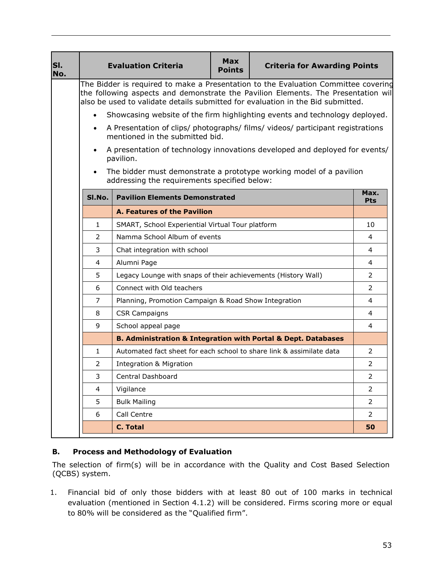| SI.<br>No. | <b>Evaluation Criteria</b>                                                                                                                                                                                                                                  |                                                                              | <b>Max</b><br><b>Points</b> | <b>Criteria for Awarding Points</b>                                            |                    |
|------------|-------------------------------------------------------------------------------------------------------------------------------------------------------------------------------------------------------------------------------------------------------------|------------------------------------------------------------------------------|-----------------------------|--------------------------------------------------------------------------------|--------------------|
|            | The Bidder is required to make a Presentation to the Evaluation Committee covering<br>the following aspects and demonstrate the Pavilion Elements. The Presentation will<br>also be used to validate details submitted for evaluation in the Bid submitted. |                                                                              |                             |                                                                                |                    |
|            | $\bullet$                                                                                                                                                                                                                                                   |                                                                              |                             | Showcasing website of the firm highlighting events and technology deployed.    |                    |
|            | $\bullet$                                                                                                                                                                                                                                                   | mentioned in the submitted bid.                                              |                             | A Presentation of clips/ photographs/ films/ videos/ participant registrations |                    |
|            |                                                                                                                                                                                                                                                             | pavilion.                                                                    |                             | A presentation of technology innovations developed and deployed for events/    |                    |
|            |                                                                                                                                                                                                                                                             | addressing the requirements specified below:                                 |                             | The bidder must demonstrate a prototype working model of a pavilion            |                    |
|            | SI.No.                                                                                                                                                                                                                                                      | <b>Pavilion Elements Demonstrated</b>                                        |                             |                                                                                | Max.<br><b>Pts</b> |
|            |                                                                                                                                                                                                                                                             | <b>A. Features of the Pavilion</b>                                           |                             |                                                                                |                    |
|            | SMART, School Experiential Virtual Tour platform<br>$\mathbf{1}$                                                                                                                                                                                            |                                                                              |                             | 10                                                                             |                    |
|            | Namma School Album of events<br>2                                                                                                                                                                                                                           |                                                                              |                             |                                                                                | 4                  |
|            | 3<br>Chat integration with school                                                                                                                                                                                                                           |                                                                              |                             | $\overline{4}$                                                                 |                    |
|            | Alumni Page<br>4                                                                                                                                                                                                                                            |                                                                              |                             | 4                                                                              |                    |
|            | 5                                                                                                                                                                                                                                                           | Legacy Lounge with snaps of their achievements (History Wall)                |                             |                                                                                | 2                  |
|            | 6                                                                                                                                                                                                                                                           | Connect with Old teachers                                                    |                             |                                                                                | $\overline{2}$     |
|            | 7                                                                                                                                                                                                                                                           | Planning, Promotion Campaign & Road Show Integration                         |                             |                                                                                | 4                  |
|            | 8                                                                                                                                                                                                                                                           | <b>CSR Campaigns</b>                                                         |                             |                                                                                | 4                  |
|            | 9                                                                                                                                                                                                                                                           | School appeal page                                                           |                             |                                                                                | 4                  |
|            |                                                                                                                                                                                                                                                             | <b>B. Administration &amp; Integration with Portal &amp; Dept. Databases</b> |                             |                                                                                |                    |
|            | $\mathbf{1}$                                                                                                                                                                                                                                                | Automated fact sheet for each school to share link & assimilate data         |                             |                                                                                | $\overline{2}$     |
|            | 2<br><b>Integration &amp; Migration</b>                                                                                                                                                                                                                     |                                                                              |                             | 2                                                                              |                    |
|            | 3<br>Central Dashboard                                                                                                                                                                                                                                      |                                                                              |                             | $\overline{2}$                                                                 |                    |
|            | $\overline{4}$                                                                                                                                                                                                                                              | Vigilance                                                                    |                             |                                                                                | $\overline{2}$     |
|            | 5                                                                                                                                                                                                                                                           | <b>Bulk Mailing</b>                                                          |                             |                                                                                | $\overline{2}$     |
|            | 6                                                                                                                                                                                                                                                           | Call Centre                                                                  |                             |                                                                                | $\overline{2}$     |
|            | <b>C. Total</b>                                                                                                                                                                                                                                             |                                                                              |                             |                                                                                | 50                 |

# **B. Process and Methodology of Evaluation**

The selection of firm(s) will be in accordance with the Quality and Cost Based Selection (QCBS) system.

1. Financial bid of only those bidders with at least 80 out of 100 marks in technical evaluation (mentioned in Section 4.1.2) will be considered. Firms scoring more or equal to 80% will be considered as the "Qualified firm".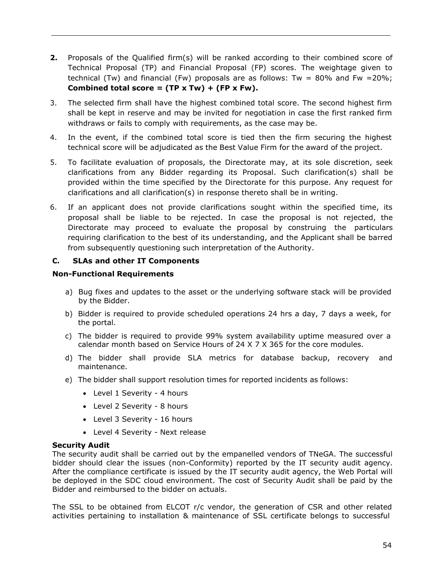- **2.** Proposals of the Qualified firm(s) will be ranked according to their combined score of Technical Proposal (TP) and Financial Proposal (FP) scores. The weightage given to technical (Tw) and financial (Fw) proposals are as follows: Tw =  $80\%$  and Fw =  $20\%$ ; **Combined total score = (TP x Tw) + (FP x Fw).**
- 3. The selected firm shall have the highest combined total score. The second highest firm shall be kept in reserve and may be invited for negotiation in case the first ranked firm withdraws or fails to comply with requirements, as the case may be.
- 4. In the event, if the combined total score is tied then the firm securing the highest technical score will be adjudicated as the Best Value Firm for the award of the project.
- 5. To facilitate evaluation of proposals, the Directorate may, at its sole discretion, seek clarifications from any Bidder regarding its Proposal. Such clarification(s) shall be provided within the time specified by the Directorate for this purpose. Any request for clarifications and all clarification(s) in response thereto shall be in writing.
- 6. If an applicant does not provide clarifications sought within the specified time, its proposal shall be liable to be rejected. In case the proposal is not rejected, the Directorate may proceed to evaluate the proposal by construing the particulars requiring clarification to the best of its understanding, and the Applicant shall be barred from subsequently questioning such interpretation of the Authority.

## **C. SLAs and other IT Components**

#### **Non-Functional Requirements**

- a) Bug fixes and updates to the asset or the underlying software stack will be provided by the Bidder.
- b) Bidder is required to provide scheduled operations 24 hrs a day, 7 days a week, for the portal.
- c) The bidder is required to provide 99% system availability uptime measured over a calendar month based on Service Hours of 24 X 7 X 365 for the core modules.
- d) The bidder shall provide SLA metrics for database backup, recovery and maintenance.
- e) The bidder shall support resolution times for reported incidents as follows:
	- Level 1 Severity 4 hours
	- Level 2 Severity 8 hours
	- Level 3 Severity 16 hours
	- Level 4 Severity Next release

#### **Security Audit**

The security audit shall be carried out by the empanelled vendors of TNeGA. The successful bidder should clear the issues (non-Conformity) reported by the IT security audit agency. After the compliance certificate is issued by the IT security audit agency, the Web Portal will be deployed in the SDC cloud environment. The cost of Security Audit shall be paid by the Bidder and reimbursed to the bidder on actuals.

The SSL to be obtained from ELCOT r/c vendor, the generation of CSR and other related activities pertaining to installation & maintenance of SSL certificate belongs to successful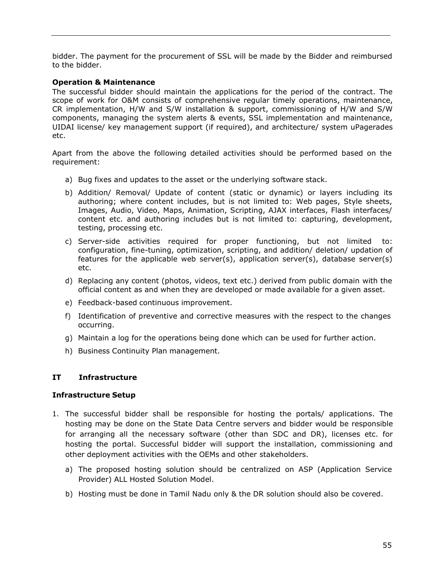bidder. The payment for the procurement of SSL will be made by the Bidder and reimbursed to the bidder.

## **Operation & Maintenance**

The successful bidder should maintain the applications for the period of the contract. The scope of work for O&M consists of comprehensive regular timely operations, maintenance, CR implementation, H/W and S/W installation & support, commissioning of H/W and S/W components, managing the system alerts & events, SSL implementation and maintenance, UIDAI license/ key management support (if required), and architecture/ system uPagerades etc.

Apart from the above the following detailed activities should be performed based on the requirement:

- a) Bug fixes and updates to the asset or the underlying software stack.
- b) Addition/ Removal/ Update of content (static or dynamic) or layers including its authoring; where content includes, but is not limited to: Web pages, Style sheets, Images, Audio, Video, Maps, Animation, Scripting, AJAX interfaces, Flash interfaces/ content etc. and authoring includes but is not limited to: capturing, development, testing, processing etc.
- c) Server-side activities required for proper functioning, but not limited to: configuration, fine-tuning, optimization, scripting, and addition/ deletion/ updation of features for the applicable web server(s), application server(s), database server(s) etc.
- d) Replacing any content (photos, videos, text etc.) derived from public domain with the official content as and when they are developed or made available for a given asset.
- e) Feedback-based continuous improvement.
- f) Identification of preventive and corrective measures with the respect to the changes occurring.
- g) Maintain a log for the operations being done which can be used for further action.
- h) Business Continuity Plan management.

## **IT Infrastructure**

#### **Infrastructure Setup**

- 1. The successful bidder shall be responsible for hosting the portals/ applications. The hosting may be done on the State Data Centre servers and bidder would be responsible for arranging all the necessary software (other than SDC and DR), licenses etc. for hosting the portal. Successful bidder will support the installation, commissioning and other deployment activities with the OEMs and other stakeholders.
	- a) The proposed hosting solution should be centralized on ASP (Application Service Provider) ALL Hosted Solution Model.
	- b) Hosting must be done in Tamil Nadu only & the DR solution should also be covered.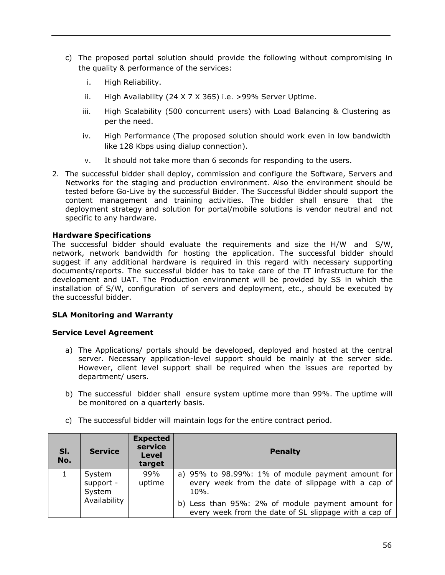- c) The proposed portal solution should provide the following without compromising in the quality & performance of the services:
	- i. High Reliability.
	- ii. High Availability (24 X 7 X 365) i.e. >99% Server Uptime.
	- iii. High Scalability (500 concurrent users) with Load Balancing & Clustering as per the need.
	- iv. High Performance (The proposed solution should work even in low bandwidth like 128 Kbps using dialup connection).
	- v. It should not take more than 6 seconds for responding to the users.
- 2. The successful bidder shall deploy, commission and configure the Software, Servers and Networks for the staging and production environment. Also the environment should be tested before Go-Live by the successful Bidder. The Successful Bidder should support the content management and training activities. The bidder shall ensure that the deployment strategy and solution for portal/mobile solutions is vendor neutral and not specific to any hardware.

#### **Hardware Specifications**

The successful bidder should evaluate the requirements and size the H/W and S/W, network, network bandwidth for hosting the application. The successful bidder should suggest if any additional hardware is required in this regard with necessary supporting documents/reports. The successful bidder has to take care of the IT infrastructure for the development and UAT. The Production environment will be provided by SS in which the installation of S/W, configuration of servers and deployment, etc., should be executed by the successful bidder.

## **SLA Monitoring and Warranty**

#### **Service Level Agreement**

- a) The Applications/ portals should be developed, deployed and hosted at the central server. Necessary application-level support should be mainly at the server side. However, client level support shall be required when the issues are reported by department/ users.
- b) The successful bidder shall ensure system uptime more than 99%. The uptime will be monitored on a quarterly basis.

| SI.<br>No. | <b>Service</b>                | <b>Expected</b><br>service<br><b>Level</b><br>target | <b>Penalty</b>                                                                                                     |
|------------|-------------------------------|------------------------------------------------------|--------------------------------------------------------------------------------------------------------------------|
|            | System<br>support -<br>System | 99%<br>uptime                                        | a) 95% to 98.99%: 1% of module payment amount for<br>every week from the date of slippage with a cap of<br>$10%$ . |
|            | Availability                  |                                                      | b) Less than 95%: 2% of module payment amount for<br>every week from the date of SL slippage with a cap of         |

c) The successful bidder will maintain logs for the entire contract period.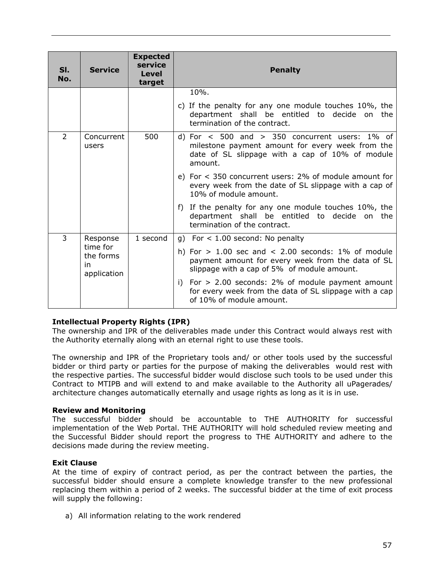| SI.<br>No.                                 | <b>Service</b>      | <b>Expected</b><br>service<br>Level<br>target | <b>Penalty</b>                                                                                                                                                         |
|--------------------------------------------|---------------------|-----------------------------------------------|------------------------------------------------------------------------------------------------------------------------------------------------------------------------|
|                                            |                     |                                               | 10%.                                                                                                                                                                   |
|                                            |                     |                                               | c) If the penalty for any one module touches 10%, the<br>department shall be entitled to decide on the<br>termination of the contract.                                 |
| 2                                          | Concurrent<br>users | 500                                           | d) For $\lt$ 500 and $>$ 350 concurrent users: 1% of<br>milestone payment amount for every week from the<br>date of SL slippage with a cap of 10% of module<br>amount. |
|                                            |                     |                                               | e) For $\lt$ 350 concurrent users: 2% of module amount for<br>every week from the date of SL slippage with a cap of<br>10% of module amount.                           |
|                                            |                     |                                               | f) If the penalty for any one module touches 10%, the<br>department shall be entitled<br>to decide on the<br>termination of the contract.                              |
| 3                                          | Response            | 1 second                                      | g) For $<$ 1.00 second: No penalty                                                                                                                                     |
| time for<br>the forms<br>in<br>application |                     |                                               | h) For $> 1.00$ sec and $< 2.00$ seconds: 1% of module<br>payment amount for every week from the data of SL<br>slippage with a cap of 5% of module amount.             |
|                                            |                     |                                               | i) For $> 2.00$ seconds: 2% of module payment amount<br>for every week from the data of SL slippage with a cap<br>of 10% of module amount.                             |

## **Intellectual Property Rights (IPR)**

The ownership and IPR of the deliverables made under this Contract would always rest with the Authority eternally along with an eternal right to use these tools.

The ownership and IPR of the Proprietary tools and/ or other tools used by the successful bidder or third party or parties for the purpose of making the deliverables would rest with the respective parties. The successful bidder would disclose such tools to be used under this Contract to MTIPB and will extend to and make available to the Authority all uPagerades/ architecture changes automatically eternally and usage rights as long as it is in use.

#### **Review and Monitoring**

The successful bidder should be accountable to THE AUTHORITY for successful implementation of the Web Portal. THE AUTHORITY will hold scheduled review meeting and the Successful Bidder should report the progress to THE AUTHORITY and adhere to the decisions made during the review meeting.

#### **Exit Clause**

At the time of expiry of contract period, as per the contract between the parties, the successful bidder should ensure a complete knowledge transfer to the new professional replacing them within a period of 2 weeks. The successful bidder at the time of exit process will supply the following:

a) All information relating to the work rendered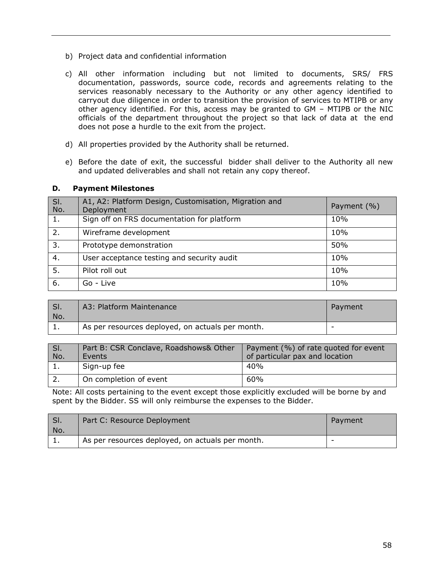- b) Project data and confidential information
- c) All other information including but not limited to documents, SRS/ FRS documentation, passwords, source code, records and agreements relating to the services reasonably necessary to the Authority or any other agency identified to carryout due diligence in order to transition the provision of services to MTIPB or any other agency identified. For this, access may be granted to GM – MTIPB or the NIC officials of the department throughout the project so that lack of data at the end does not pose a hurdle to the exit from the project.
- d) All properties provided by the Authority shall be returned.
- e) Before the date of exit, the successful bidder shall deliver to the Authority all new and updated deliverables and shall not retain any copy thereof.

#### **D. Payment Milestones**

| SI.<br>No.       | A1, A2: Platform Design, Customisation, Migration and<br>Deployment | Payment (%) |
|------------------|---------------------------------------------------------------------|-------------|
| 1.               | Sign off on FRS documentation for platform                          | 10%         |
| 2.               | Wireframe development                                               | 10%         |
| 3.               | Prototype demonstration                                             | 50%         |
| 4.               | User acceptance testing and security audit                          | 10%         |
| $\overline{5}$ . | Pilot roll out                                                      | 10%         |
| 6.               | Go - Live                                                           | 10%         |

| SI.<br>No. | A3: Platform Maintenance                         | Payment |
|------------|--------------------------------------------------|---------|
| <b>.</b>   | As per resources deployed, on actuals per month. |         |

| SI.<br>No. | Part B: CSR Conclave, Roadshows& Other<br>Events | Payment (%) of rate quoted for event<br>of particular pax and location |
|------------|--------------------------------------------------|------------------------------------------------------------------------|
|            | Sign-up fee                                      | 40%                                                                    |
|            | On completion of event                           | 60%                                                                    |

Note: All costs pertaining to the event except those explicitly excluded will be borne by and spent by the Bidder. SS will only reimburse the expenses to the Bidder.

| SI. | Part C: Resource Deployment                      | Payment |
|-----|--------------------------------------------------|---------|
| No. |                                                  |         |
| . . | As per resources deployed, on actuals per month. | -       |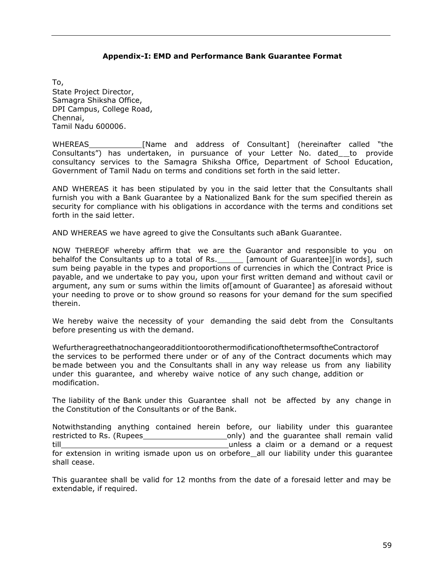#### **Appendix-I: EMD and Performance Bank Guarantee Format**

<span id="page-58-0"></span>To, State Project Director, Samagra Shiksha Office, DPI Campus, College Road, Chennai, Tamil Nadu 600006.

WHEREAS [Name and address of Consultant] (hereinafter called "the Consultants") has undertaken, in pursuance of your Letter No. dated\_to provide consultancy services to the Samagra Shiksha Office, Department of School Education, Government of Tamil Nadu on terms and conditions set forth in the said letter.

AND WHEREAS it has been stipulated by you in the said letter that the Consultants shall furnish you with a Bank Guarantee by a Nationalized Bank for the sum specified therein as security for compliance with his obligations in accordance with the terms and conditions set forth in the said letter.

AND WHEREAS we have agreed to give the Consultants such aBank Guarantee.

NOW THEREOF whereby affirm that we are the Guarantor and responsible to you on behalfof the Consultants up to a total of Rs. \_\_\_\_\_\_ [amount of Guarantee][in words], such sum being payable in the types and proportions of currencies in which the Contract Price is payable, and we undertake to pay you, upon your first written demand and without cavil or argument, any sum or sums within the limits of[amount of Guarantee] as aforesaid without your needing to prove or to show ground so reasons for your demand for the sum specified therein.

We hereby waive the necessity of your demanding the said debt from the Consultants before presenting us with the demand.

WefurtheragreethatnochangeoradditiontoorothermodificationofthetermsoftheContractorof the services to be performed there under or of any of the Contract documents which may be made between you and the Consultants shall in any way release us from any liability under this guarantee, and whereby waive notice of any such change, addition or modification.

The liability of the Bank under this Guarantee shall not be affected by any change in the Constitution of the Consultants or of the Bank.

Notwithstanding anything contained herein before, our liability under this guarantee restricted to Rs. (Rupees only) and the guarantee shall remain valid till unless a claim or a demand or a request for extension in writing ismade upon us on orbefore\_all our liability under this guarantee shall cease.

This guarantee shall be valid for 12 months from the date of a foresaid letter and may be extendable, if required.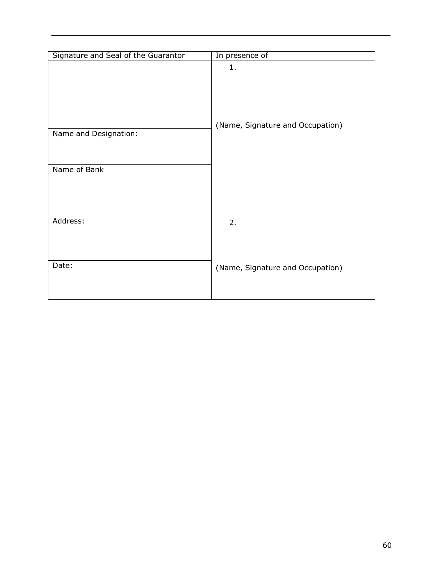| Signature and Seal of the Guarantor          | In presence of                         |
|----------------------------------------------|----------------------------------------|
| Name and Designation: ______<br>Name of Bank | 1.<br>(Name, Signature and Occupation) |
| Address:                                     | 2.                                     |
| Date:                                        | (Name, Signature and Occupation)       |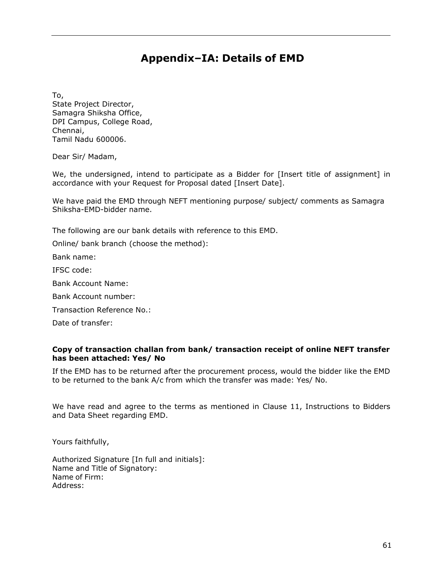# **Appendix–IA: Details of EMD**

<span id="page-60-0"></span>To,

State Project Director, Samagra Shiksha Office, DPI Campus, College Road, Chennai, Tamil Nadu 600006.

Dear Sir/ Madam,

We, the undersigned, intend to participate as a Bidder for [Insert title of assignment] in accordance with your Request for Proposal dated [Insert Date].

We have paid the EMD through NEFT mentioning purpose/ subject/ comments as Samagra Shiksha-EMD-bidder name.

The following are our bank details with reference to this EMD.

Online/ bank branch (choose the method):

Bank name:

IFSC code:

Bank Account Name:

Bank Account number:

Transaction Reference No.:

Date of transfer:

#### **Copy of transaction challan from bank/ transaction receipt of online NEFT transfer has been attached: Yes/ No**

If the EMD has to be returned after the procurement process, would the bidder like the EMD to be returned to the bank A/c from which the transfer was made: Yes/ No.

We have read and agree to the terms as mentioned in Clause 11, Instructions to Bidders and Data Sheet regarding EMD.

Yours faithfully,

Authorized Signature [In full and initials]: Name and Title of Signatory: Name of Firm: Address: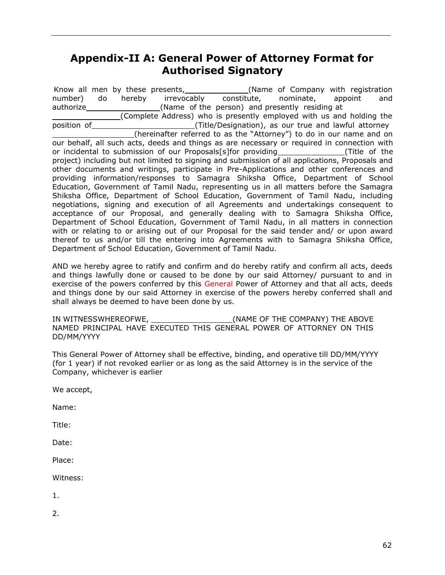# <span id="page-61-0"></span>**Appendix-II A: General Power of Attorney Format for Authorised Signatory**

Know all men by these presents, (Name of Company with registration number) do hereby irrevocably constitute, nominate, appoint and authorize (Name of the person) and presently residing at (Complete Address) who is presently employed with us and holding the position of **the contract of the contract (Title/Designation), as our true and lawful attorney** (hereinafter referred to as the "Attorney") to do in our name and on our behalf, all such acts, deeds and things as are necessary or required in connection with or incidental to submission of our Proposals[s]for providing (Title of the project) including but not limited to signing and submission of all applications, Proposals and other documents and writings, participate in Pre-Applications and other conferences and providing information/responses to Samagra Shiksha Office, Department of School Education, Government of Tamil Nadu, representing us in all matters before the Samagra Shiksha Office, Department of School Education, Government of Tamil Nadu, including negotiations, signing and execution of all Agreements and undertakings consequent to acceptance of our Proposal, and generally dealing with to Samagra Shiksha Office, Department of School Education, Government of Tamil Nadu, in all matters in connection with or relating to or arising out of our Proposal for the said tender and/ or upon award thereof to us and/or till the entering into Agreements with to Samagra Shiksha Office, Department of School Education, Government of Tamil Nadu.

AND we hereby agree to ratify and confirm and do hereby ratify and confirm all acts, deeds and things lawfully done or caused to be done by our said Attorney/ pursuant to and in exercise of the powers conferred by this General Power of Attorney and that all acts, deeds and things done by our said Attorney in exercise of the powers hereby conferred shall and shall always be deemed to have been done by us.

IN WITNESSWHEREOFWE, THE COMPANY) THE ABOVE NAMED PRINCIPAL HAVE EXECUTED THIS GENERAL POWER OF ATTORNEY ON THIS DD/MM/YYYY

This General Power of Attorney shall be effective, binding, and operative till DD/MM/YYYY (for 1 year) if not revoked earlier or as long as the said Attorney is in the service of the Company, whichever is earlier

We accept,

Name:

Title:

Date:

Place:

Witness:

1.

2.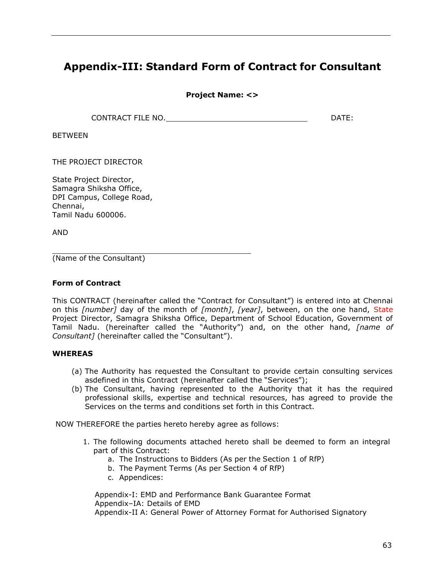# <span id="page-62-0"></span>**Appendix-III: Standard Form of Contract for Consultant**

**Project Name: <>**

CONTRACT FILE NO. **DATE:** DATE:

BETWEEN

THE PROJECT DIRECTOR

State Project Director, Samagra Shiksha Office, DPI Campus, College Road, Chennai, Tamil Nadu 600006.

AND

(Name of the Consultant)

#### **Form of Contract**

This CONTRACT (hereinafter called the "Contract for Consultant") is entered into at Chennai on this *[number]* day of the month of *[month]*, *[year]*, between, on the one hand, State Project Director, Samagra Shiksha Office, Department of School Education, Government of Tamil Nadu. (hereinafter called the "Authority") and, on the other hand, *[name of Consultant]* (hereinafter called the "Consultant").

#### **WHEREAS**

- (a) The Authority has requested the Consultant to provide certain consulting services asdefined in this Contract (hereinafter called the "Services");
- (b) The Consultant, having represented to the Authority that it has the required professional skills, expertise and technical resources, has agreed to provide the Services on the terms and conditions set forth in this Contract.

NOW THEREFORE the parties hereto hereby agree as follows:

- 1. The following documents attached hereto shall be deemed to form an integral part of this Contract:
	- a. The Instructions to Bidders (As per the Section 1 of RfP)
	- b. The Payment Terms (As per Section 4 of RfP)
	- c. Appendices:

Appendix-I: EMD and Performance Bank Guarantee Format Appendix–IA: Details of EMD Appendix-II A: General Power of Attorney Format for Authorised Signatory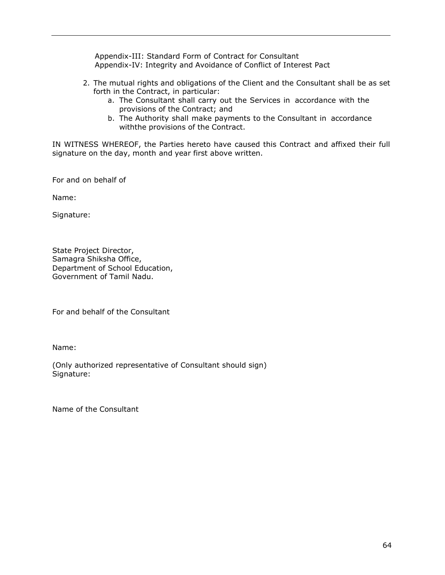Appendix-III: Standard Form of Contract for Consultant Appendix-IV: Integrity and Avoidance of Conflict of Interest Pact

- 2. The mutual rights and obligations of the Client and the Consultant shall be as set forth in the Contract, in particular:
	- a. The Consultant shall carry out the Services in accordance with the provisions of the Contract; and
	- b. The Authority shall make payments to the Consultant in accordance withthe provisions of the Contract.

IN WITNESS WHEREOF, the Parties hereto have caused this Contract and affixed their full signature on the day, month and year first above written.

For and on behalf of

Name:

Signature:

State Project Director, Samagra Shiksha Office, Department of School Education, Government of Tamil Nadu.

For and behalf of the Consultant

Name:

(Only authorized representative of Consultant should sign) Signature:

Name of the Consultant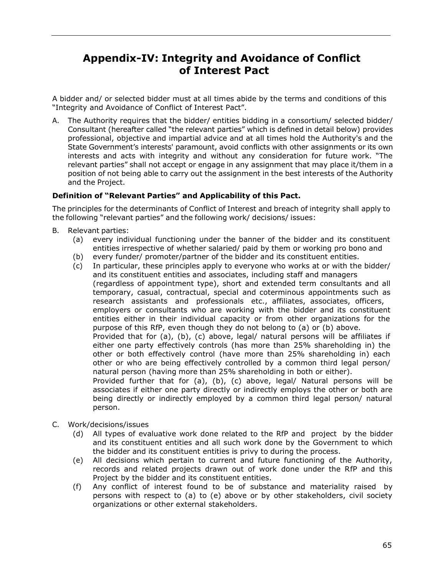# <span id="page-64-0"></span>**Appendix-IV: Integrity and Avoidance of Conflict of Interest Pact**

A bidder and/ or selected bidder must at all times abide by the terms and conditions of this "Integrity and Avoidance of Conflict of Interest Pact".

A. The Authority requires that the bidder/ entities bidding in a consortium/ selected bidder/ Consultant (hereafter called "the relevant parties" which is defined in detail below) provides professional, objective and impartial advice and at all times hold the Authority's and the State Government's interests' paramount, avoid conflicts with other assignments or its own interests and acts with integrity and without any consideration for future work. "The relevant parties" shall not accept or engage in any assignment that may place it/them in a position of not being able to carry out the assignment in the best interests of the Authority and the Project.

## **Definition of "Relevant Parties" and Applicability of this Pact.**

The principles for the determinants of Conflict of Interest and breach of integrity shall apply to the following "relevant parties" and the following work/ decisions/ issues:

- B. Relevant parties:
	- (a) every individual functioning under the banner of the bidder and its constituent entities irrespective of whether salaried/ paid by them or working pro bono and
	- (b) every funder/ promoter/partner of the bidder and its constituent entities.
	- (c) In particular, these principles apply to everyone who works at or with the bidder/ and its constituent entities and associates, including staff and managers (regardless of appointment type), short and extended term consultants and all temporary, casual, contractual, special and coterminous appointments such as research assistants and professionals etc., affiliates, associates, officers, employers or consultants who are working with the bidder and its constituent entities either in their individual capacity or from other organizations for the purpose of this RfP, even though they do not belong to (a) or (b) above. Provided that for (a), (b), (c) above, legal/ natural persons will be affiliates if either one party effectively controls (has more than 25% shareholding in) the other or both effectively control (have more than 25% shareholding in) each other or who are being effectively controlled by a common third legal person/ natural person (having more than 25% shareholding in both or either). Provided further that for (a), (b), (c) above, legal/ Natural persons will be associates if either one party directly or indirectly employs the other or both are being directly or indirectly employed by a common third legal person/ natural person.
- C. Work/decisions/issues
	- (d) All types of evaluative work done related to the RfP and project by the bidder and its constituent entities and all such work done by the Government to which the bidder and its constituent entities is privy to during the process.
	- (e) All decisions which pertain to current and future functioning of the Authority, records and related projects drawn out of work done under the RfP and this Project by the bidder and its constituent entities.
	- (f) Any conflict of interest found to be of substance and materiality raised by persons with respect to (a) to (e) above or by other stakeholders, civil society organizations or other external stakeholders.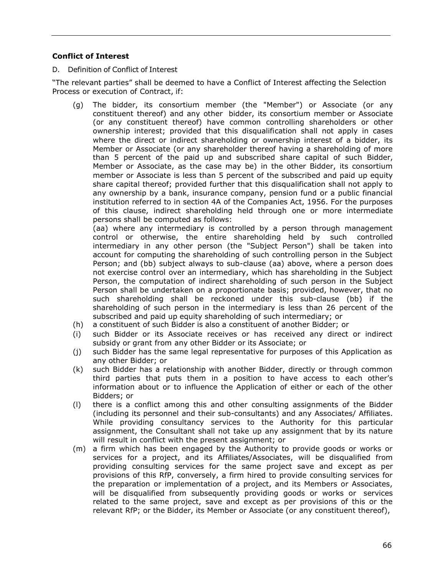### **Conflict of Interest**

D. Definition of Conflict of Interest

"The relevant parties" shall be deemed to have a Conflict of Interest affecting the Selection Process or execution of Contract, if:

(g) The bidder, its consortium member (the "Member") or Associate (or any constituent thereof) and any other bidder, its consortium member or Associate (or any constituent thereof) have common controlling shareholders or other ownership interest; provided that this disqualification shall not apply in cases where the direct or indirect shareholding or ownership interest of a bidder, its Member or Associate (or any shareholder thereof having a shareholding of more than 5 percent of the paid up and subscribed share capital of such Bidder, Member or Associate, as the case may be) in the other Bidder, its consortium member or Associate is less than 5 percent of the subscribed and paid up equity share capital thereof; provided further that this disqualification shall not apply to any ownership by a bank, insurance company, pension fund or a public financial institution referred to in section 4A of the Companies Act, 1956. For the purposes of this clause, indirect shareholding held through one or more intermediate persons shall be computed as follows:

(aa) where any intermediary is controlled by a person through management control or otherwise, the entire shareholding held by such controlled intermediary in any other person (the "Subject Person") shall be taken into account for computing the shareholding of such controlling person in the Subject Person; and (bb) subject always to sub-clause (aa) above, where a person does not exercise control over an intermediary, which has shareholding in the Subject Person, the computation of indirect shareholding of such person in the Subject Person shall be undertaken on a proportionate basis; provided, however, that no such shareholding shall be reckoned under this sub-clause (bb) if the shareholding of such person in the intermediary is less than 26 percent of the subscribed and paid up equity shareholding of such intermediary; or

- (h) a constituent of such Bidder is also a constituent of another Bidder; or
- (i) such Bidder or its Associate receives or has received any direct or indirect subsidy or grant from any other Bidder or its Associate; or
- (j) such Bidder has the same legal representative for purposes of this Application as any other Bidder; or
- (k) such Bidder has a relationship with another Bidder, directly or through common third parties that puts them in a position to have access to each other's information about or to influence the Application of either or each of the other Bidders; or
- (l) there is a conflict among this and other consulting assignments of the Bidder (including its personnel and their sub-consultants) and any Associates/ Affiliates. While providing consultancy services to the Authority for this particular assignment, the Consultant shall not take up any assignment that by its nature will result in conflict with the present assignment; or
- (m) a firm which has been engaged by the Authority to provide goods or works or services for a project, and its Affiliates/Associates, will be disqualified from providing consulting services for the same project save and except as per provisions of this RfP, conversely, a firm hired to provide consulting services for the preparation or implementation of a project, and its Members or Associates, will be disqualified from subsequently providing goods or works or services related to the same project, save and except as per provisions of this or the relevant RfP; or the Bidder, its Member or Associate (or any constituent thereof),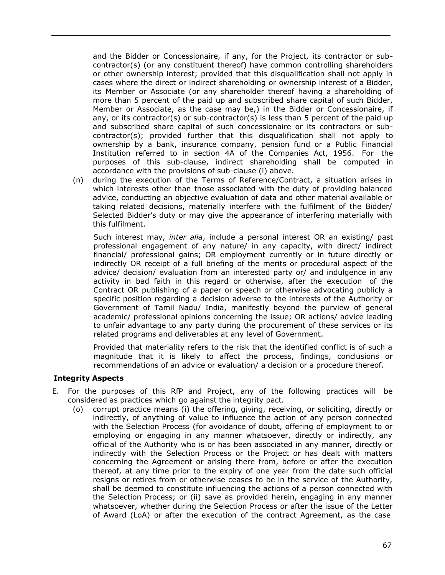and the Bidder or Concessionaire, if any, for the Project, its contractor or subcontractor(s) (or any constituent thereof) have common controlling shareholders or other ownership interest; provided that this disqualification shall not apply in cases where the direct or indirect shareholding or ownership interest of a Bidder, its Member or Associate (or any shareholder thereof having a shareholding of more than 5 percent of the paid up and subscribed share capital of such Bidder, Member or Associate, as the case may be,) in the Bidder or Concessionaire, if any, or its contractor(s) or sub-contractor(s) is less than 5 percent of the paid up and subscribed share capital of such concessionaire or its contractors or subcontractor(s); provided further that this disqualification shall not apply to ownership by a bank, insurance company, pension fund or a Public Financial Institution referred to in section 4A of the Companies Act, 1956. For the purposes of this sub-clause, indirect shareholding shall be computed in accordance with the provisions of sub-clause (i) above.

(n) during the execution of the Terms of Reference/Contract, a situation arises in which interests other than those associated with the duty of providing balanced advice, conducting an objective evaluation of data and other material available or taking related decisions, materially interfere with the fulfilment of the Bidder/ Selected Bidder's duty or may give the appearance of interfering materially with this fulfilment.

Such interest may, *inter alia*, include a personal interest OR an existing/ past professional engagement of any nature/ in any capacity, with direct/ indirect financial/ professional gains; OR employment currently or in future directly or indirectly OR receipt of a full briefing of the merits or procedural aspect of the advice/ decision/ evaluation from an interested party or/ and indulgence in any activity in bad faith in this regard or otherwise, after the execution of the Contract OR publishing of a paper or speech or otherwise advocating publicly a specific position regarding a decision adverse to the interests of the Authority or Government of Tamil Nadu/ India, manifestly beyond the purview of general academic/ professional opinions concerning the issue; OR actions/ advice leading to unfair advantage to any party during the procurement of these services or its related programs and deliverables at any level of Government.

Provided that materiality refers to the risk that the identified conflict is of such a magnitude that it is likely to affect the process, findings, conclusions or recommendations of an advice or evaluation/ a decision or a procedure thereof.

#### **Integrity Aspects**

- E. For the purposes of this RfP and Project, any of the following practices will be considered as practices which go against the integrity pact.
	- (o) corrupt practice means (i) the offering, giving, receiving, or soliciting, directly or indirectly, of anything of value to influence the action of any person connected with the Selection Process (for avoidance of doubt, offering of employment to or employing or engaging in any manner whatsoever, directly or indirectly, any official of the Authority who is or has been associated in any manner, directly or indirectly with the Selection Process or the Project or has dealt with matters concerning the Agreement or arising there from, before or after the execution thereof, at any time prior to the expiry of one year from the date such official resigns or retires from or otherwise ceases to be in the service of the Authority, shall be deemed to constitute influencing the actions of a person connected with the Selection Process; or (ii) save as provided herein, engaging in any manner whatsoever, whether during the Selection Process or after the issue of the Letter of Award (LoA) or after the execution of the contract Agreement, as the case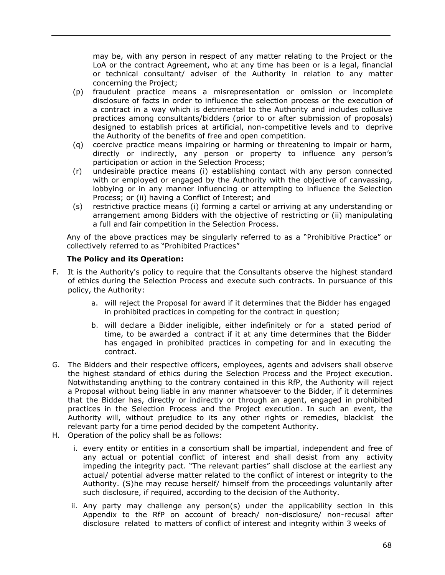may be, with any person in respect of any matter relating to the Project or the LoA or the contract Agreement, who at any time has been or is a legal, financial or technical consultant/ adviser of the Authority in relation to any matter concerning the Project;

- (p) fraudulent practice means a misrepresentation or omission or incomplete disclosure of facts in order to influence the selection process or the execution of a contract in a way which is detrimental to the Authority and includes collusive practices among consultants/bidders (prior to or after submission of proposals) designed to establish prices at artificial, non-competitive levels and to deprive the Authority of the benefits of free and open competition.
- (q) coercive practice means impairing or harming or threatening to impair or harm, directly or indirectly, any person or property to influence any person's participation or action in the Selection Process;
- (r) undesirable practice means (i) establishing contact with any person connected with or employed or engaged by the Authority with the objective of canvassing, lobbying or in any manner influencing or attempting to influence the Selection Process; or (ii) having a Conflict of Interest; and
- (s) restrictive practice means (i) forming a cartel or arriving at any understanding or arrangement among Bidders with the objective of restricting or (ii) manipulating a full and fair competition in the Selection Process.

Any of the above practices may be singularly referred to as a "Prohibitive Practice" or collectively referred to as "Prohibited Practices"

## **The Policy and its Operation:**

- F. It is the Authority's policy to require that the Consultants observe the highest standard of ethics during the Selection Process and execute such contracts. In pursuance of this policy, the Authority:
	- a. will reject the Proposal for award if it determines that the Bidder has engaged in prohibited practices in competing for the contract in question;
	- b. will declare a Bidder ineligible, either indefinitely or for a stated period of time, to be awarded a contract if it at any time determines that the Bidder has engaged in prohibited practices in competing for and in executing the contract.
- G. The Bidders and their respective officers, employees, agents and advisers shall observe the highest standard of ethics during the Selection Process and the Project execution. Notwithstanding anything to the contrary contained in this RfP, the Authority will reject a Proposal without being liable in any manner whatsoever to the Bidder, if it determines that the Bidder has, directly or indirectly or through an agent, engaged in prohibited practices in the Selection Process and the Project execution. In such an event, the Authority will, without prejudice to its any other rights or remedies, blacklist the relevant party for a time period decided by the competent Authority.
- H. Operation of the policy shall be as follows:
	- i. every entity or entities in a consortium shall be impartial, independent and free of any actual or potential conflict of interest and shall desist from any activity impeding the integrity pact. "The relevant parties" shall disclose at the earliest any actual/ potential adverse matter related to the conflict of interest or integrity to the Authority. (S)he may recuse herself/ himself from the proceedings voluntarily after such disclosure, if required, according to the decision of the Authority.
	- ii. Any party may challenge any person(s) under the applicability section in this Appendix to the RfP on account of breach/ non-disclosure/ non-recusal after disclosure related to matters of conflict of interest and integrity within 3 weeks of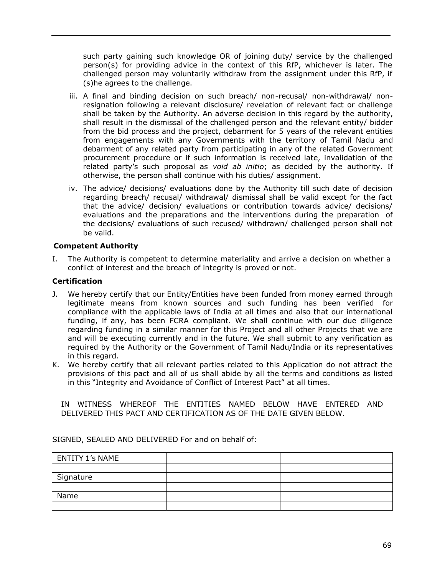such party gaining such knowledge OR of joining duty/ service by the challenged person(s) for providing advice in the context of this RfP, whichever is later. The challenged person may voluntarily withdraw from the assignment under this RfP, if (s)he agrees to the challenge.

- iii. A final and binding decision on such breach/ non-recusal/ non-withdrawal/ nonresignation following a relevant disclosure/ revelation of relevant fact or challenge shall be taken by the Authority. An adverse decision in this regard by the authority, shall result in the dismissal of the challenged person and the relevant entity/ bidder from the bid process and the project, debarment for 5 years of the relevant entities from engagements with any Governments with the territory of Tamil Nadu and debarment of any related party from participating in any of the related Government procurement procedure or if such information is received late, invalidation of the related party's such proposal as *void ab initio*; as decided by the authority. If otherwise, the person shall continue with his duties/ assignment.
- iv. The advice/ decisions/ evaluations done by the Authority till such date of decision regarding breach/ recusal/ withdrawal/ dismissal shall be valid except for the fact that the advice/ decision/ evaluations or contribution towards advice/ decisions/ evaluations and the preparations and the interventions during the preparation of the decisions/ evaluations of such recused/ withdrawn/ challenged person shall not be valid.

#### **Competent Authority**

I. The Authority is competent to determine materiality and arrive a decision on whether a conflict of interest and the breach of integrity is proved or not.

#### **Certification**

- J. We hereby certify that our Entity/Entities have been funded from money earned through legitimate means from known sources and such funding has been verified for compliance with the applicable laws of India at all times and also that our international funding, if any, has been FCRA compliant. We shall continue with our due diligence regarding funding in a similar manner for this Project and all other Projects that we are and will be executing currently and in the future. We shall submit to any verification as required by the Authority or the Government of Tamil Nadu/India or its representatives in this regard.
- K. We hereby certify that all relevant parties related to this Application do not attract the provisions of this pact and all of us shall abide by all the terms and conditions as listed in this "Integrity and Avoidance of Conflict of Interest Pact" at all times.

IN WITNESS WHEREOF THE ENTITIES NAMED BELOW HAVE ENTERED AND DELIVERED THIS PACT AND CERTIFICATION AS OF THE DATE GIVEN BELOW.

| <b>ENTITY 1's NAME</b> |  |
|------------------------|--|
|                        |  |
| Signature              |  |
|                        |  |
| Name                   |  |
|                        |  |

SIGNED, SEALED AND DELIVERED For and on behalf of: